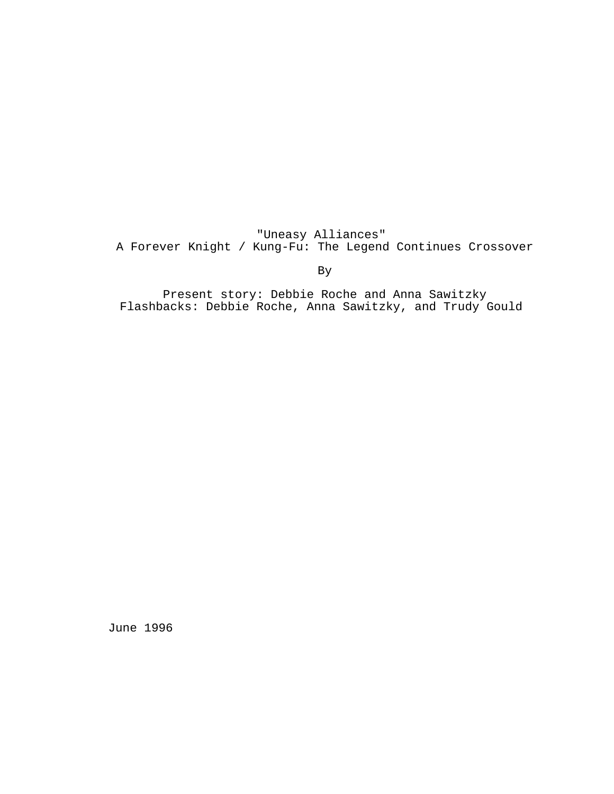"Uneasy Alliances" A Forever Knight / Kung-Fu: The Legend Continues Crossover

By

Present story: Debbie Roche and Anna Sawitzky Flashbacks: Debbie Roche, Anna Sawitzky, and Trudy Gould

June 1996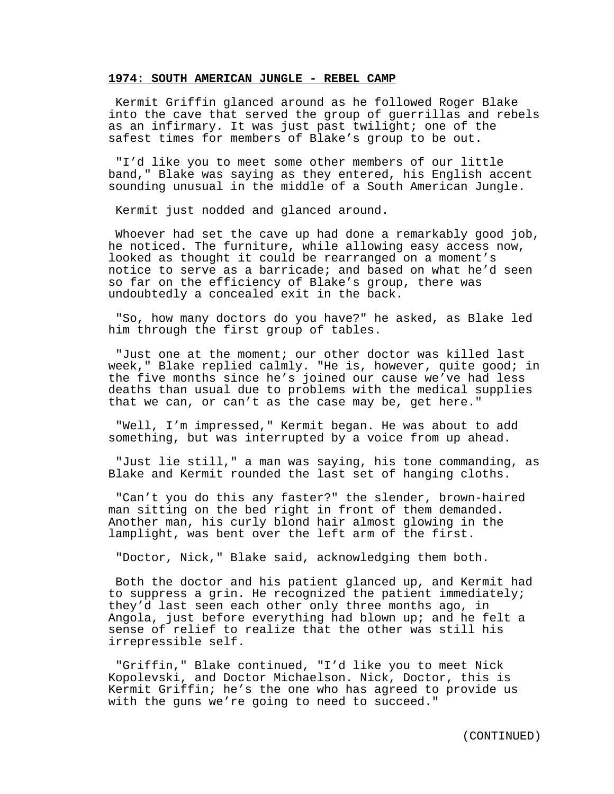# **1974: SOUTH AMERICAN JUNGLE - REBEL CAMP**

Kermit Griffin glanced around as he followed Roger Blake into the cave that served the group of guerrillas and rebels as an infirmary. It was just past twilight; one of the safest times for members of Blake's group to be out.

"I'd like you to meet some other members of our little band," Blake was saying as they entered, his English accent sounding unusual in the middle of a South American Jungle.

Kermit just nodded and glanced around.

Whoever had set the cave up had done a remarkably good job, he noticed. The furniture, while allowing easy access now, looked as thought it could be rearranged on a moment's notice to serve as a barricade; and based on what he'd seen so far on the efficiency of Blake's group, there was undoubtedly a concealed exit in the back.

"So, how many doctors do you have?" he asked, as Blake led him through the first group of tables.

"Just one at the moment; our other doctor was killed last week," Blake replied calmly. "He is, however, quite good; in the five months since he's joined our cause we've had less deaths than usual due to problems with the medical supplies that we can, or can't as the case may be, get here."

"Well, I'm impressed," Kermit began. He was about to add something, but was interrupted by a voice from up ahead.

"Just lie still," a man was saying, his tone commanding, as Blake and Kermit rounded the last set of hanging cloths.

"Can't you do this any faster?" the slender, brown-haired man sitting on the bed right in front of them demanded. Another man, his curly blond hair almost glowing in the lamplight, was bent over the left arm of the first.

"Doctor, Nick," Blake said, acknowledging them both.

Both the doctor and his patient glanced up, and Kermit had to suppress a grin. He recognized the patient immediately; they'd last seen each other only three months ago, in Angola, just before everything had blown up; and he felt a sense of relief to realize that the other was still his irrepressible self.

"Griffin," Blake continued, "I'd like you to meet Nick Kopolevski, and Doctor Michaelson. Nick, Doctor, this is Kermit Griffin; he's the one who has agreed to provide us with the guns we're going to need to succeed."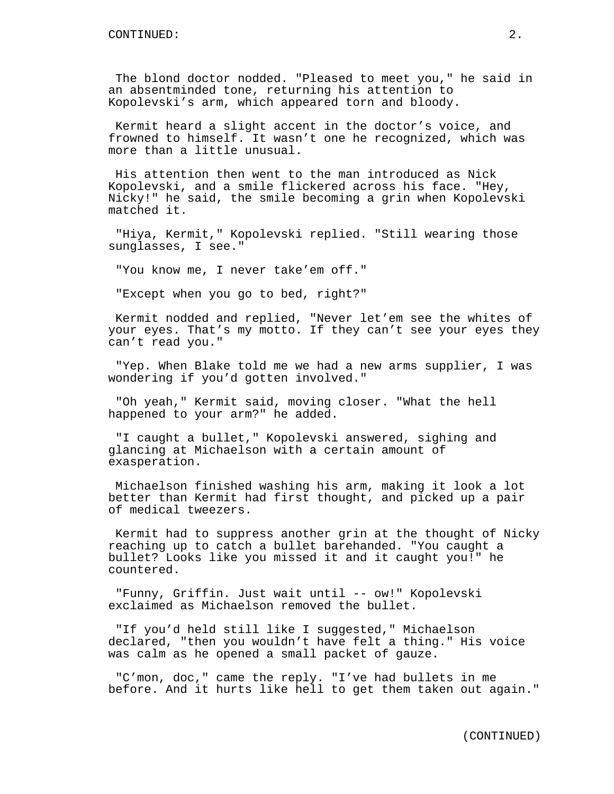The blond doctor nodded. "Pleased to meet you," he said in an absentminded tone, returning his attention to Kopolevski's arm, which appeared torn and bloody.

Kermit heard a slight accent in the doctor's voice, and frowned to himself. It wasn't one he recognized, which was more than a little unusual.

His attention then went to the man introduced as Nick Kopolevski, and a smile flickered across his face. "Hey, Nicky!" he said, the smile becoming a grin when Kopolevski matched it.

"Hiya, Kermit," Kopolevski replied. "Still wearing those sunglasses, I see."

"You know me, I never take'em off."

"Except when you go to bed, right?"

Kermit nodded and replied, "Never let'em see the whites of your eyes. That's my motto. If they can't see your eyes they can't read you."

"Yep. When Blake told me we had a new arms supplier, I was wondering if you'd gotten involved."

"Oh yeah," Kermit said, moving closer. "What the hell happened to your arm?" he added.

"I caught a bullet," Kopolevski answered, sighing and glancing at Michaelson with a certain amount of exasperation.

Michaelson finished washing his arm, making it look a lot better than Kermit had first thought, and picked up a pair of medical tweezers.

Kermit had to suppress another grin at the thought of Nicky reaching up to catch a bullet barehanded. "You caught a bullet? Looks like you missed it and it caught you!" he countered.

"Funny, Griffin. Just wait until -- ow!" Kopolevski exclaimed as Michaelson removed the bullet.

"If you'd held still like I suggested," Michaelson declared, "then you wouldn't have felt a thing." His voice was calm as he opened a small packet of gauze.

"C'mon, doc," came the reply. "I've had bullets in me before. And it hurts like hell to get them taken out again."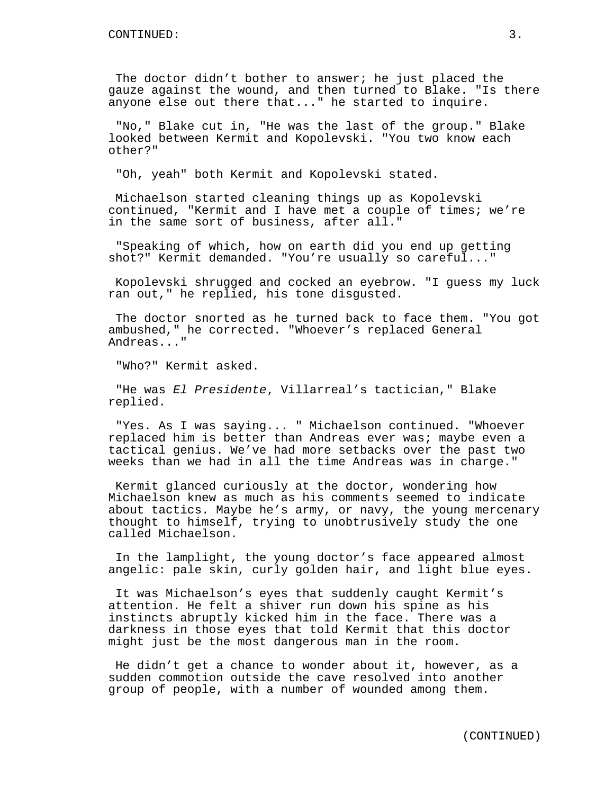The doctor didn't bother to answer; he just placed the gauze against the wound, and then turned to Blake. "Is there anyone else out there that..." he started to inquire.

"No," Blake cut in, "He was the last of the group." Blake looked between Kermit and Kopolevski. "You two know each other?"

"Oh, yeah" both Kermit and Kopolevski stated.

Michaelson started cleaning things up as Kopolevski continued, "Kermit and I have met a couple of times; we're in the same sort of business, after all."

"Speaking of which, how on earth did you end up getting shot?" Kermit demanded. "You're usually so careful..."

Kopolevski shrugged and cocked an eyebrow. "I guess my luck ran out," he replied, his tone disgusted.

The doctor snorted as he turned back to face them. "You got ambushed," he corrected. "Whoever's replaced General Andreas..."

"Who?" Kermit asked.

"He was El Presidente, Villarreal's tactician," Blake replied.

"Yes. As I was saying... " Michaelson continued. "Whoever replaced him is better than Andreas ever was; maybe even a tactical genius. We've had more setbacks over the past two weeks than we had in all the time Andreas was in charge."

Kermit glanced curiously at the doctor, wondering how Michaelson knew as much as his comments seemed to indicate about tactics. Maybe he's army, or navy, the young mercenary thought to himself, trying to unobtrusively study the one called Michaelson.

In the lamplight, the young doctor's face appeared almost angelic: pale skin, curly golden hair, and light blue eyes.

It was Michaelson's eyes that suddenly caught Kermit's attention. He felt a shiver run down his spine as his instincts abruptly kicked him in the face. There was a darkness in those eyes that told Kermit that this doctor might just be the most dangerous man in the room.

He didn't get a chance to wonder about it, however, as a sudden commotion outside the cave resolved into another group of people, with a number of wounded among them.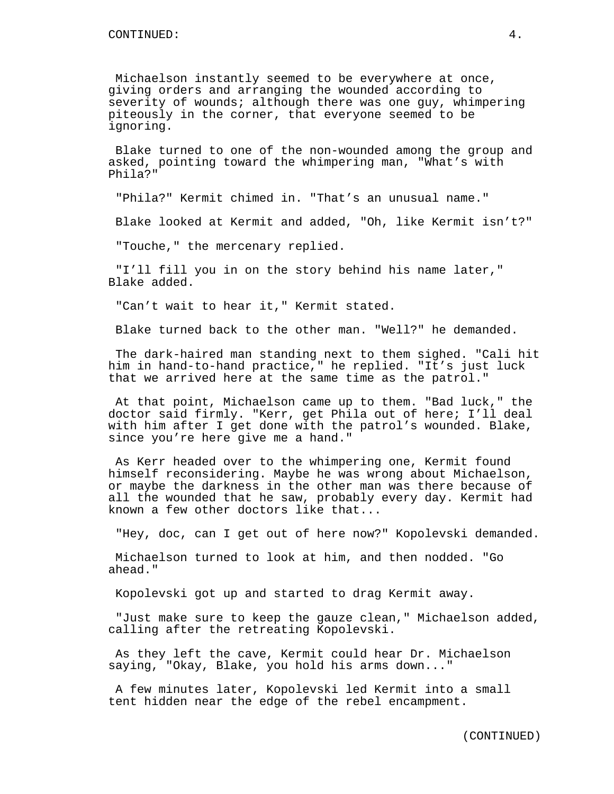Michaelson instantly seemed to be everywhere at once, giving orders and arranging the wounded according to severity of wounds; although there was one guy, whimpering piteously in the corner, that everyone seemed to be ignoring.

Blake turned to one of the non-wounded among the group and asked, pointing toward the whimpering man, "What's with Phila?"

"Phila?" Kermit chimed in. "That's an unusual name."

Blake looked at Kermit and added, "Oh, like Kermit isn't?"

"Touche," the mercenary replied.

"I'll fill you in on the story behind his name later," Blake added.

"Can't wait to hear it," Kermit stated.

Blake turned back to the other man. "Well?" he demanded.

The dark-haired man standing next to them sighed. "Cali hit him in hand-to-hand practice," he replied. "It's just luck that we arrived here at the same time as the patrol."

At that point, Michaelson came up to them. "Bad luck," the doctor said firmly. "Kerr, get Phila out of here; I'll deal with him after I get done with the patrol's wounded. Blake, since you're here give me a hand."

As Kerr headed over to the whimpering one, Kermit found himself reconsidering. Maybe he was wrong about Michaelson, or maybe the darkness in the other man was there because of all the wounded that he saw, probably every day. Kermit had known a few other doctors like that...

"Hey, doc, can I get out of here now?" Kopolevski demanded.

Michaelson turned to look at him, and then nodded. "Go ahead."

Kopolevski got up and started to drag Kermit away.

"Just make sure to keep the gauze clean," Michaelson added, calling after the retreating Kopolevski.

As they left the cave, Kermit could hear Dr. Michaelson saying, "Okay, Blake, you hold his arms down..."

A few minutes later, Kopolevski led Kermit into a small tent hidden near the edge of the rebel encampment.

(CONTINUED)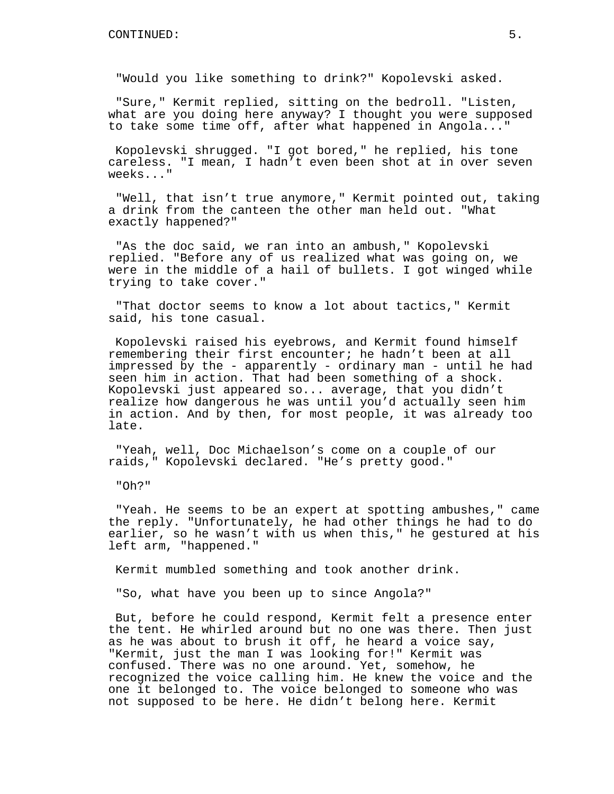"Would you like something to drink?" Kopolevski asked.

"Sure," Kermit replied, sitting on the bedroll. "Listen, what are you doing here anyway? I thought you were supposed to take some time off, after what happened in Angola..."

Kopolevski shrugged. "I got bored," he replied, his tone careless. "I mean, I hadn't even been shot at in over seven weeks..."

"Well, that isn't true anymore," Kermit pointed out, taking a drink from the canteen the other man held out. "What exactly happened?"

"As the doc said, we ran into an ambush," Kopolevski replied. "Before any of us realized what was going on, we were in the middle of a hail of bullets. I got winged while trying to take cover."

"That doctor seems to know a lot about tactics," Kermit said, his tone casual.

Kopolevski raised his eyebrows, and Kermit found himself remembering their first encounter; he hadn't been at all impressed by the - apparently - ordinary man - until he had seen him in action. That had been something of a shock. Kopolevski just appeared so... average, that you didn't realize how dangerous he was until you'd actually seen him in action. And by then, for most people, it was already too late.

"Yeah, well, Doc Michaelson's come on a couple of our raids," Kopolevski declared. "He's pretty good."

"Oh?"

"Yeah. He seems to be an expert at spotting ambushes," came the reply. "Unfortunately, he had other things he had to do earlier, so he wasn't with us when this," he gestured at his left arm, "happened."

Kermit mumbled something and took another drink.

"So, what have you been up to since Angola?"

But, before he could respond, Kermit felt a presence enter the tent. He whirled around but no one was there. Then just as he was about to brush it off, he heard a voice say, "Kermit, just the man I was looking for!" Kermit was confused. There was no one around. Yet, somehow, he recognized the voice calling him. He knew the voice and the one it belonged to. The voice belonged to someone who was not supposed to be here. He didn't belong here. Kermit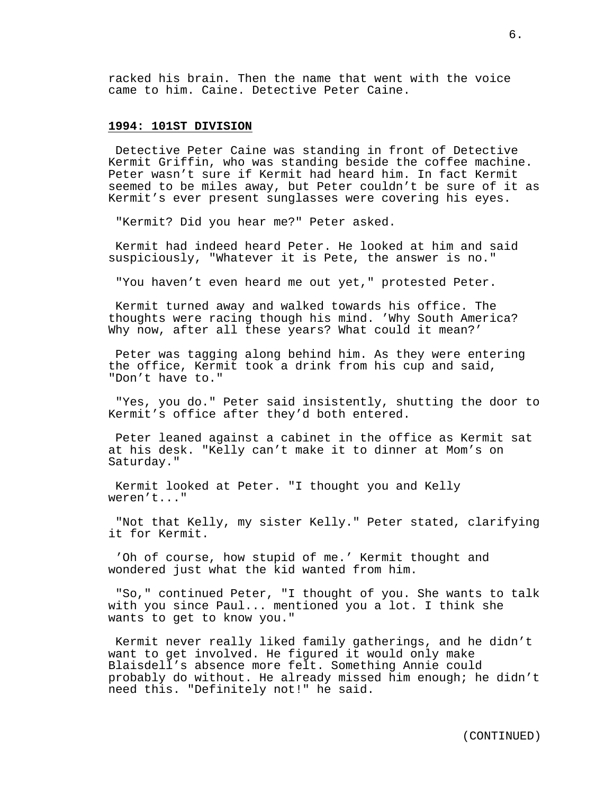racked his brain. Then the name that went with the voice came to him. Caine. Detective Peter Caine.

# **1994: 101ST DIVISION**

Detective Peter Caine was standing in front of Detective Kermit Griffin, who was standing beside the coffee machine. Peter wasn't sure if Kermit had heard him. In fact Kermit seemed to be miles away, but Peter couldn't be sure of it as Kermit's ever present sunglasses were covering his eyes.

"Kermit? Did you hear me?" Peter asked.

Kermit had indeed heard Peter. He looked at him and said suspiciously, "Whatever it is Pete, the answer is no."

"You haven't even heard me out yet," protested Peter.

Kermit turned away and walked towards his office. The thoughts were racing though his mind. 'Why South America? Why now, after all these years? What could it mean?'

Peter was tagging along behind him. As they were entering the office, Kermit took a drink from his cup and said, "Don't have to."

"Yes, you do." Peter said insistently, shutting the door to Kermit's office after they'd both entered.

Peter leaned against a cabinet in the office as Kermit sat at his desk. "Kelly can't make it to dinner at Mom's on Saturday."

Kermit looked at Peter. "I thought you and Kelly weren't..."

"Not that Kelly, my sister Kelly." Peter stated, clarifying it for Kermit.

'Oh of course, how stupid of me.' Kermit thought and wondered just what the kid wanted from him.

"So," continued Peter, "I thought of you. She wants to talk with you since Paul... mentioned you a lot. I think she wants to get to know you."

Kermit never really liked family gatherings, and he didn't want to get involved. He figured it would only make Blaisdell's absence more felt. Something Annie could probably do without. He already missed him enough; he didn't need this. "Definitely not!" he said.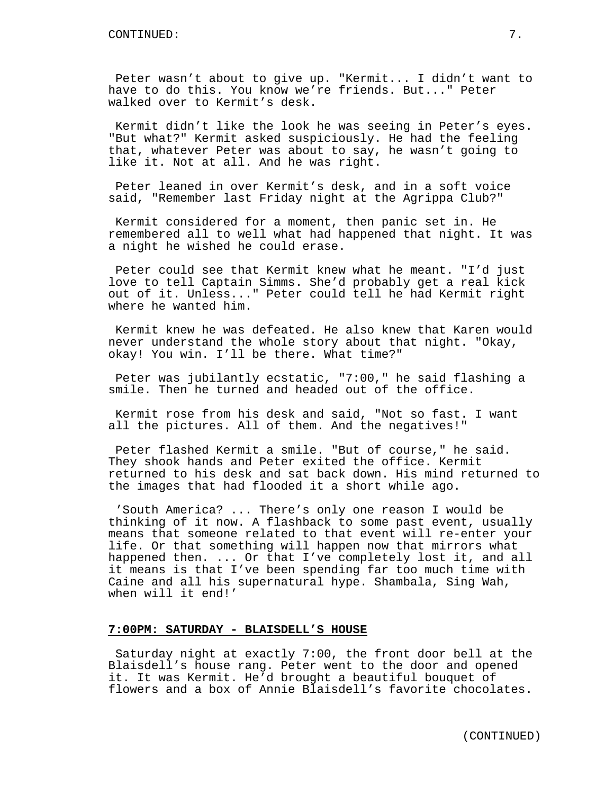Peter wasn't about to give up. "Kermit... I didn't want to have to do this. You know we're friends. But..." Peter walked over to Kermit's desk.

Kermit didn't like the look he was seeing in Peter's eyes. "But what?" Kermit asked suspiciously. He had the feeling that, whatever Peter was about to say, he wasn't going to like it. Not at all. And he was right.

Peter leaned in over Kermit's desk, and in a soft voice said, "Remember last Friday night at the Agrippa Club?"

Kermit considered for a moment, then panic set in. He remembered all to well what had happened that night. It was a night he wished he could erase.

Peter could see that Kermit knew what he meant. "I'd just love to tell Captain Simms. She'd probably get a real kick out of it. Unless..." Peter could tell he had Kermit right where he wanted him.

Kermit knew he was defeated. He also knew that Karen would never understand the whole story about that night. "Okay, okay! You win. I'll be there. What time?"

Peter was jubilantly ecstatic, "7:00," he said flashing a smile. Then he turned and headed out of the office.

Kermit rose from his desk and said, "Not so fast. I want all the pictures. All of them. And the negatives!"

Peter flashed Kermit a smile. "But of course," he said. They shook hands and Peter exited the office. Kermit returned to his desk and sat back down. His mind returned to the images that had flooded it a short while ago.

'South America? ... There's only one reason I would be thinking of it now. A flashback to some past event, usually means that someone related to that event will re-enter your life. Or that something will happen now that mirrors what happened then. ... Or that I've completely lost it, and all it means is that I've been spending far too much time with Caine and all his supernatural hype. Shambala, Sing Wah, when will it end!'

# **7:00PM: SATURDAY - BLAISDELL'S HOUSE**

Saturday night at exactly 7:00, the front door bell at the Blaisdell's house rang. Peter went to the door and opened it. It was Kermit. He'd brought a beautiful bouquet of flowers and a box of Annie Blaisdell's favorite chocolates.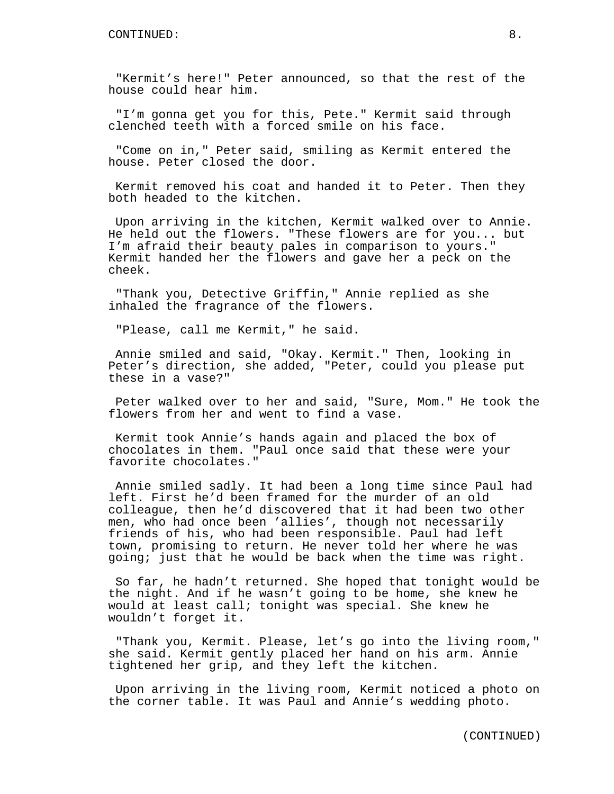"Kermit's here!" Peter announced, so that the rest of the house could hear him.

"I'm gonna get you for this, Pete." Kermit said through clenched teeth with a forced smile on his face.

"Come on in," Peter said, smiling as Kermit entered the house. Peter closed the door.

Kermit removed his coat and handed it to Peter. Then they both headed to the kitchen.

Upon arriving in the kitchen, Kermit walked over to Annie. He held out the flowers. "These flowers are for you... but I'm afraid their beauty pales in comparison to yours." Kermit handed her the flowers and gave her a peck on the cheek.

"Thank you, Detective Griffin," Annie replied as she inhaled the fragrance of the flowers.

"Please, call me Kermit," he said.

Annie smiled and said, "Okay. Kermit." Then, looking in Peter's direction, she added, "Peter, could you please put these in a vase?"

Peter walked over to her and said, "Sure, Mom." He took the flowers from her and went to find a vase.

Kermit took Annie's hands again and placed the box of chocolates in them. "Paul once said that these were your favorite chocolates."

Annie smiled sadly. It had been a long time since Paul had left. First he'd been framed for the murder of an old colleague, then he'd discovered that it had been two other men, who had once been 'allies', though not necessarily friends of his, who had been responsible. Paul had left town, promising to return. He never told her where he was going; just that he would be back when the time was right.

So far, he hadn't returned. She hoped that tonight would be the night. And if he wasn't going to be home, she knew he would at least call; tonight was special. She knew he wouldn't forget it.

"Thank you, Kermit. Please, let's go into the living room," she said. Kermit gently placed her hand on his arm. Annie tightened her grip, and they left the kitchen.

Upon arriving in the living room, Kermit noticed a photo on the corner table. It was Paul and Annie's wedding photo.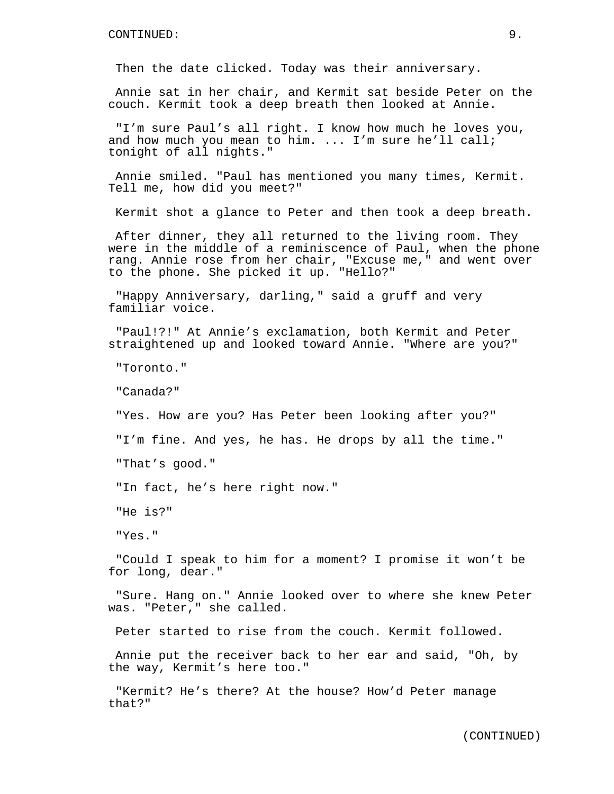Then the date clicked. Today was their anniversary.

Annie sat in her chair, and Kermit sat beside Peter on the couch. Kermit took a deep breath then looked at Annie.

"I'm sure Paul's all right. I know how much he loves you, and how much you mean to him. ... I'm sure he'll call; tonight of all nights."

Annie smiled. "Paul has mentioned you many times, Kermit. Tell me, how did you meet?"

Kermit shot a glance to Peter and then took a deep breath.

After dinner, they all returned to the living room. They were in the middle of a reminiscence of Paul, when the phone rang. Annie rose from her chair, "Excuse me," and went over to the phone. She picked it up. "Hello?"

"Happy Anniversary, darling," said a gruff and very familiar voice.

"Paul!?!" At Annie's exclamation, both Kermit and Peter straightened up and looked toward Annie. "Where are you?"

"Toronto."

"Canada?"

"Yes. How are you? Has Peter been looking after you?"

"I'm fine. And yes, he has. He drops by all the time."

"That's good."

"In fact, he's here right now."

"He is?"

"Yes."

"Could I speak to him for a moment? I promise it won't be for long, dear."

"Sure. Hang on." Annie looked over to where she knew Peter was. "Peter," she called.

Peter started to rise from the couch. Kermit followed.

Annie put the receiver back to her ear and said, "Oh, by the way, Kermit's here too."

"Kermit? He's there? At the house? How'd Peter manage that?"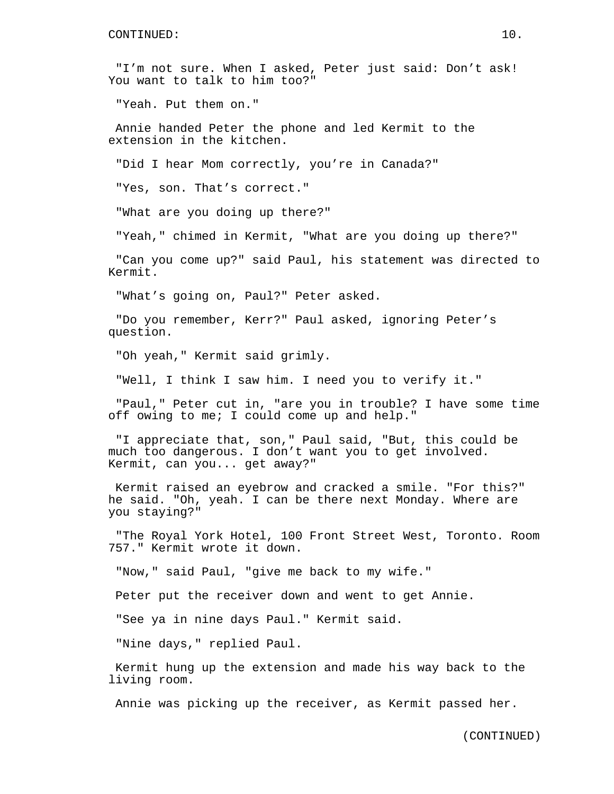"I'm not sure. When I asked, Peter just said: Don't ask! You want to talk to him too?"

"Yeah. Put them on."

Annie handed Peter the phone and led Kermit to the extension in the kitchen.

"Did I hear Mom correctly, you're in Canada?"

"Yes, son. That's correct."

"What are you doing up there?"

"Yeah," chimed in Kermit, "What are you doing up there?"

"Can you come up?" said Paul, his statement was directed to Kermit.

"What's going on, Paul?" Peter asked.

"Do you remember, Kerr?" Paul asked, ignoring Peter's question.

"Oh yeah," Kermit said grimly.

"Well, I think I saw him. I need you to verify it."

"Paul," Peter cut in, "are you in trouble? I have some time off owing to me; I could come up and help."

"I appreciate that, son," Paul said, "But, this could be much too dangerous. I don't want you to get involved. Kermit, can you... get away?"

Kermit raised an eyebrow and cracked a smile. "For this?" he said. "Oh, yeah. I can be there next Monday. Where are you staying?"

"The Royal York Hotel, 100 Front Street West, Toronto. Room 757." Kermit wrote it down.

"Now," said Paul, "give me back to my wife."

Peter put the receiver down and went to get Annie.

"See ya in nine days Paul." Kermit said.

"Nine days," replied Paul.

Kermit hung up the extension and made his way back to the living room.

Annie was picking up the receiver, as Kermit passed her.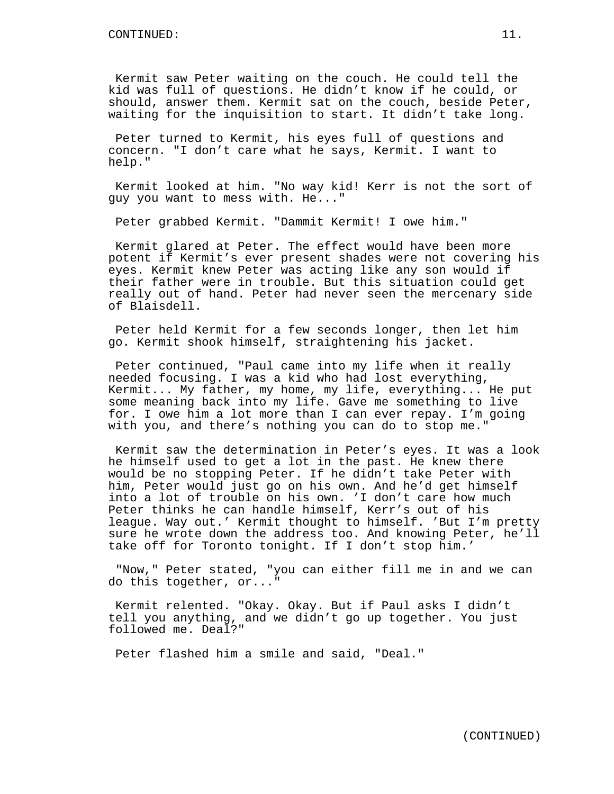Kermit saw Peter waiting on the couch. He could tell the kid was full of questions. He didn't know if he could, or should, answer them. Kermit sat on the couch, beside Peter, waiting for the inquisition to start. It didn't take long.

Peter turned to Kermit, his eyes full of questions and concern. "I don't care what he says, Kermit. I want to help."

Kermit looked at him. "No way kid! Kerr is not the sort of guy you want to mess with. He..."

Peter grabbed Kermit. "Dammit Kermit! I owe him."

Kermit glared at Peter. The effect would have been more potent if Kermit's ever present shades were not covering his eyes. Kermit knew Peter was acting like any son would if their father were in trouble. But this situation could get really out of hand. Peter had never seen the mercenary side of Blaisdell.

Peter held Kermit for a few seconds longer, then let him go. Kermit shook himself, straightening his jacket.

Peter continued, "Paul came into my life when it really needed focusing. I was a kid who had lost everything, Kermit... My father, my home, my life, everything... He put some meaning back into my life. Gave me something to live for. I owe him a lot more than I can ever repay. I'm going with you, and there's nothing you can do to stop me."

Kermit saw the determination in Peter's eyes. It was a look he himself used to get a lot in the past. He knew there would be no stopping Peter. If he didn't take Peter with him, Peter would just go on his own. And he'd get himself into a lot of trouble on his own. 'I don't care how much Peter thinks he can handle himself, Kerr's out of his league. Way out.' Kermit thought to himself. 'But I'm pretty sure he wrote down the address too. And knowing Peter, he'll take off for Toronto tonight. If I don't stop him.'

"Now," Peter stated, "you can either fill me in and we can do this together, or..."

Kermit relented. "Okay. Okay. But if Paul asks I didn't tell you anything, and we didn't go up together. You just followed me. Deal?"

Peter flashed him a smile and said, "Deal."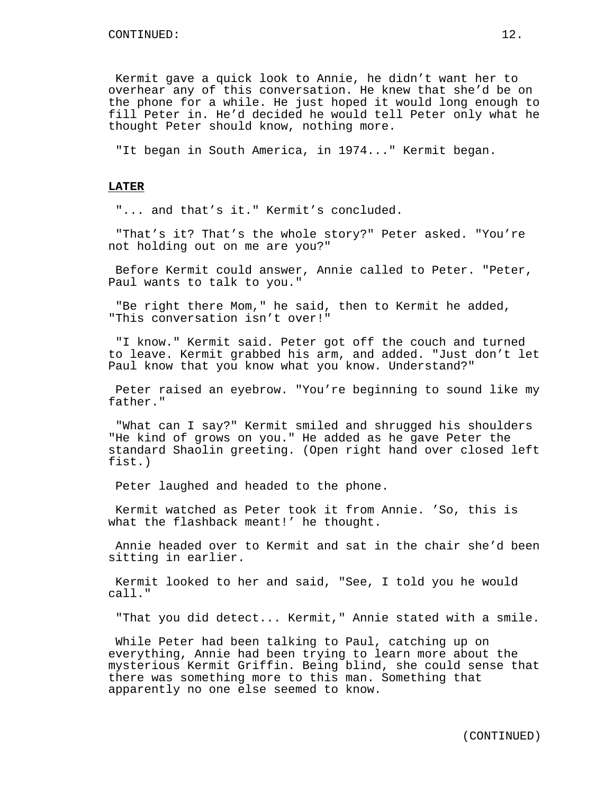Kermit gave a quick look to Annie, he didn't want her to overhear any of this conversation. He knew that she'd be on the phone for a while. He just hoped it would long enough to fill Peter in. He'd decided he would tell Peter only what he thought Peter should know, nothing more.

"It began in South America, in 1974..." Kermit began.

## **LATER**

"... and that's it." Kermit's concluded.

"That's it? That's the whole story?" Peter asked. "You're not holding out on me are you?"

Before Kermit could answer, Annie called to Peter. "Peter, Paul wants to talk to you."

"Be right there Mom," he said, then to Kermit he added, "This conversation isn't over!"

"I know." Kermit said. Peter got off the couch and turned to leave. Kermit grabbed his arm, and added. "Just don't let Paul know that you know what you know. Understand?"

Peter raised an eyebrow. "You're beginning to sound like my father."

"What can I say?" Kermit smiled and shrugged his shoulders "He kind of grows on you." He added as he gave Peter the standard Shaolin greeting. (Open right hand over closed left fist.)

Peter laughed and headed to the phone.

Kermit watched as Peter took it from Annie. 'So, this is what the flashback meant!' he thought.

Annie headed over to Kermit and sat in the chair she'd been sitting in earlier.

Kermit looked to her and said, "See, I told you he would call."

"That you did detect... Kermit," Annie stated with a smile.

While Peter had been talking to Paul, catching up on everything, Annie had been trying to learn more about the mysterious Kermit Griffin. Being blind, she could sense that there was something more to this man. Something that apparently no one else seemed to know.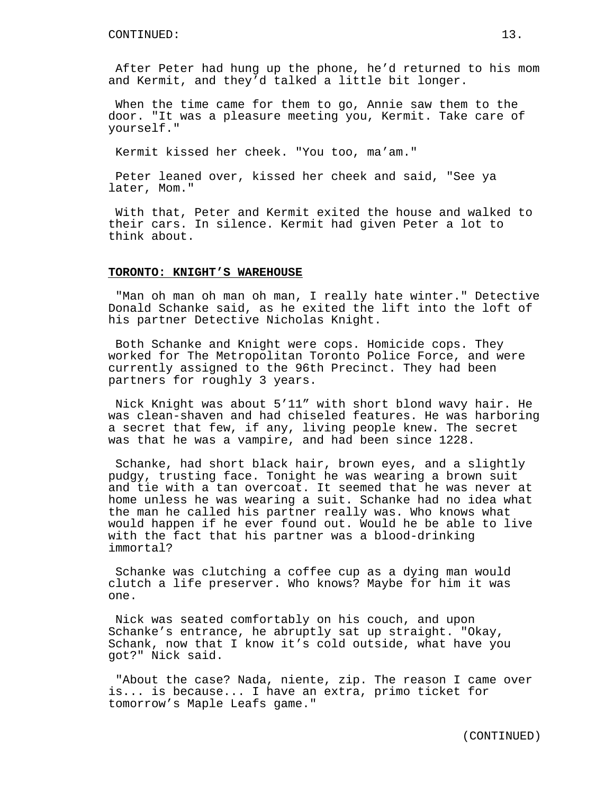After Peter had hung up the phone, he'd returned to his mom and Kermit, and they'd talked a little bit longer.

When the time came for them to go, Annie saw them to the door. "It was a pleasure meeting you, Kermit. Take care of yourself."

Kermit kissed her cheek. "You too, ma'am."

Peter leaned over, kissed her cheek and said, "See ya later, Mom."

With that, Peter and Kermit exited the house and walked to their cars. In silence. Kermit had given Peter a lot to think about.

#### **TORONTO: KNIGHT'S WAREHOUSE**

"Man oh man oh man oh man, I really hate winter." Detective Donald Schanke said, as he exited the lift into the loft of his partner Detective Nicholas Knight.

Both Schanke and Knight were cops. Homicide cops. They worked for The Metropolitan Toronto Police Force, and were currently assigned to the 96th Precinct. They had been partners for roughly 3 years.

Nick Knight was about 5'11" with short blond wavy hair. He was clean-shaven and had chiseled features. He was harboring a secret that few, if any, living people knew. The secret was that he was a vampire, and had been since 1228.

Schanke, had short black hair, brown eyes, and a slightly pudgy, trusting face. Tonight he was wearing a brown suit and tie with a tan overcoat. It seemed that he was never at home unless he was wearing a suit. Schanke had no idea what the man he called his partner really was. Who knows what would happen if he ever found out. Would he be able to live with the fact that his partner was a blood-drinking immortal?

Schanke was clutching a coffee cup as a dying man would clutch a life preserver. Who knows? Maybe for him it was one.

Nick was seated comfortably on his couch, and upon Schanke's entrance, he abruptly sat up straight. "Okay, Schank, now that I know it's cold outside, what have you got?" Nick said.

"About the case? Nada, niente, zip. The reason I came over is... is because... I have an extra, primo ticket for tomorrow's Maple Leafs game."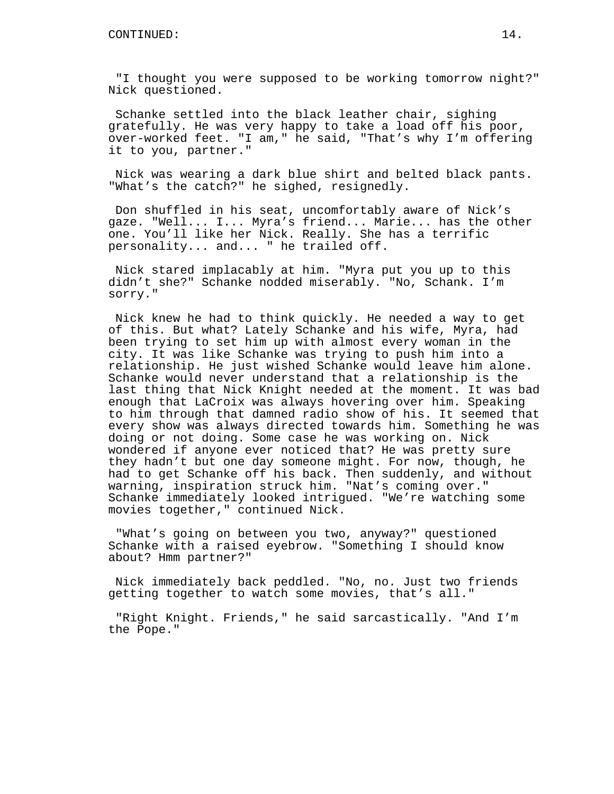"I thought you were supposed to be working tomorrow night?" Nick questioned.

Schanke settled into the black leather chair, sighing gratefully. He was very happy to take a load off his poor, over-worked feet. "I am," he said, "That's why I'm offering it to you, partner."

Nick was wearing a dark blue shirt and belted black pants. "What's the catch?" he sighed, resignedly.

Don shuffled in his seat, uncomfortably aware of Nick's gaze. "Well... I... Myra's friend... Marie... has the other one. You'll like her Nick. Really. She has a terrific personality... and... " he trailed off.

Nick stared implacably at him. "Myra put you up to this didn't she?" Schanke nodded miserably. "No, Schank. I'm sorry."

Nick knew he had to think quickly. He needed a way to get of this. But what? Lately Schanke and his wife, Myra, had been trying to set him up with almost every woman in the city. It was like Schanke was trying to push him into a relationship. He just wished Schanke would leave him alone. Schanke would never understand that a relationship is the last thing that Nick Knight needed at the moment. It was bad enough that LaCroix was always hovering over him. Speaking to him through that damned radio show of his. It seemed that every show was always directed towards him. Something he was doing or not doing. Some case he was working on. Nick wondered if anyone ever noticed that? He was pretty sure they hadn't but one day someone might. For now, though, he had to get Schanke off his back. Then suddenly, and without warning, inspiration struck him. "Nat's coming over." Schanke immediately looked intrigued. "We're watching some movies together," continued Nick.

"What's going on between you two, anyway?" questioned Schanke with a raised eyebrow. "Something I should know about? Hmm partner?"

Nick immediately back peddled. "No, no. Just two friends getting together to watch some movies, that's all."

"Right Knight. Friends," he said sarcastically. "And I'm the Pope."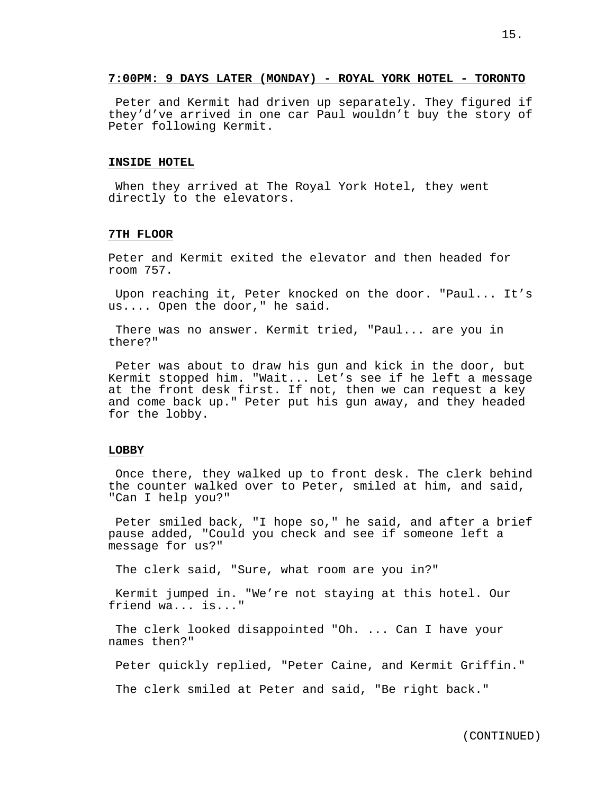# **7:00PM: 9 DAYS LATER (MONDAY) - ROYAL YORK HOTEL - TORONTO**

Peter and Kermit had driven up separately. They figured if they'd've arrived in one car Paul wouldn't buy the story of Peter following Kermit.

### **INSIDE HOTEL**

When they arrived at The Royal York Hotel, they went directly to the elevators.

#### **7TH FLOOR**

Peter and Kermit exited the elevator and then headed for room 757.

Upon reaching it, Peter knocked on the door. "Paul... It's us.... Open the door," he said.

There was no answer. Kermit tried, "Paul... are you in there?"

Peter was about to draw his gun and kick in the door, but Kermit stopped him. "Wait... Let's see if he left a message at the front desk first. If not, then we can request a key and come back up." Peter put his gun away, and they headed for the lobby.

## **LOBBY**

Once there, they walked up to front desk. The clerk behind the counter walked over to Peter, smiled at him, and said, "Can I help you?"

Peter smiled back, "I hope so," he said, and after a brief pause added, "Could you check and see if someone left a message for us?"

The clerk said, "Sure, what room are you in?"

Kermit jumped in. "We're not staying at this hotel. Our friend wa... is..."

The clerk looked disappointed "Oh. ... Can I have your names then?"

Peter quickly replied, "Peter Caine, and Kermit Griffin."

The clerk smiled at Peter and said, "Be right back."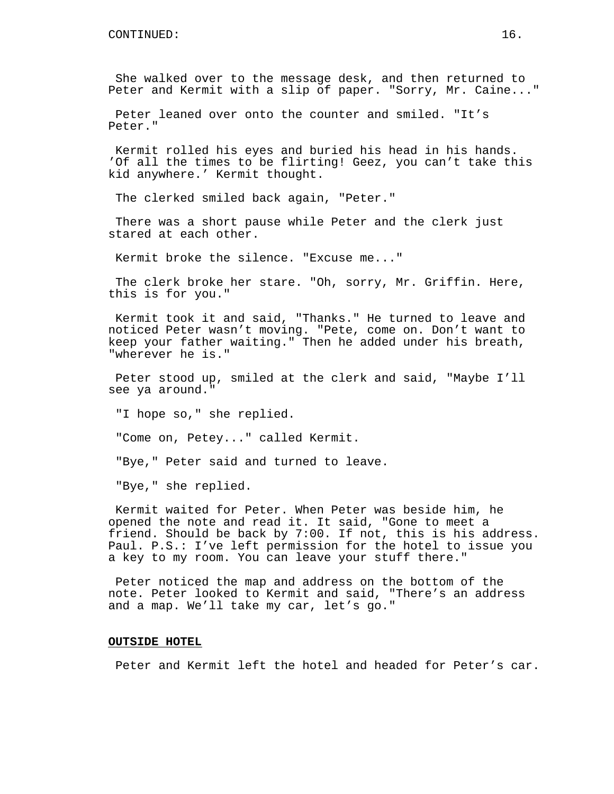She walked over to the message desk, and then returned to Peter and Kermit with a slip of paper. "Sorry, Mr. Caine..."

Peter leaned over onto the counter and smiled. "It's Peter."

Kermit rolled his eyes and buried his head in his hands. 'Of all the times to be flirting! Geez, you can't take this kid anywhere.' Kermit thought.

The clerked smiled back again, "Peter."

There was a short pause while Peter and the clerk just stared at each other.

Kermit broke the silence. "Excuse me..."

The clerk broke her stare. "Oh, sorry, Mr. Griffin. Here, this is for you."

Kermit took it and said, "Thanks." He turned to leave and noticed Peter wasn't moving. "Pete, come on. Don't want to keep your father waiting." Then he added under his breath, "wherever he is."

Peter stood up, smiled at the clerk and said, "Maybe I'll see ya around."

"I hope so," she replied.

"Come on, Petey..." called Kermit.

"Bye," Peter said and turned to leave.

"Bye," she replied.

Kermit waited for Peter. When Peter was beside him, he opened the note and read it. It said, "Gone to meet a friend. Should be back by 7:00. If not, this is his address. Paul. P.S.: I've left permission for the hotel to issue you a key to my room. You can leave your stuff there."

Peter noticed the map and address on the bottom of the note. Peter looked to Kermit and said, "There's an address and a map. We'll take my car, let's go."

# **OUTSIDE HOTEL**

Peter and Kermit left the hotel and headed for Peter's car.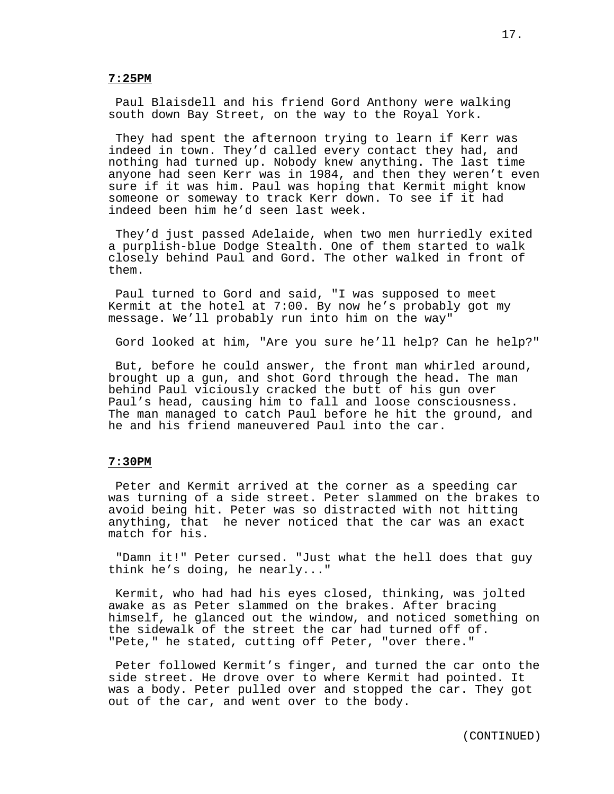## **7:25PM**

Paul Blaisdell and his friend Gord Anthony were walking south down Bay Street, on the way to the Royal York.

They had spent the afternoon trying to learn if Kerr was indeed in town. They'd called every contact they had, and nothing had turned up. Nobody knew anything. The last time anyone had seen Kerr was in 1984, and then they weren't even sure if it was him. Paul was hoping that Kermit might know someone or someway to track Kerr down. To see if it had indeed been him he'd seen last week.

They'd just passed Adelaide, when two men hurriedly exited a purplish-blue Dodge Stealth. One of them started to walk closely behind Paul and Gord. The other walked in front of them.

Paul turned to Gord and said, "I was supposed to meet Kermit at the hotel at 7:00. By now he's probably got my message. We'll probably run into him on the way"

Gord looked at him, "Are you sure he'll help? Can he help?"

But, before he could answer, the front man whirled around, brought up a gun, and shot Gord through the head. The man behind Paul viciously cracked the butt of his gun over Paul's head, causing him to fall and loose consciousness. The man managed to catch Paul before he hit the ground, and he and his friend maneuvered Paul into the car.

# **7:30PM**

Peter and Kermit arrived at the corner as a speeding car was turning of a side street. Peter slammed on the brakes to avoid being hit. Peter was so distracted with not hitting anything, that he never noticed that the car was an exact match for his.

"Damn it!" Peter cursed. "Just what the hell does that guy think he's doing, he nearly..."

Kermit, who had had his eyes closed, thinking, was jolted awake as as Peter slammed on the brakes. After bracing himself, he glanced out the window, and noticed something on the sidewalk of the street the car had turned off of. "Pete," he stated, cutting off Peter, "over there."

Peter followed Kermit's finger, and turned the car onto the side street. He drove over to where Kermit had pointed. It was a body. Peter pulled over and stopped the car. They got out of the car, and went over to the body.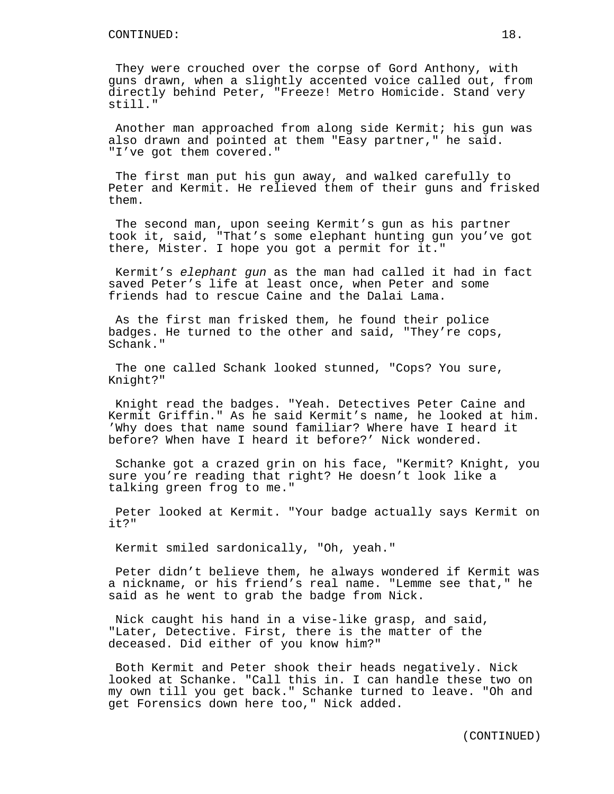They were crouched over the corpse of Gord Anthony, with guns drawn, when a slightly accented voice called out, from directly behind Peter, "Freeze! Metro Homicide. Stand very still."

Another man approached from along side Kermit; his gun was also drawn and pointed at them "Easy partner," he said. "I've got them covered."

The first man put his gun away, and walked carefully to Peter and Kermit. He relieved them of their guns and frisked them.

The second man, upon seeing Kermit's gun as his partner took it, said, "That's some elephant hunting gun you've got there, Mister. I hope you got a permit for it."

Kermit's elephant gun as the man had called it had in fact saved Peter's life at least once, when Peter and some friends had to rescue Caine and the Dalai Lama.

As the first man frisked them, he found their police badges. He turned to the other and said, "They're cops, Schank."

The one called Schank looked stunned, "Cops? You sure, Knight?"

Knight read the badges. "Yeah. Detectives Peter Caine and Kermit Griffin." As he said Kermit's name, he looked at him. 'Why does that name sound familiar? Where have I heard it before? When have I heard it before?' Nick wondered.

Schanke got a crazed grin on his face, "Kermit? Knight, you sure you're reading that right? He doesn't look like a talking green frog to me."

Peter looked at Kermit. "Your badge actually says Kermit on it?"

Kermit smiled sardonically, "Oh, yeah."

Peter didn't believe them, he always wondered if Kermit was a nickname, or his friend's real name. "Lemme see that," he said as he went to grab the badge from Nick.

Nick caught his hand in a vise-like grasp, and said, "Later, Detective. First, there is the matter of the deceased. Did either of you know him?"

Both Kermit and Peter shook their heads negatively. Nick looked at Schanke. "Call this in. I can handle these two on my own till you get back." Schanke turned to leave. "Oh and get Forensics down here too," Nick added.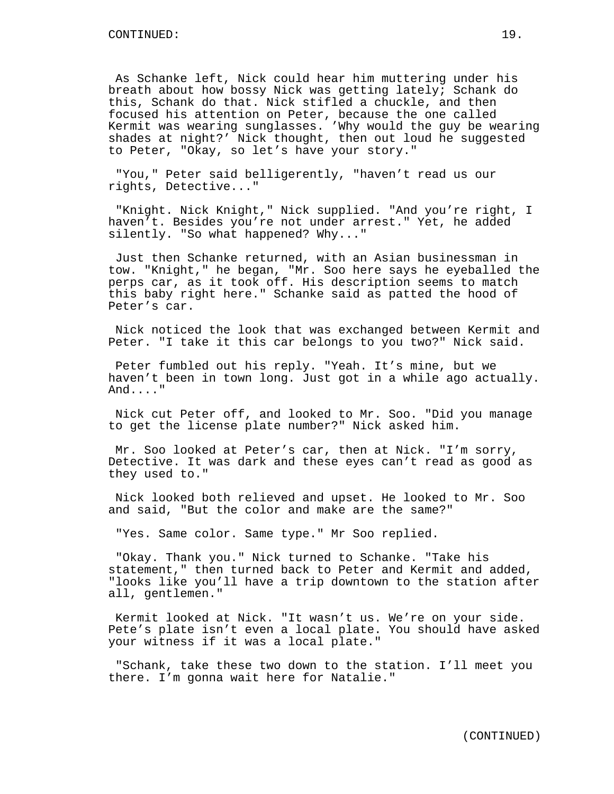As Schanke left, Nick could hear him muttering under his breath about how bossy Nick was getting lately; Schank do this, Schank do that. Nick stifled a chuckle, and then focused his attention on Peter, because the one called Kermit was wearing sunglasses. 'Why would the guy be wearing shades at night?' Nick thought, then out loud he suggested to Peter, "Okay, so let's have your story."

"You," Peter said belligerently, "haven't read us our rights, Detective..."

"Knight. Nick Knight," Nick supplied. "And you're right, I haven't. Besides you're not under arrest." Yet, he added silently. "So what happened? Why..."

Just then Schanke returned, with an Asian businessman in tow. "Knight," he began, "Mr. Soo here says he eyeballed the perps car, as it took off. His description seems to match this baby right here." Schanke said as patted the hood of Peter's car.

Nick noticed the look that was exchanged between Kermit and Peter. "I take it this car belongs to you two?" Nick said.

Peter fumbled out his reply. "Yeah. It's mine, but we haven't been in town long. Just got in a while ago actually. And...."

Nick cut Peter off, and looked to Mr. Soo. "Did you manage to get the license plate number?" Nick asked him.

Mr. Soo looked at Peter's car, then at Nick. "I'm sorry, Detective. It was dark and these eyes can't read as good as they used to."

Nick looked both relieved and upset. He looked to Mr. Soo and said, "But the color and make are the same?"

"Yes. Same color. Same type." Mr Soo replied.

"Okay. Thank you." Nick turned to Schanke. "Take his statement," then turned back to Peter and Kermit and added, "looks like you'll have a trip downtown to the station after all, gentlemen."

Kermit looked at Nick. "It wasn't us. We're on your side. Pete's plate isn't even a local plate. You should have asked your witness if it was a local plate."

"Schank, take these two down to the station. I'll meet you there. I'm gonna wait here for Natalie."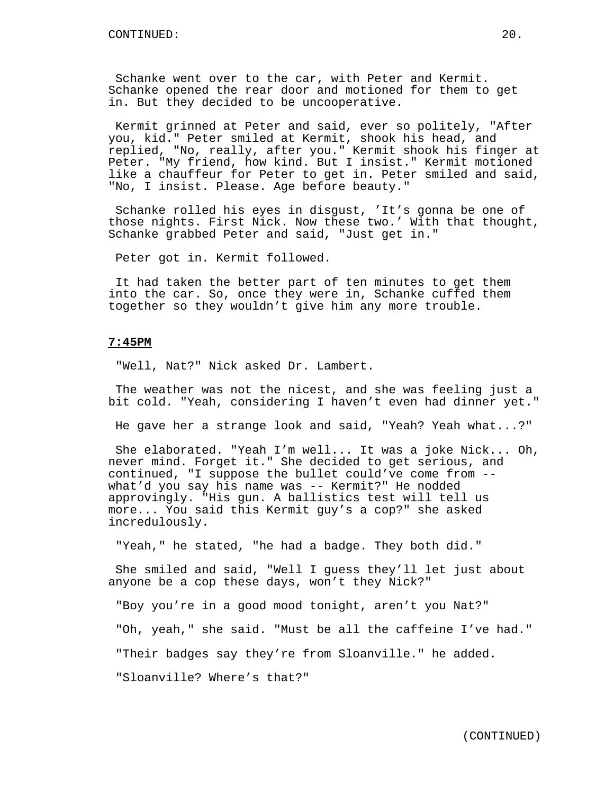Schanke went over to the car, with Peter and Kermit. Schanke opened the rear door and motioned for them to get in. But they decided to be uncooperative.

Kermit grinned at Peter and said, ever so politely, "After you, kid." Peter smiled at Kermit, shook his head, and replied, "No, really, after you." Kermit shook his finger at Peter. "My friend, how kind. But I insist." Kermit motioned like a chauffeur for Peter to get in. Peter smiled and said, "No, I insist. Please. Age before beauty."

Schanke rolled his eyes in disgust, 'It's gonna be one of those nights. First Nick. Now these two.' With that thought, Schanke grabbed Peter and said, "Just get in."

Peter got in. Kermit followed.

It had taken the better part of ten minutes to get them into the car. So, once they were in, Schanke cuffed them together so they wouldn't give him any more trouble.

# **7:45PM**

"Well, Nat?" Nick asked Dr. Lambert.

The weather was not the nicest, and she was feeling just a bit cold. "Yeah, considering I haven't even had dinner yet."

He gave her a strange look and said, "Yeah? Yeah what...?"

She elaborated. "Yeah I'm well... It was a joke Nick... Oh, never mind. Forget it." She decided to get serious, and continued, "I suppose the bullet could've come from - what'd you say his name was -- Kermit?" He nodded approvingly. "His gun. A ballistics test will tell us more... You said this Kermit guy's a cop?" she asked incredulously.

"Yeah," he stated, "he had a badge. They both did."

She smiled and said, "Well I guess they'll let just about anyone be a cop these days, won't they Nick?"

"Boy you're in a good mood tonight, aren't you Nat?"

"Oh, yeah," she said. "Must be all the caffeine I've had."

"Their badges say they're from Sloanville." he added.

"Sloanville? Where's that?"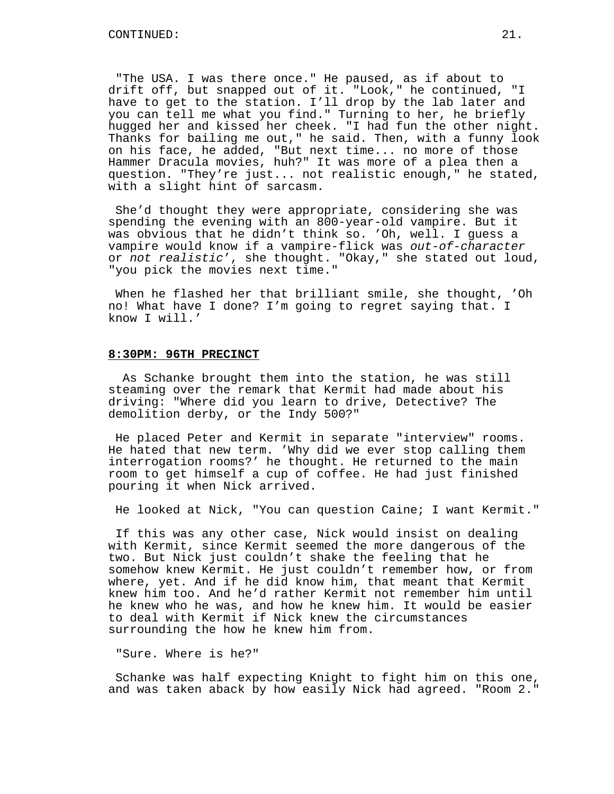"The USA. I was there once." He paused, as if about to drift off, but snapped out of it. "Look," he continued, "I have to get to the station. I'll drop by the lab later and you can tell me what you find." Turning to her, he briefly hugged her and kissed her cheek. "I had fun the other night. Thanks for bailing me out," he said. Then, with a funny look on his face, he added, "But next time... no more of those Hammer Dracula movies, huh?" It was more of a plea then a question. "They're just... not realistic enough," he stated, with a slight hint of sarcasm.

She'd thought they were appropriate, considering she was spending the evening with an 800-year-old vampire. But it was obvious that he didn't think so. 'Oh, well. I guess a vampire would know if a vampire-flick was out-of-character or not realistic', she thought. "Okay," she stated out loud, "you pick the movies next time."

When he flashed her that brilliant smile, she thought, 'Oh no! What have I done? I'm going to regret saying that. I know I will.'

### **8:30PM: 96TH PRECINCT**

As Schanke brought them into the station, he was still steaming over the remark that Kermit had made about his driving: "Where did you learn to drive, Detective? The demolition derby, or the Indy 500?"

He placed Peter and Kermit in separate "interview" rooms. He hated that new term. 'Why did we ever stop calling them interrogation rooms?' he thought. He returned to the main room to get himself a cup of coffee. He had just finished pouring it when Nick arrived.

He looked at Nick, "You can question Caine; I want Kermit."

If this was any other case, Nick would insist on dealing with Kermit, since Kermit seemed the more dangerous of the two. But Nick just couldn't shake the feeling that he somehow knew Kermit. He just couldn't remember how, or from where, yet. And if he did know him, that meant that Kermit knew him too. And he'd rather Kermit not remember him until he knew who he was, and how he knew him. It would be easier to deal with Kermit if Nick knew the circumstances surrounding the how he knew him from.

"Sure. Where is he?"

Schanke was half expecting Knight to fight him on this one, and was taken aback by how easily Nick had agreed. "Room 2."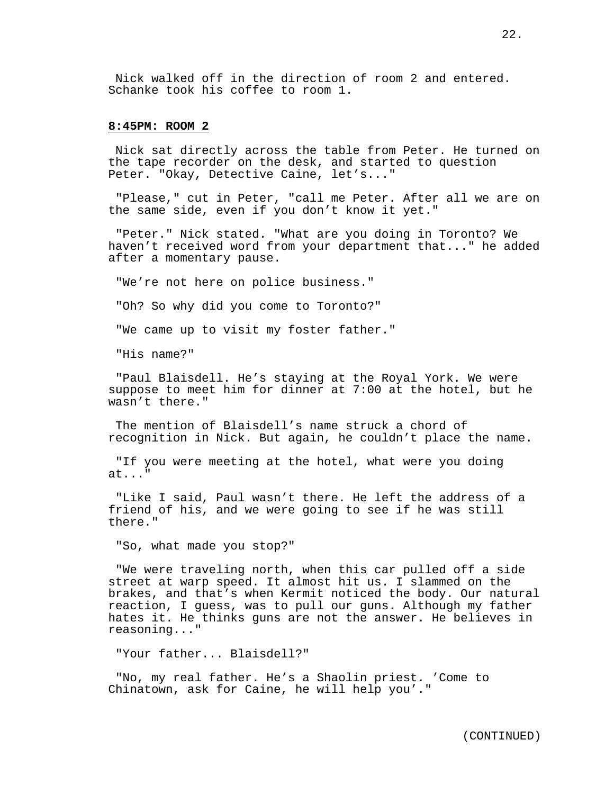Nick walked off in the direction of room 2 and entered. Schanke took his coffee to room 1.

## **8:45PM: ROOM 2**

Nick sat directly across the table from Peter. He turned on the tape recorder on the desk, and started to question Peter. "Okay, Detective Caine, let's..."

"Please," cut in Peter, "call me Peter. After all we are on the same side, even if you don't know it yet."

"Peter." Nick stated. "What are you doing in Toronto? We haven't received word from your department that..." he added after a momentary pause.

"We're not here on police business."

"Oh? So why did you come to Toronto?"

"We came up to visit my foster father."

"His name?"

"Paul Blaisdell. He's staying at the Royal York. We were suppose to meet him for dinner at 7:00 at the hotel, but he wasn't there."

The mention of Blaisdell's name struck a chord of recognition in Nick. But again, he couldn't place the name.

"If you were meeting at the hotel, what were you doing at..."

"Like I said, Paul wasn't there. He left the address of a friend of his, and we were going to see if he was still there."

"So, what made you stop?"

"We were traveling north, when this car pulled off a side street at warp speed. It almost hit us. I slammed on the brakes, and that's when Kermit noticed the body. Our natural reaction, I guess, was to pull our guns. Although my father hates it. He thinks guns are not the answer. He believes in reasoning..."

"Your father... Blaisdell?"

"No, my real father. He's a Shaolin priest. 'Come to Chinatown, ask for Caine, he will help you'."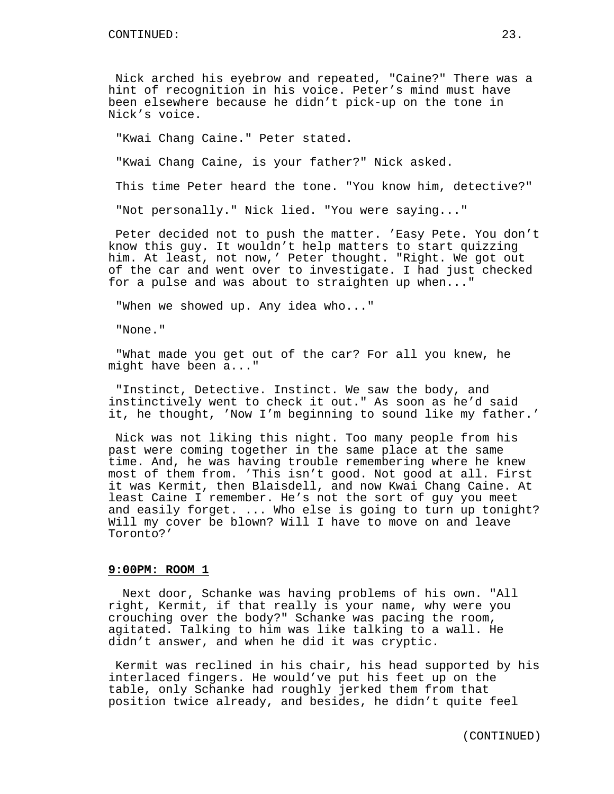Nick arched his eyebrow and repeated, "Caine?" There was a hint of recognition in his voice. Peter's mind must have been elsewhere because he didn't pick-up on the tone in Nick's voice.

"Kwai Chang Caine." Peter stated.

"Kwai Chang Caine, is your father?" Nick asked.

This time Peter heard the tone. "You know him, detective?"

"Not personally." Nick lied. "You were saying..."

Peter decided not to push the matter. 'Easy Pete. You don't know this guy. It wouldn't help matters to start quizzing him. At least, not now,' Peter thought. "Right. We got out of the car and went over to investigate. I had just checked for a pulse and was about to straighten up when..."

"When we showed up. Any idea who..."

"None."

"What made you get out of the car? For all you knew, he might have been a..."

"Instinct, Detective. Instinct. We saw the body, and instinctively went to check it out." As soon as he'd said it, he thought, 'Now I'm beginning to sound like my father.'

Nick was not liking this night. Too many people from his past were coming together in the same place at the same time. And, he was having trouble remembering where he knew most of them from. 'This isn't good. Not good at all. First it was Kermit, then Blaisdell, and now Kwai Chang Caine. At least Caine I remember. He's not the sort of guy you meet and easily forget. ... Who else is going to turn up tonight? Will my cover be blown? Will I have to move on and leave Toronto?'

# **9:00PM: ROOM 1**

Next door, Schanke was having problems of his own. "All right, Kermit, if that really is your name, why were you crouching over the body?" Schanke was pacing the room, agitated. Talking to him was like talking to a wall. He didn't answer, and when he did it was cryptic.

Kermit was reclined in his chair, his head supported by his interlaced fingers. He would've put his feet up on the table, only Schanke had roughly jerked them from that position twice already, and besides, he didn't quite feel

(CONTINUED)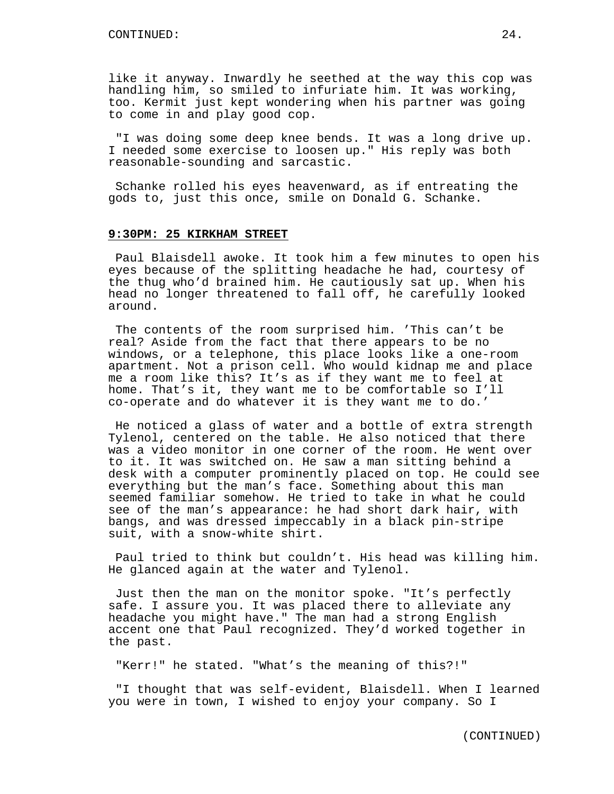like it anyway. Inwardly he seethed at the way this cop was handling him, so smiled to infuriate him. It was working, too. Kermit just kept wondering when his partner was going to come in and play good cop.

"I was doing some deep knee bends. It was a long drive up. I needed some exercise to loosen up." His reply was both reasonable-sounding and sarcastic.

Schanke rolled his eyes heavenward, as if entreating the gods to, just this once, smile on Donald G. Schanke.

### **9:30PM: 25 KIRKHAM STREET**

Paul Blaisdell awoke. It took him a few minutes to open his eyes because of the splitting headache he had, courtesy of the thug who'd brained him. He cautiously sat up. When his head no longer threatened to fall off, he carefully looked around.

The contents of the room surprised him. 'This can't be real? Aside from the fact that there appears to be no windows, or a telephone, this place looks like a one-room apartment. Not a prison cell. Who would kidnap me and place me a room like this? It's as if they want me to feel at home. That's it, they want me to be comfortable so I'll co-operate and do whatever it is they want me to do.'

He noticed a glass of water and a bottle of extra strength Tylenol, centered on the table. He also noticed that there was a video monitor in one corner of the room. He went over to it. It was switched on. He saw a man sitting behind a desk with a computer prominently placed on top. He could see everything but the man's face. Something about this man seemed familiar somehow. He tried to take in what he could see of the man's appearance: he had short dark hair, with bangs, and was dressed impeccably in a black pin-stripe suit, with a snow-white shirt.

Paul tried to think but couldn't. His head was killing him. He glanced again at the water and Tylenol.

Just then the man on the monitor spoke. "It's perfectly safe. I assure you. It was placed there to alleviate any headache you might have." The man had a strong English accent one that Paul recognized. They'd worked together in the past.

"Kerr!" he stated. "What's the meaning of this?!"

"I thought that was self-evident, Blaisdell. When I learned you were in town, I wished to enjoy your company. So I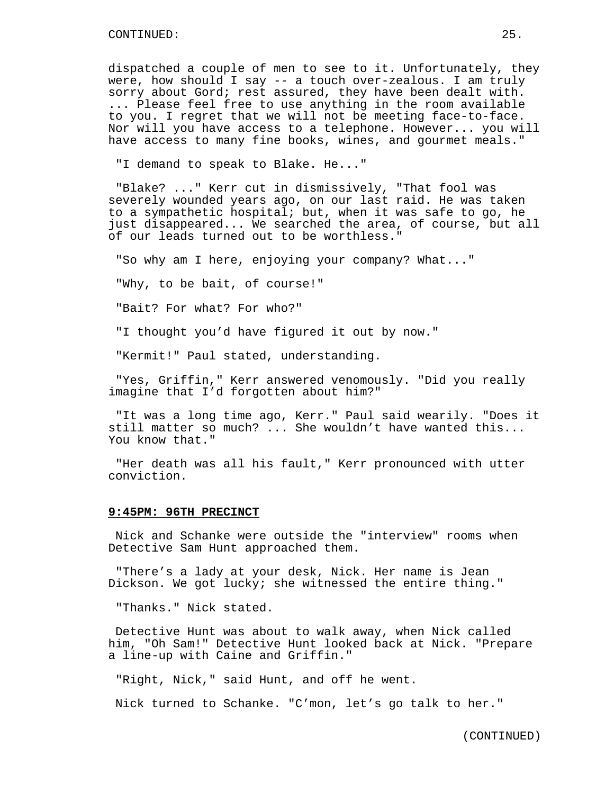dispatched a couple of men to see to it. Unfortunately, they were, how should I say -- a touch over-zealous. I am truly sorry about Gord; rest assured, they have been dealt with. ... Please feel free to use anything in the room available to you. I regret that we will not be meeting face-to-face. Nor will you have access to a telephone. However... you will have access to many fine books, wines, and gourmet meals."

"I demand to speak to Blake. He..."

"Blake? ..." Kerr cut in dismissively, "That fool was severely wounded years ago, on our last raid. He was taken to a sympathetic hospital; but, when it was safe to go, he just disappeared... We searched the area, of course, but all of our leads turned out to be worthless."

"So why am I here, enjoying your company? What..."

"Why, to be bait, of course!"

"Bait? For what? For who?"

"I thought you'd have figured it out by now."

"Kermit!" Paul stated, understanding.

"Yes, Griffin," Kerr answered venomously. "Did you really imagine that I'd forgotten about him?"

"It was a long time ago, Kerr." Paul said wearily. "Does it still matter so much? ... She wouldn't have wanted this... You know that."

"Her death was all his fault," Kerr pronounced with utter conviction.

# **9:45PM: 96TH PRECINCT**

Nick and Schanke were outside the "interview" rooms when Detective Sam Hunt approached them.

"There's a lady at your desk, Nick. Her name is Jean Dickson. We got lucky; she witnessed the entire thing."

"Thanks." Nick stated.

Detective Hunt was about to walk away, when Nick called him, "Oh Sam!" Detective Hunt looked back at Nick. "Prepare a line-up with Caine and Griffin."

"Right, Nick," said Hunt, and off he went.

Nick turned to Schanke. "C'mon, let's go talk to her."

(CONTINUED)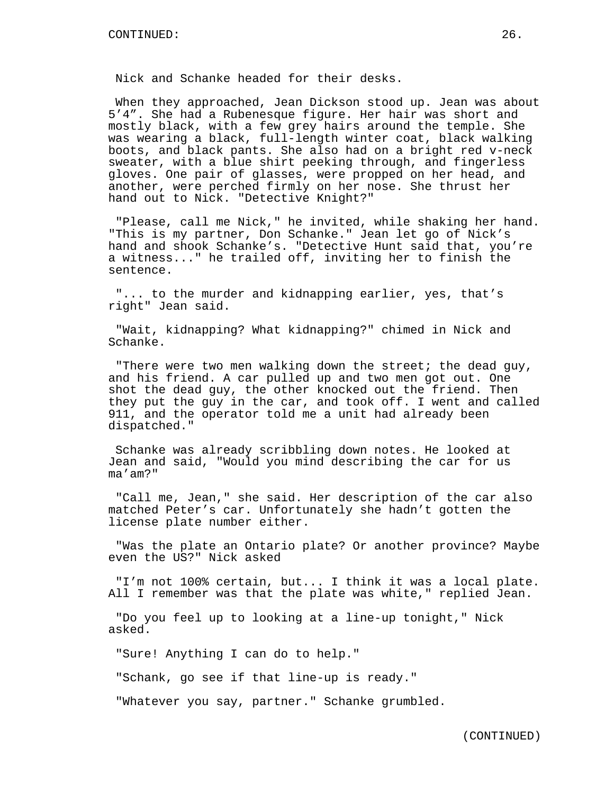Nick and Schanke headed for their desks.

When they approached, Jean Dickson stood up. Jean was about 5'4". She had a Rubenesque figure. Her hair was short and mostly black, with a few grey hairs around the temple. She was wearing a black, full-length winter coat, black walking boots, and black pants. She also had on a bright red v-neck sweater, with a blue shirt peeking through, and fingerless gloves. One pair of glasses, were propped on her head, and another, were perched firmly on her nose. She thrust her hand out to Nick. "Detective Knight?"

"Please, call me Nick," he invited, while shaking her hand. "This is my partner, Don Schanke." Jean let go of Nick's hand and shook Schanke's. "Detective Hunt said that, you're a witness..." he trailed off, inviting her to finish the sentence.

"... to the murder and kidnapping earlier, yes, that's right" Jean said.

"Wait, kidnapping? What kidnapping?" chimed in Nick and Schanke.

"There were two men walking down the street; the dead guy, and his friend. A car pulled up and two men got out. One shot the dead guy, the other knocked out the friend. Then they put the guy in the car, and took off. I went and called 911, and the operator told me a unit had already been dispatched."

Schanke was already scribbling down notes. He looked at Jean and said, "Would you mind describing the car for us ma'am?"

"Call me, Jean," she said. Her description of the car also matched Peter's car. Unfortunately she hadn't gotten the license plate number either.

"Was the plate an Ontario plate? Or another province? Maybe even the US?" Nick asked

"I'm not 100% certain, but... I think it was a local plate. All I remember was that the plate was white," replied Jean.

"Do you feel up to looking at a line-up tonight," Nick asked.

"Sure! Anything I can do to help."

"Schank, go see if that line-up is ready."

"Whatever you say, partner." Schanke grumbled.

(CONTINUED)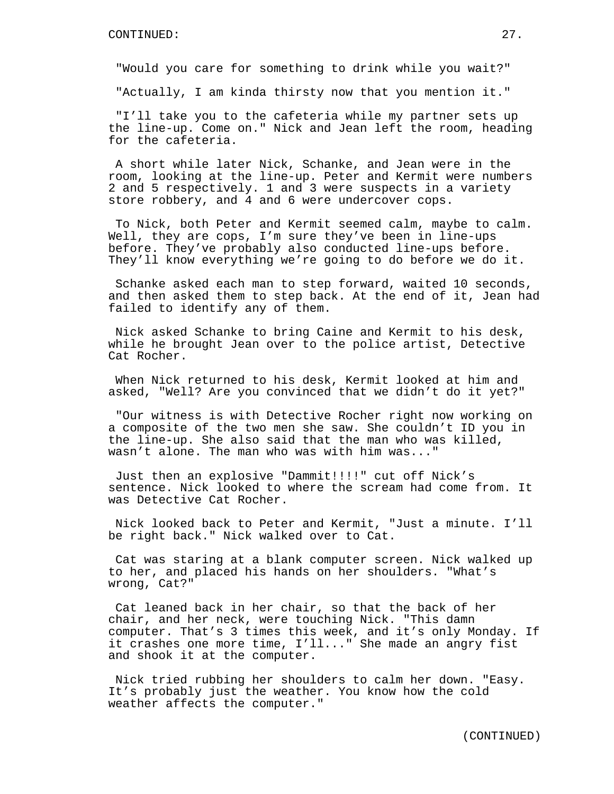"Would you care for something to drink while you wait?"

"Actually, I am kinda thirsty now that you mention it."

"I'll take you to the cafeteria while my partner sets up the line-up. Come on." Nick and Jean left the room, heading for the cafeteria.

A short while later Nick, Schanke, and Jean were in the room, looking at the line-up. Peter and Kermit were numbers 2 and 5 respectively. 1 and 3 were suspects in a variety store robbery, and 4 and 6 were undercover cops.

To Nick, both Peter and Kermit seemed calm, maybe to calm. Well, they are cops, I'm sure they've been in line-ups before. They've probably also conducted line-ups before. They'll know everything we're going to do before we do it.

Schanke asked each man to step forward, waited 10 seconds, and then asked them to step back. At the end of it, Jean had failed to identify any of them.

Nick asked Schanke to bring Caine and Kermit to his desk, while he brought Jean over to the police artist, Detective Cat Rocher.

When Nick returned to his desk, Kermit looked at him and asked, "Well? Are you convinced that we didn't do it yet?"

"Our witness is with Detective Rocher right now working on a composite of the two men she saw. She couldn't ID you in the line-up. She also said that the man who was killed, wasn't alone. The man who was with him was..."

Just then an explosive "Dammit!!!!" cut off Nick's sentence. Nick looked to where the scream had come from. It was Detective Cat Rocher.

Nick looked back to Peter and Kermit, "Just a minute. I'll be right back." Nick walked over to Cat.

Cat was staring at a blank computer screen. Nick walked up to her, and placed his hands on her shoulders. "What's wrong, Cat?"

Cat leaned back in her chair, so that the back of her chair, and her neck, were touching Nick. "This damn computer. That's 3 times this week, and it's only Monday. If it crashes one more time, I'll..." She made an angry fist and shook it at the computer.

Nick tried rubbing her shoulders to calm her down. "Easy. It's probably just the weather. You know how the cold weather affects the computer."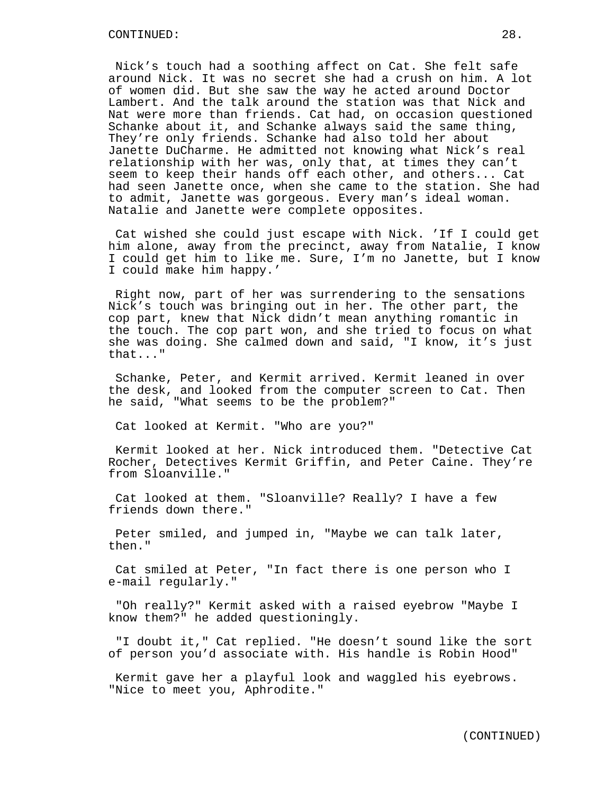Nick's touch had a soothing affect on Cat. She felt safe around Nick. It was no secret she had a crush on him. A lot of women did. But she saw the way he acted around Doctor Lambert. And the talk around the station was that Nick and Nat were more than friends. Cat had, on occasion questioned Schanke about it, and Schanke always said the same thing, They're only friends. Schanke had also told her about Janette DuCharme. He admitted not knowing what Nick's real relationship with her was, only that, at times they can't seem to keep their hands off each other, and others... Cat had seen Janette once, when she came to the station. She had to admit, Janette was gorgeous. Every man's ideal woman. Natalie and Janette were complete opposites.

Cat wished she could just escape with Nick. 'If I could get him alone, away from the precinct, away from Natalie, I know I could get him to like me. Sure, I'm no Janette, but I know I could make him happy.'

Right now, part of her was surrendering to the sensations Nick's touch was bringing out in her. The other part, the cop part, knew that Nick didn't mean anything romantic in the touch. The cop part won, and she tried to focus on what she was doing. She calmed down and said, "I know, it's just that..."

Schanke, Peter, and Kermit arrived. Kermit leaned in over the desk, and looked from the computer screen to Cat. Then he said, "What seems to be the problem?"

Cat looked at Kermit. "Who are you?"

Kermit looked at her. Nick introduced them. "Detective Cat Rocher, Detectives Kermit Griffin, and Peter Caine. They're from Sloanville."

Cat looked at them. "Sloanville? Really? I have a few friends down there."

Peter smiled, and jumped in, "Maybe we can talk later, then."

Cat smiled at Peter, "In fact there is one person who I e-mail regularly."

"Oh really?" Kermit asked with a raised eyebrow "Maybe I know them?" he added questioningly.

"I doubt it," Cat replied. "He doesn't sound like the sort of person you'd associate with. His handle is Robin Hood"

Kermit gave her a playful look and waggled his eyebrows. "Nice to meet you, Aphrodite."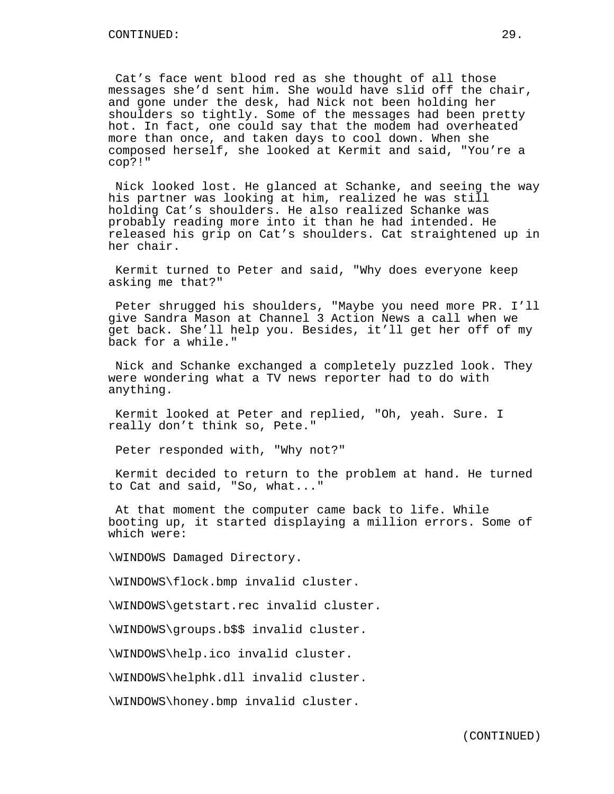Cat's face went blood red as she thought of all those messages she'd sent him. She would have slid off the chair, and gone under the desk, had Nick not been holding her shoulders so tightly. Some of the messages had been pretty hot. In fact, one could say that the modem had overheated more than once, and taken days to cool down. When she composed herself, she looked at Kermit and said, "You're a cop?!"

Nick looked lost. He glanced at Schanke, and seeing the way his partner was looking at him, realized he was still holding Cat's shoulders. He also realized Schanke was probably reading more into it than he had intended. He released his grip on Cat's shoulders. Cat straightened up in her chair.

Kermit turned to Peter and said, "Why does everyone keep asking me that?"

Peter shrugged his shoulders, "Maybe you need more PR. I'll give Sandra Mason at Channel 3 Action News a call when we get back. She'll help you. Besides, it'll get her off of my back for a while."

Nick and Schanke exchanged a completely puzzled look. They were wondering what a TV news reporter had to do with anything.

Kermit looked at Peter and replied, "Oh, yeah. Sure. I really don't think so, Pete."

Peter responded with, "Why not?"

Kermit decided to return to the problem at hand. He turned to Cat and said, "So, what..."

At that moment the computer came back to life. While booting up, it started displaying a million errors. Some of which were:

\WINDOWS Damaged Directory.

\WINDOWS\flock.bmp invalid cluster.

\WINDOWS\getstart.rec invalid cluster.

\WINDOWS\groups.b\$\$ invalid cluster.

\WINDOWS\help.ico invalid cluster.

\WINDOWS\helphk.dll invalid cluster.

\WINDOWS\honey.bmp invalid cluster.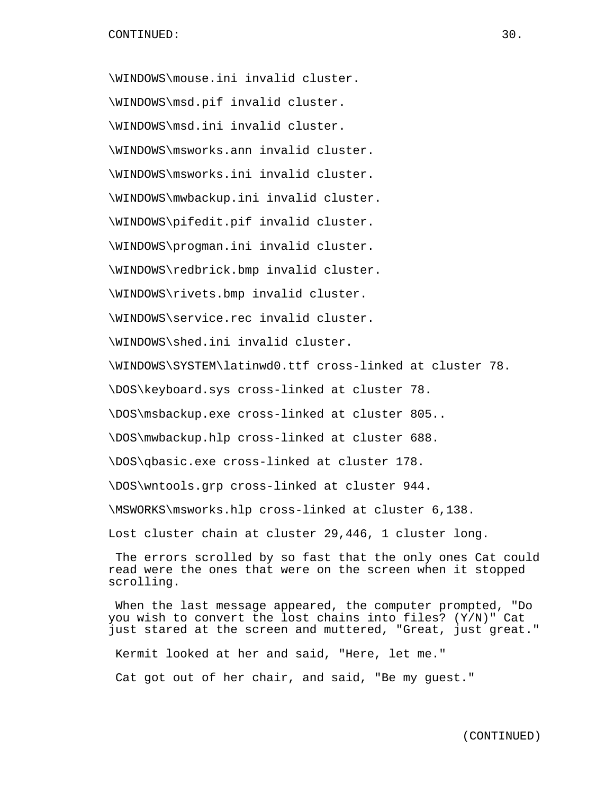\WINDOWS\mouse.ini invalid cluster. \WINDOWS\msd.pif invalid cluster. \WINDOWS\msd.ini invalid cluster. \WINDOWS\msworks.ann invalid cluster. \WINDOWS\msworks.ini invalid cluster. \WINDOWS\mwbackup.ini invalid cluster. \WINDOWS\pifedit.pif invalid cluster. \WINDOWS\progman.ini invalid cluster. \WINDOWS\redbrick.bmp invalid cluster. \WINDOWS\rivets.bmp invalid cluster. \WINDOWS\service.rec invalid cluster. \WINDOWS\shed.ini invalid cluster. \WINDOWS\SYSTEM\latinwd0.ttf cross-linked at cluster 78. \DOS\keyboard.sys cross-linked at cluster 78. \DOS\msbackup.exe cross-linked at cluster 805.. \DOS\mwbackup.hlp cross-linked at cluster 688. \DOS\qbasic.exe cross-linked at cluster 178. \DOS\wntools.grp cross-linked at cluster 944. \MSWORKS\msworks.hlp cross-linked at cluster 6,138. Lost cluster chain at cluster 29,446, 1 cluster long. The errors scrolled by so fast that the only ones Cat could read were the ones that were on the screen when it stopped scrolling.

When the last message appeared, the computer prompted, "Do you wish to convert the lost chains into files? (Y/N)" Cat just stared at the screen and muttered, "Great, just great." Kermit looked at her and said, "Here, let me." Cat got out of her chair, and said, "Be my guest."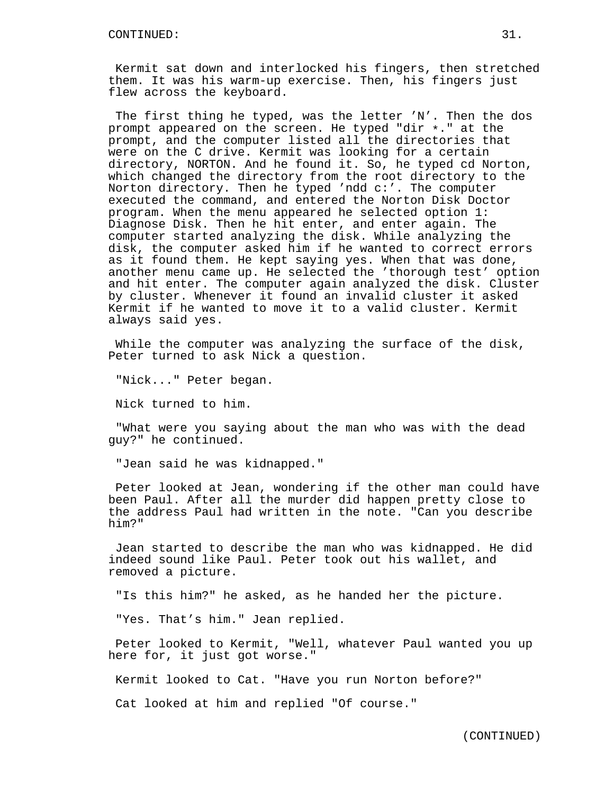Kermit sat down and interlocked his fingers, then stretched them. It was his warm-up exercise. Then, his fingers just flew across the keyboard.

The first thing he typed, was the letter 'N'. Then the dos prompt appeared on the screen. He typed "dir \*." at the prompt, and the computer listed all the directories that were on the C drive. Kermit was looking for a certain directory, NORTON. And he found it. So, he typed cd Norton, which changed the directory from the root directory to the Norton directory. Then he typed 'ndd c:'. The computer executed the command, and entered the Norton Disk Doctor program. When the menu appeared he selected option 1: Diagnose Disk. Then he hit enter, and enter again. The computer started analyzing the disk. While analyzing the disk, the computer asked him if he wanted to correct errors as it found them. He kept saying yes. When that was done, another menu came up. He selected the 'thorough test' option and hit enter. The computer again analyzed the disk. Cluster by cluster. Whenever it found an invalid cluster it asked Kermit if he wanted to move it to a valid cluster. Kermit always said yes.

While the computer was analyzing the surface of the disk, Peter turned to ask Nick a question.

"Nick..." Peter began.

Nick turned to him.

"What were you saying about the man who was with the dead guy?" he continued.

"Jean said he was kidnapped."

Peter looked at Jean, wondering if the other man could have been Paul. After all the murder did happen pretty close to the address Paul had written in the note. "Can you describe him?"

Jean started to describe the man who was kidnapped. He did indeed sound like Paul. Peter took out his wallet, and removed a picture.

"Is this him?" he asked, as he handed her the picture.

"Yes. That's him." Jean replied.

Peter looked to Kermit, "Well, whatever Paul wanted you up here for, it just got worse."

Kermit looked to Cat. "Have you run Norton before?"

Cat looked at him and replied "Of course."

(CONTINUED)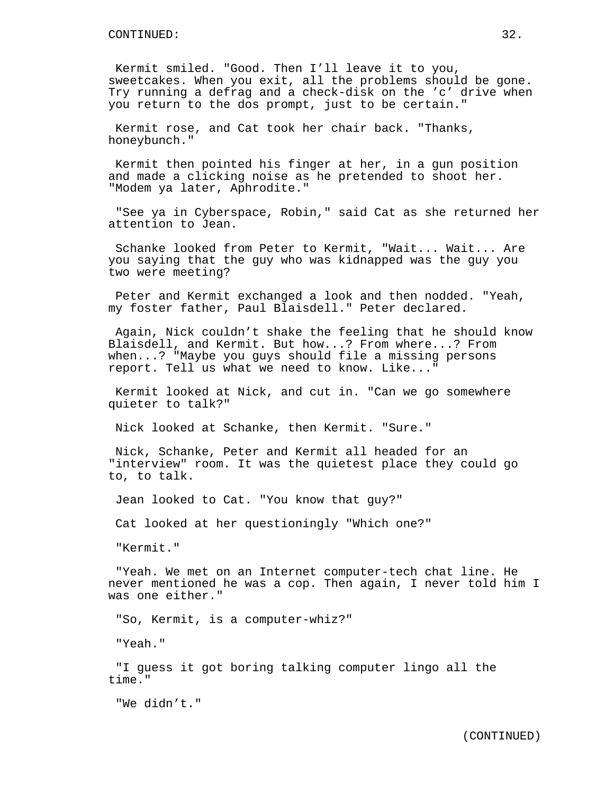Kermit smiled. "Good. Then I'll leave it to you, sweetcakes. When you exit, all the problems should be gone. Try running a defrag and a check-disk on the 'c' drive when you return to the dos prompt, just to be certain."

Kermit rose, and Cat took her chair back. "Thanks, honeybunch."

Kermit then pointed his finger at her, in a gun position and made a clicking noise as he pretended to shoot her. "Modem ya later, Aphrodite."

"See ya in Cyberspace, Robin," said Cat as she returned her attention to Jean.

Schanke looked from Peter to Kermit, "Wait... Wait... Are you saying that the guy who was kidnapped was the guy you two were meeting?

Peter and Kermit exchanged a look and then nodded. "Yeah, my foster father, Paul Blaisdell." Peter declared.

Again, Nick couldn't shake the feeling that he should know Blaisdell, and Kermit. But how...? From where...? From when...? "Maybe you guys should file a missing persons report. Tell us what we need to know. Like..."

Kermit looked at Nick, and cut in. "Can we go somewhere quieter to talk?"

Nick looked at Schanke, then Kermit. "Sure."

Nick, Schanke, Peter and Kermit all headed for an "interview" room. It was the quietest place they could go to, to talk.

Jean looked to Cat. "You know that guy?"

Cat looked at her questioningly "Which one?"

"Kermit."

"Yeah. We met on an Internet computer-tech chat line. He never mentioned he was a cop. Then again, I never told him I was one either."

"So, Kermit, is a computer-whiz?"

"Yeah."

"I guess it got boring talking computer lingo all the time."

"We didn't."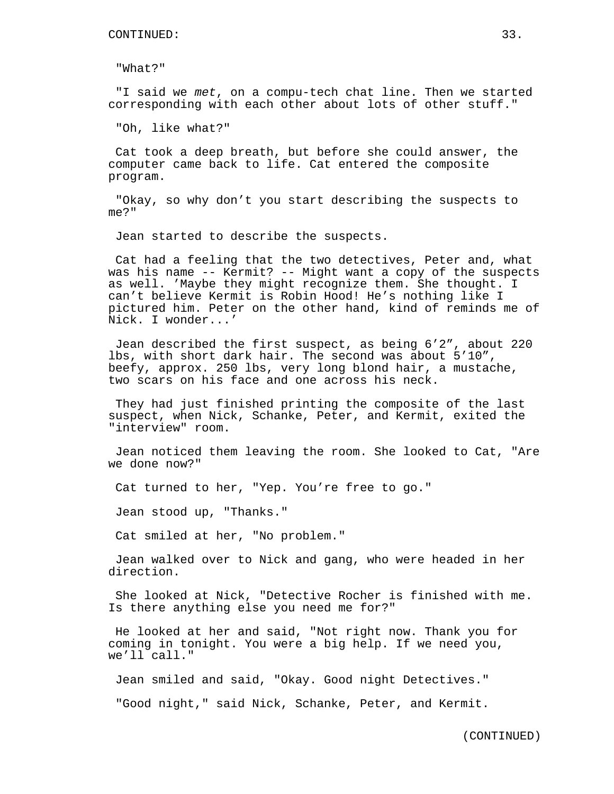"What?"

"I said we met, on a compu-tech chat line. Then we started corresponding with each other about lots of other stuff."

"Oh, like what?"

Cat took a deep breath, but before she could answer, the computer came back to life. Cat entered the composite program.

"Okay, so why don't you start describing the suspects to me?"

Jean started to describe the suspects.

Cat had a feeling that the two detectives, Peter and, what was his name -- Kermit? -- Might want a copy of the suspects as well. 'Maybe they might recognize them. She thought. I can't believe Kermit is Robin Hood! He's nothing like I pictured him. Peter on the other hand, kind of reminds me of Nick. I wonder...'

Jean described the first suspect, as being 6'2", about 220 lbs, with short dark hair. The second was about 5'10", beefy, approx. 250 lbs, very long blond hair, a mustache, two scars on his face and one across his neck.

They had just finished printing the composite of the last suspect, when Nick, Schanke, Peter, and Kermit, exited the "interview" room.

Jean noticed them leaving the room. She looked to Cat, "Are we done now?"

Cat turned to her, "Yep. You're free to go."

Jean stood up, "Thanks."

Cat smiled at her, "No problem."

Jean walked over to Nick and gang, who were headed in her direction.

She looked at Nick, "Detective Rocher is finished with me. Is there anything else you need me for?"

He looked at her and said, "Not right now. Thank you for coming in tonight. You were a big help. If we need you, we'll call."

Jean smiled and said, "Okay. Good night Detectives."

"Good night," said Nick, Schanke, Peter, and Kermit.

(CONTINUED)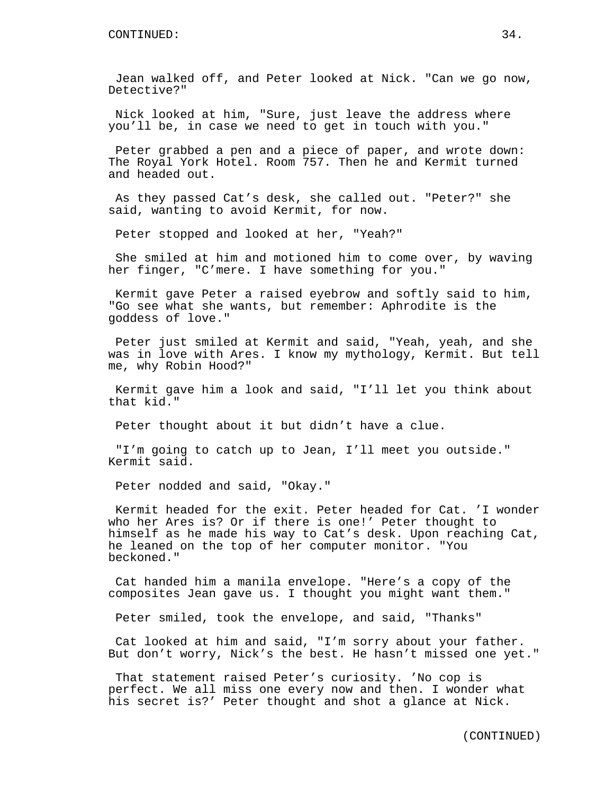Jean walked off, and Peter looked at Nick. "Can we go now, Detective?"

Nick looked at him, "Sure, just leave the address where you'll be, in case we need to get in touch with you."

Peter grabbed a pen and a piece of paper, and wrote down: The Royal York Hotel. Room 757. Then he and Kermit turned and headed out.

As they passed Cat's desk, she called out. "Peter?" she said, wanting to avoid Kermit, for now.

Peter stopped and looked at her, "Yeah?"

She smiled at him and motioned him to come over, by waving her finger, "C'mere. I have something for you."

Kermit gave Peter a raised eyebrow and softly said to him, "Go see what she wants, but remember: Aphrodite is the goddess of love."

Peter just smiled at Kermit and said, "Yeah, yeah, and she was in love with Ares. I know my mythology, Kermit. But tell me, why Robin Hood?"

Kermit gave him a look and said, "I'll let you think about that kid."

Peter thought about it but didn't have a clue.

"I'm going to catch up to Jean, I'll meet you outside." Kermit said.

Peter nodded and said, "Okay."

Kermit headed for the exit. Peter headed for Cat. 'I wonder who her Ares is? Or if there is one!' Peter thought to himself as he made his way to Cat's desk. Upon reaching Cat, he leaned on the top of her computer monitor. "You beckoned."

Cat handed him a manila envelope. "Here's a copy of the composites Jean gave us. I thought you might want them."

Peter smiled, took the envelope, and said, "Thanks"

Cat looked at him and said, "I'm sorry about your father. But don't worry, Nick's the best. He hasn't missed one yet."

That statement raised Peter's curiosity. 'No cop is perfect. We all miss one every now and then. I wonder what his secret is?' Peter thought and shot a glance at Nick.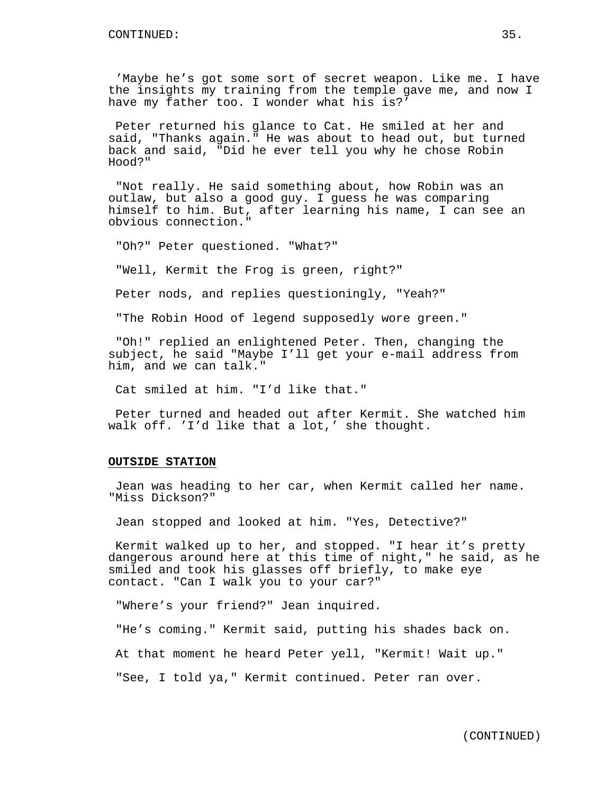'Maybe he's got some sort of secret weapon. Like me. I have the insights my training from the temple gave me, and now I have my father too. I wonder what his is?'

Peter returned his glance to Cat. He smiled at her and said, "Thanks again." He was about to head out, but turned back and said, "Did he ever tell you why he chose Robin Hood?"

"Not really. He said something about, how Robin was an outlaw, but also a good guy. I guess he was comparing himself to him. But, after learning his name, I can see an obvious connection."

"Oh?" Peter questioned. "What?"

"Well, Kermit the Frog is green, right?"

Peter nods, and replies questioningly, "Yeah?"

"The Robin Hood of legend supposedly wore green."

"Oh!" replied an enlightened Peter. Then, changing the subject, he said "Maybe I'll get your e-mail address from him, and we can talk."

Cat smiled at him. "I'd like that."

Peter turned and headed out after Kermit. She watched him walk off. 'I'd like that a lot,' she thought.

# **OUTSIDE STATION**

Jean was heading to her car, when Kermit called her name. "Miss Dickson?"

Jean stopped and looked at him. "Yes, Detective?"

Kermit walked up to her, and stopped. "I hear it's pretty dangerous around here at this time of night," he said, as he smiled and took his glasses off briefly, to make eye contact. "Can I walk you to your car?"

"Where's your friend?" Jean inquired.

"He's coming." Kermit said, putting his shades back on.

At that moment he heard Peter yell, "Kermit! Wait up."

"See, I told ya," Kermit continued. Peter ran over.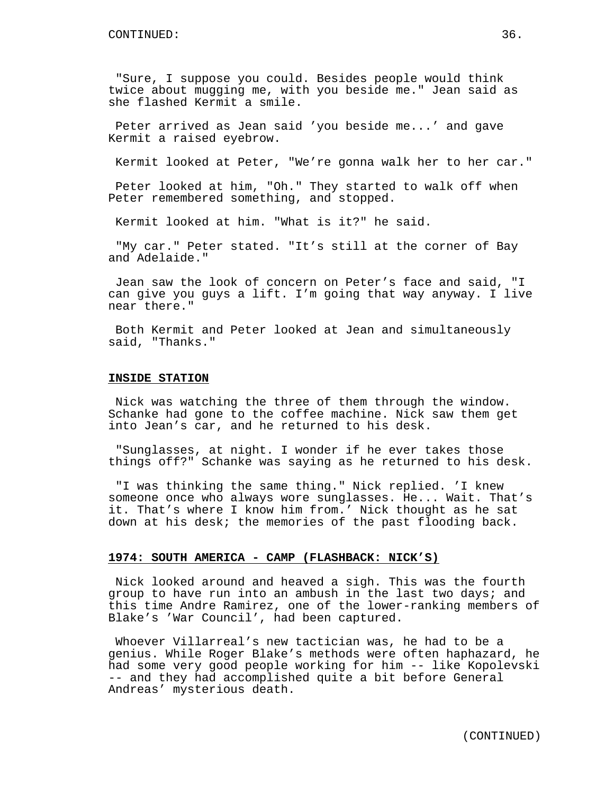"Sure, I suppose you could. Besides people would think twice about mugging me, with you beside me." Jean said as she flashed Kermit a smile.

Peter arrived as Jean said 'you beside me...' and gave Kermit a raised eyebrow.

Kermit looked at Peter, "We're gonna walk her to her car."

Peter looked at him, "Oh." They started to walk off when Peter remembered something, and stopped.

Kermit looked at him. "What is it?" he said.

"My car." Peter stated. "It's still at the corner of Bay and Adelaide."

Jean saw the look of concern on Peter's face and said, "I can give you guys a lift. I'm going that way anyway. I live near there."

Both Kermit and Peter looked at Jean and simultaneously said, "Thanks."

## **INSIDE STATION**

Nick was watching the three of them through the window. Schanke had gone to the coffee machine. Nick saw them get into Jean's car, and he returned to his desk.

"Sunglasses, at night. I wonder if he ever takes those things off?" Schanke was saying as he returned to his desk.

"I was thinking the same thing." Nick replied. 'I knew someone once who always wore sunglasses. He... Wait. That's it. That's where I know him from.' Nick thought as he sat down at his desk; the memories of the past flooding back.

#### **1974: SOUTH AMERICA - CAMP (FLASHBACK: NICK'S)**

Nick looked around and heaved a sigh. This was the fourth group to have run into an ambush in the last two days; and this time Andre Ramirez, one of the lower-ranking members of Blake's 'War Council', had been captured.

Whoever Villarreal's new tactician was, he had to be a genius. While Roger Blake's methods were often haphazard, he had some very good people working for him -- like Kopolevski -- and they had accomplished quite a bit before General Andreas' mysterious death.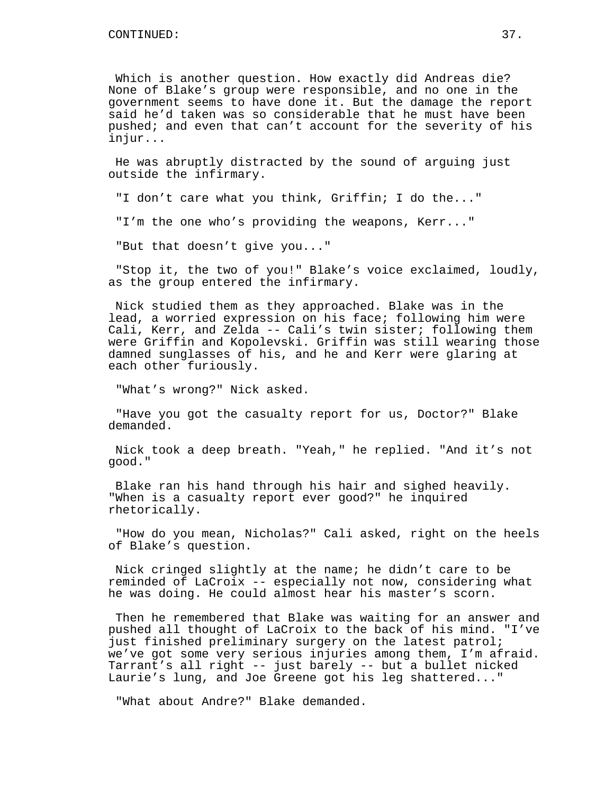Which is another question. How exactly did Andreas die? None of Blake's group were responsible, and no one in the government seems to have done it. But the damage the report said he'd taken was so considerable that he must have been pushed; and even that can't account for the severity of his injur...

He was abruptly distracted by the sound of arguing just outside the infirmary.

"I don't care what you think, Griffin; I do the..."

"I'm the one who's providing the weapons, Kerr..."

"But that doesn't give you..."

"Stop it, the two of you!" Blake's voice exclaimed, loudly, as the group entered the infirmary.

Nick studied them as they approached. Blake was in the lead, a worried expression on his face; following him were Cali, Kerr, and Zelda -- Cali's twin sister; following them were Griffin and Kopolevski. Griffin was still wearing those damned sunglasses of his, and he and Kerr were glaring at each other furiously.

"What's wrong?" Nick asked.

"Have you got the casualty report for us, Doctor?" Blake demanded.

Nick took a deep breath. "Yeah," he replied. "And it's not good."

Blake ran his hand through his hair and sighed heavily. "When is a casualty report ever good?" he inquired rhetorically.

"How do you mean, Nicholas?" Cali asked, right on the heels of Blake's question.

Nick cringed slightly at the name; he didn't care to be reminded of LaCroix -- especially not now, considering what he was doing. He could almost hear his master's scorn.

Then he remembered that Blake was waiting for an answer and pushed all thought of LaCroix to the back of his mind. "I've just finished preliminary surgery on the latest patrol; we've got some very serious injuries among them, I'm afraid. Tarrant's all right -- just barely -- but a bullet nicked Laurie's lung, and Joe Greene got his leg shattered..."

"What about Andre?" Blake demanded.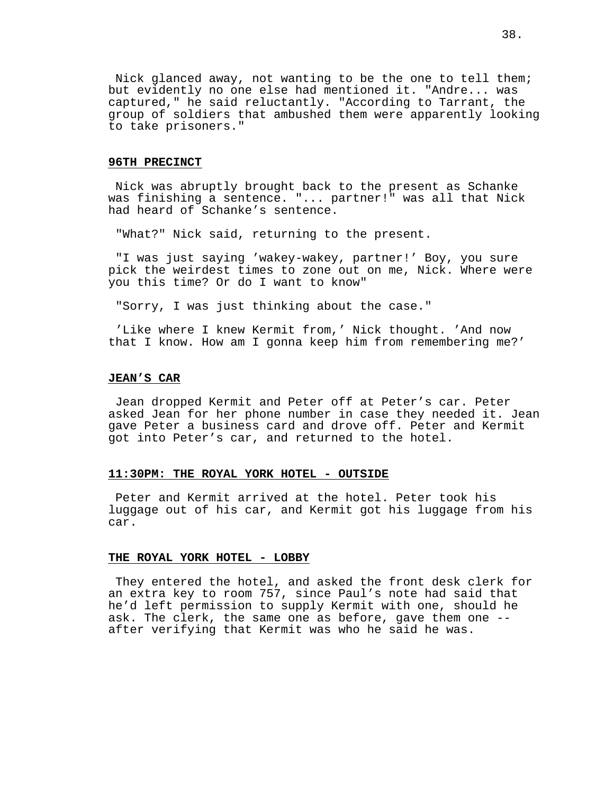Nick glanced away, not wanting to be the one to tell them; but evidently no one else had mentioned it. "Andre... was captured," he said reluctantly. "According to Tarrant, the group of soldiers that ambushed them were apparently looking to take prisoners."

#### **96TH PRECINCT**

Nick was abruptly brought back to the present as Schanke was finishing a sentence. "... partner!" was all that Nick had heard of Schanke's sentence.

"What?" Nick said, returning to the present.

"I was just saying 'wakey-wakey, partner!' Boy, you sure pick the weirdest times to zone out on me, Nick. Where were you this time? Or do I want to know"

"Sorry, I was just thinking about the case."

'Like where I knew Kermit from,' Nick thought. 'And now that I know. How am I gonna keep him from remembering me?'

## **JEAN'S CAR**

Jean dropped Kermit and Peter off at Peter's car. Peter asked Jean for her phone number in case they needed it. Jean gave Peter a business card and drove off. Peter and Kermit got into Peter's car, and returned to the hotel.

## **11:30PM: THE ROYAL YORK HOTEL - OUTSIDE**

Peter and Kermit arrived at the hotel. Peter took his luggage out of his car, and Kermit got his luggage from his car.

#### **THE ROYAL YORK HOTEL - LOBBY**

They entered the hotel, and asked the front desk clerk for an extra key to room 757, since Paul's note had said that he'd left permission to supply Kermit with one, should he ask. The clerk, the same one as before, gave them one - after verifying that Kermit was who he said he was.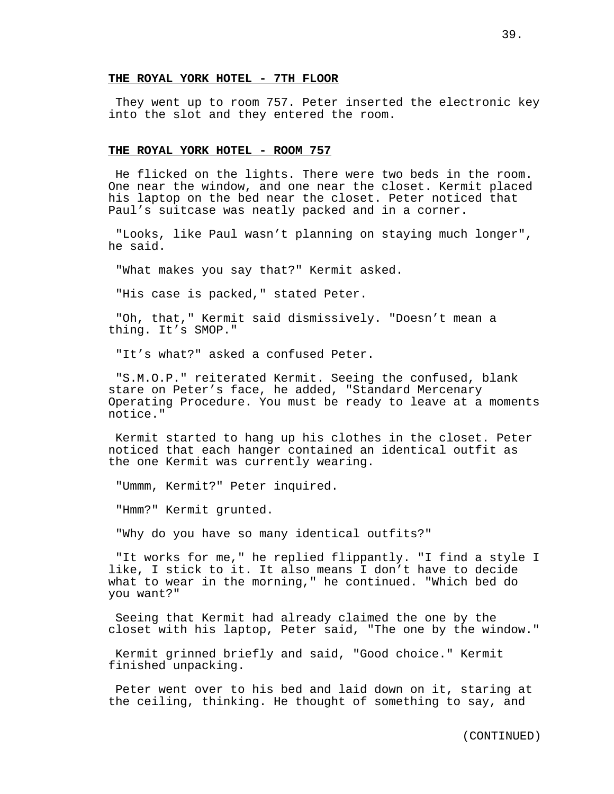## **THE ROYAL YORK HOTEL - 7TH FLOOR**

They went up to room 757. Peter inserted the electronic key into the slot and they entered the room.

#### **THE ROYAL YORK HOTEL - ROOM 757**

He flicked on the lights. There were two beds in the room. One near the window, and one near the closet. Kermit placed his laptop on the bed near the closet. Peter noticed that Paul's suitcase was neatly packed and in a corner.

"Looks, like Paul wasn't planning on staying much longer", he said.

"What makes you say that?" Kermit asked.

"His case is packed," stated Peter.

"Oh, that," Kermit said dismissively. "Doesn't mean a thing. It's SMOP."

"It's what?" asked a confused Peter.

"S.M.O.P." reiterated Kermit. Seeing the confused, blank stare on Peter's face, he added, "Standard Mercenary Operating Procedure. You must be ready to leave at a moments notice."

Kermit started to hang up his clothes in the closet. Peter noticed that each hanger contained an identical outfit as the one Kermit was currently wearing.

"Ummm, Kermit?" Peter inquired.

"Hmm?" Kermit grunted.

"Why do you have so many identical outfits?"

"It works for me," he replied flippantly. "I find a style I like, I stick to it. It also means I don't have to decide what to wear in the morning," he continued. "Which bed do you want?"

Seeing that Kermit had already claimed the one by the closet with his laptop, Peter said, "The one by the window."

Kermit grinned briefly and said, "Good choice." Kermit finished unpacking.

Peter went over to his bed and laid down on it, staring at the ceiling, thinking. He thought of something to say, and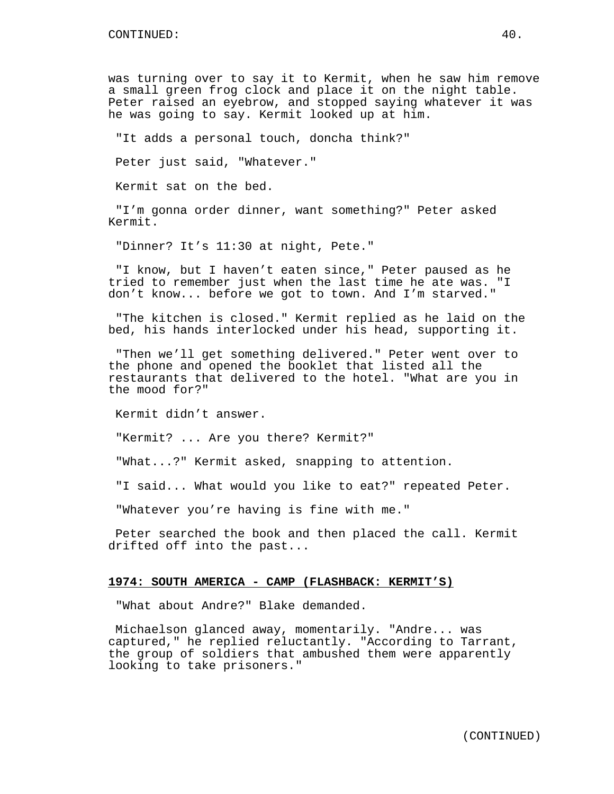was turning over to say it to Kermit, when he saw him remove a small green frog clock and place it on the night table. Peter raised an eyebrow, and stopped saying whatever it was he was going to say. Kermit looked up at him.

"It adds a personal touch, doncha think?"

Peter just said, "Whatever."

Kermit sat on the bed.

"I'm gonna order dinner, want something?" Peter asked Kermit.

"Dinner? It's 11:30 at night, Pete."

"I know, but I haven't eaten since," Peter paused as he tried to remember just when the last time he ate was. "I don't know... before we got to town. And I'm starved."

"The kitchen is closed." Kermit replied as he laid on the bed, his hands interlocked under his head, supporting it.

"Then we'll get something delivered." Peter went over to the phone and opened the booklet that listed all the restaurants that delivered to the hotel. "What are you in the mood for?"

Kermit didn't answer.

"Kermit? ... Are you there? Kermit?"

"What...?" Kermit asked, snapping to attention.

"I said... What would you like to eat?" repeated Peter.

"Whatever you're having is fine with me."

Peter searched the book and then placed the call. Kermit drifted off into the past...

#### **1974: SOUTH AMERICA - CAMP (FLASHBACK: KERMIT'S)**

"What about Andre?" Blake demanded.

Michaelson glanced away, momentarily. "Andre... was captured," he replied reluctantly. "According to Tarrant, the group of soldiers that ambushed them were apparently looking to take prisoners."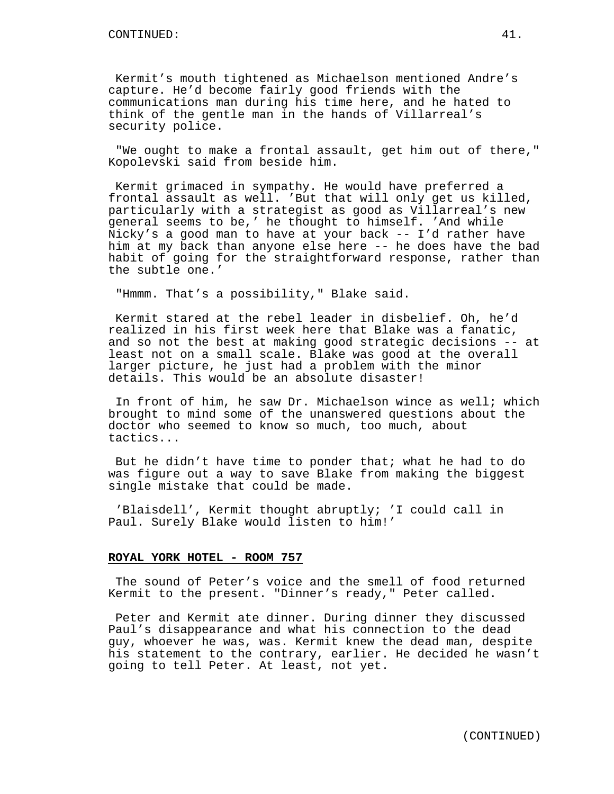Kermit's mouth tightened as Michaelson mentioned Andre's capture. He'd become fairly good friends with the communications man during his time here, and he hated to think of the gentle man in the hands of Villarreal's security police.

"We ought to make a frontal assault, get him out of there," Kopolevski said from beside him.

Kermit grimaced in sympathy. He would have preferred a frontal assault as well. 'But that will only get us killed, particularly with a strategist as good as Villarreal's new general seems to be,' he thought to himself. 'And while Nicky's a good man to have at your back -- I'd rather have him at my back than anyone else here -- he does have the bad habit of going for the straightforward response, rather than the subtle one.'

"Hmmm. That's a possibility," Blake said.

Kermit stared at the rebel leader in disbelief. Oh, he'd realized in his first week here that Blake was a fanatic, and so not the best at making good strategic decisions -- at least not on a small scale. Blake was good at the overall larger picture, he just had a problem with the minor details. This would be an absolute disaster!

In front of him, he saw Dr. Michaelson wince as well; which brought to mind some of the unanswered questions about the doctor who seemed to know so much, too much, about tactics...

But he didn't have time to ponder that; what he had to do was figure out a way to save Blake from making the biggest single mistake that could be made.

'Blaisdell', Kermit thought abruptly; 'I could call in Paul. Surely Blake would listen to him!'

#### **ROYAL YORK HOTEL - ROOM 757**

The sound of Peter's voice and the smell of food returned Kermit to the present. "Dinner's ready," Peter called.

Peter and Kermit ate dinner. During dinner they discussed Paul's disappearance and what his connection to the dead guy, whoever he was, was. Kermit knew the dead man, despite his statement to the contrary, earlier. He decided he wasn't going to tell Peter. At least, not yet.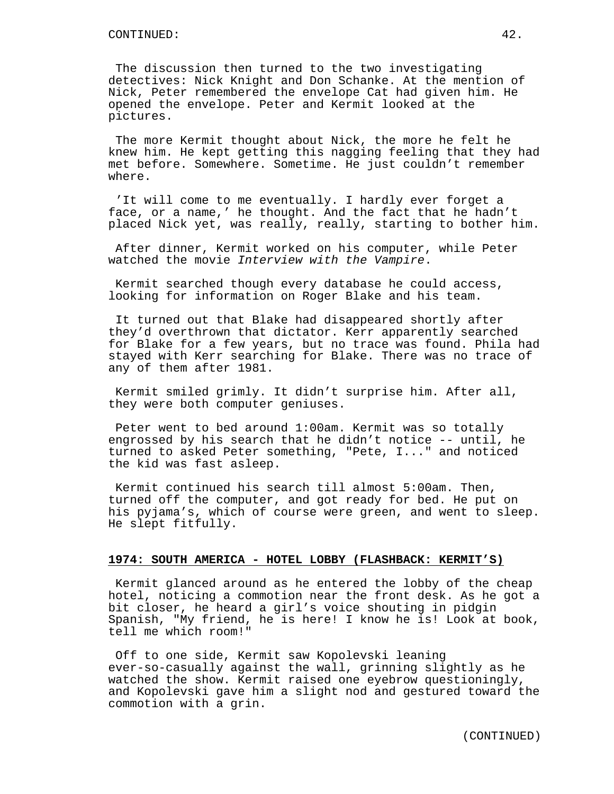The discussion then turned to the two investigating detectives: Nick Knight and Don Schanke. At the mention of Nick, Peter remembered the envelope Cat had given him. He opened the envelope. Peter and Kermit looked at the pictures.

The more Kermit thought about Nick, the more he felt he knew him. He kept getting this nagging feeling that they had met before. Somewhere. Sometime. He just couldn't remember where.

'It will come to me eventually. I hardly ever forget a face, or a name,' he thought. And the fact that he hadn't placed Nick yet, was really, really, starting to bother him.

After dinner, Kermit worked on his computer, while Peter watched the movie Interview with the Vampire.

Kermit searched though every database he could access, looking for information on Roger Blake and his team.

It turned out that Blake had disappeared shortly after they'd overthrown that dictator. Kerr apparently searched for Blake for a few years, but no trace was found. Phila had stayed with Kerr searching for Blake. There was no trace of any of them after 1981.

Kermit smiled grimly. It didn't surprise him. After all, they were both computer geniuses.

Peter went to bed around 1:00am. Kermit was so totally engrossed by his search that he didn't notice -- until, he turned to asked Peter something, "Pete, I..." and noticed the kid was fast asleep.

Kermit continued his search till almost 5:00am. Then, turned off the computer, and got ready for bed. He put on his pyjama's, which of course were green, and went to sleep. He slept fitfully.

# **1974: SOUTH AMERICA - HOTEL LOBBY (FLASHBACK: KERMIT'S)**

Kermit glanced around as he entered the lobby of the cheap hotel, noticing a commotion near the front desk. As he got a bit closer, he heard a girl's voice shouting in pidgin Spanish, "My friend, he is here! I know he is! Look at book, tell me which room!"

Off to one side, Kermit saw Kopolevski leaning ever-so-casually against the wall, grinning slightly as he watched the show. Kermit raised one eyebrow questioningly, and Kopolevski gave him a slight nod and gestured toward the commotion with a grin.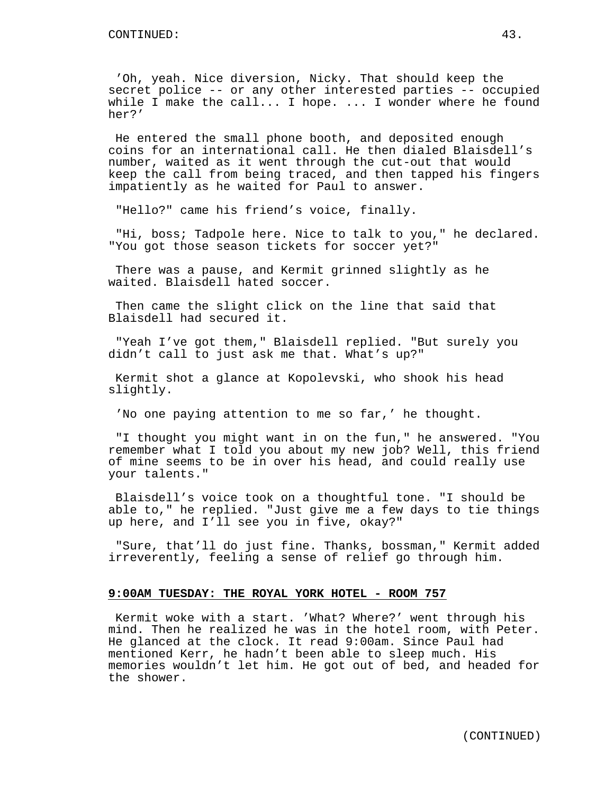'Oh, yeah. Nice diversion, Nicky. That should keep the secret police -- or any other interested parties -- occupied while I make the call... I hope. ... I wonder where he found her?'

He entered the small phone booth, and deposited enough coins for an international call. He then dialed Blaisdell's number, waited as it went through the cut-out that would keep the call from being traced, and then tapped his fingers impatiently as he waited for Paul to answer.

"Hello?" came his friend's voice, finally.

"Hi, boss; Tadpole here. Nice to talk to you," he declared. "You got those season tickets for soccer yet?"

There was a pause, and Kermit grinned slightly as he waited. Blaisdell hated soccer.

Then came the slight click on the line that said that Blaisdell had secured it.

"Yeah I've got them," Blaisdell replied. "But surely you didn't call to just ask me that. What's up?"

Kermit shot a glance at Kopolevski, who shook his head slightly.

'No one paying attention to me so far,' he thought.

"I thought you might want in on the fun," he answered. "You remember what I told you about my new job? Well, this friend of mine seems to be in over his head, and could really use your talents."

Blaisdell's voice took on a thoughtful tone. "I should be able to," he replied. "Just give me a few days to tie things up here, and I'll see you in five, okay?"

"Sure, that'll do just fine. Thanks, bossman," Kermit added irreverently, feeling a sense of relief go through him.

# **9:00AM TUESDAY: THE ROYAL YORK HOTEL - ROOM 757**

Kermit woke with a start. 'What? Where?' went through his mind. Then he realized he was in the hotel room, with Peter. He glanced at the clock. It read 9:00am. Since Paul had mentioned Kerr, he hadn't been able to sleep much. His memories wouldn't let him. He got out of bed, and headed for the shower.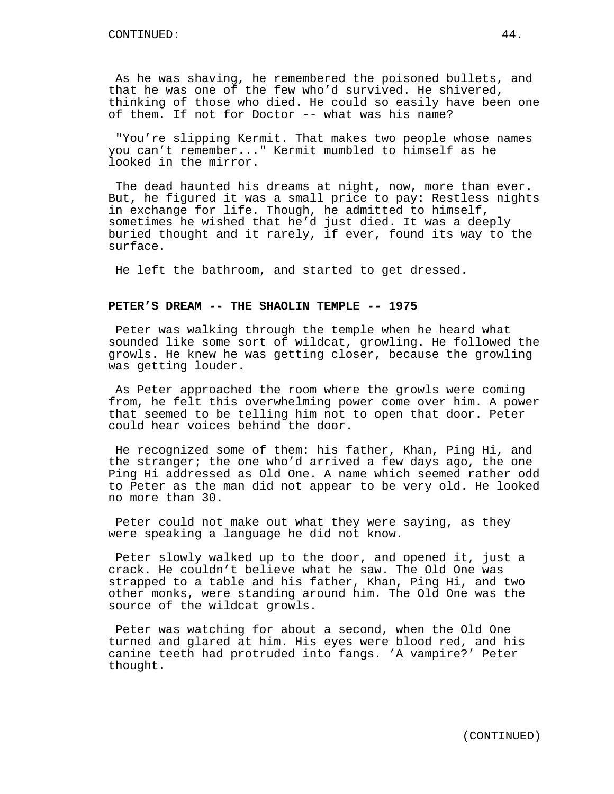As he was shaving, he remembered the poisoned bullets, and that he was one of the few who'd survived. He shivered, thinking of those who died. He could so easily have been one of them. If not for Doctor -- what was his name?

"You're slipping Kermit. That makes two people whose names you can't remember..." Kermit mumbled to himself as he looked in the mirror.

The dead haunted his dreams at night, now, more than ever. But, he figured it was a small price to pay: Restless nights in exchange for life. Though, he admitted to himself, sometimes he wished that he'd just died. It was a deeply buried thought and it rarely, if ever, found its way to the surface.

He left the bathroom, and started to get dressed.

### **PETER'S DREAM -- THE SHAOLIN TEMPLE -- 1975**

Peter was walking through the temple when he heard what sounded like some sort of wildcat, growling. He followed the growls. He knew he was getting closer, because the growling was getting louder.

As Peter approached the room where the growls were coming from, he felt this overwhelming power come over him. A power that seemed to be telling him not to open that door. Peter could hear voices behind the door.

He recognized some of them: his father, Khan, Ping Hi, and the stranger; the one who'd arrived a few days ago, the one Ping Hi addressed as Old One. A name which seemed rather odd to Peter as the man did not appear to be very old. He looked no more than 30.

Peter could not make out what they were saying, as they were speaking a language he did not know.

Peter slowly walked up to the door, and opened it, just a crack. He couldn't believe what he saw. The Old One was strapped to a table and his father, Khan, Ping Hi, and two other monks, were standing around him. The Old One was the source of the wildcat growls.

Peter was watching for about a second, when the Old One turned and glared at him. His eyes were blood red, and his canine teeth had protruded into fangs. 'A vampire?' Peter thought.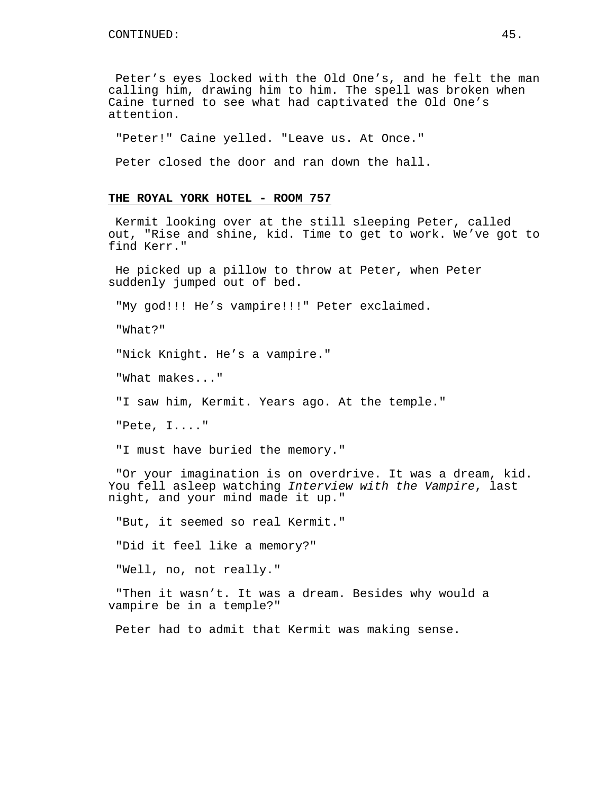Peter's eyes locked with the Old One's, and he felt the man calling him, drawing him to him. The spell was broken when Caine turned to see what had captivated the Old One's attention.

"Peter!" Caine yelled. "Leave us. At Once."

Peter closed the door and ran down the hall.

# **THE ROYAL YORK HOTEL - ROOM 757**

Kermit looking over at the still sleeping Peter, called out, "Rise and shine, kid. Time to get to work. We've got to find Kerr."

He picked up a pillow to throw at Peter, when Peter suddenly jumped out of bed.

"My god!!! He's vampire!!!" Peter exclaimed.

"What?"

"Nick Knight. He's a vampire."

"What makes..."

"I saw him, Kermit. Years ago. At the temple."

"Pete, I...."

"I must have buried the memory."

"Or your imagination is on overdrive. It was a dream, kid. You fell asleep watching Interview with the Vampire, last night, and your mind made it up."

"But, it seemed so real Kermit."

"Did it feel like a memory?"

"Well, no, not really."

"Then it wasn't. It was a dream. Besides why would a vampire be in a temple?"

Peter had to admit that Kermit was making sense.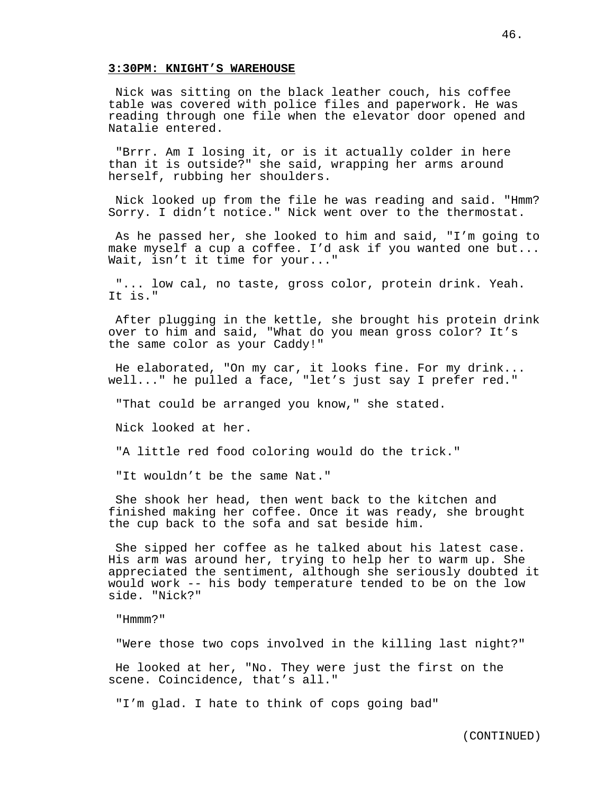#### **3:30PM: KNIGHT'S WAREHOUSE**

Nick was sitting on the black leather couch, his coffee table was covered with police files and paperwork. He was reading through one file when the elevator door opened and Natalie entered.

"Brrr. Am I losing it, or is it actually colder in here than it is outside?" she said, wrapping her arms around herself, rubbing her shoulders.

Nick looked up from the file he was reading and said. "Hmm? Sorry. I didn't notice." Nick went over to the thermostat.

As he passed her, she looked to him and said, "I'm going to make myself a cup a coffee. I'd ask if you wanted one but... Wait, isn't it time for your..."

"... low cal, no taste, gross color, protein drink. Yeah. It is."

After plugging in the kettle, she brought his protein drink over to him and said, "What do you mean gross color? It's the same color as your Caddy!"

He elaborated, "On my car, it looks fine. For my drink... well..." he pulled a face, "let's just say I prefer red."

"That could be arranged you know," she stated.

Nick looked at her.

"A little red food coloring would do the trick."

"It wouldn't be the same Nat."

She shook her head, then went back to the kitchen and finished making her coffee. Once it was ready, she brought the cup back to the sofa and sat beside him.

She sipped her coffee as he talked about his latest case. His arm was around her, trying to help her to warm up. She appreciated the sentiment, although she seriously doubted it would work -- his body temperature tended to be on the low side. "Nick?"

"Hmmm?"

"Were those two cops involved in the killing last night?"

He looked at her, "No. They were just the first on the scene. Coincidence, that's all."

"I'm glad. I hate to think of cops going bad"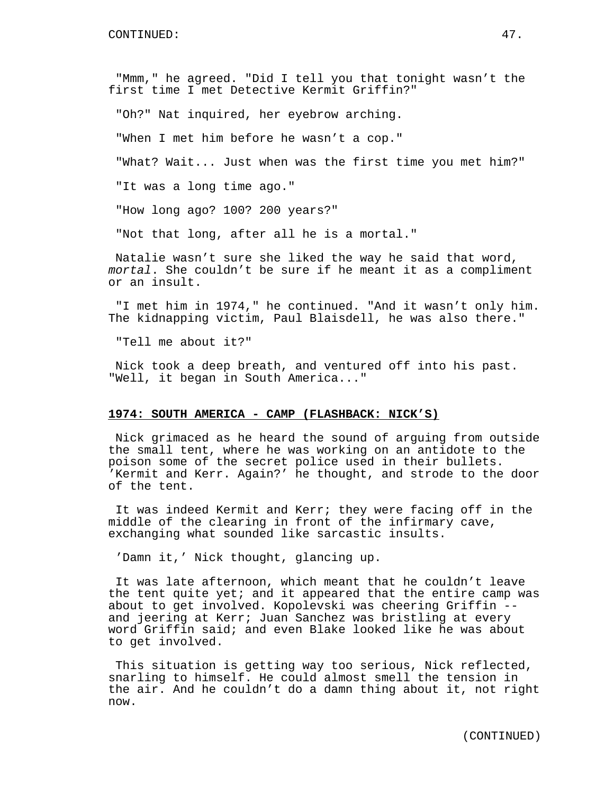"Mmm," he agreed. "Did I tell you that tonight wasn't the first time I met Detective Kermit Griffin?"

"Oh?" Nat inquired, her eyebrow arching.

"When I met him before he wasn't a cop."

"What? Wait... Just when was the first time you met him?"

"It was a long time ago."

"How long ago? 100? 200 years?"

"Not that long, after all he is a mortal."

Natalie wasn't sure she liked the way he said that word, mortal. She couldn't be sure if he meant it as a compliment or an insult.

"I met him in 1974," he continued. "And it wasn't only him. The kidnapping victim, Paul Blaisdell, he was also there."

"Tell me about it?"

Nick took a deep breath, and ventured off into his past. "Well, it began in South America..."

## **1974: SOUTH AMERICA - CAMP (FLASHBACK: NICK'S)**

Nick grimaced as he heard the sound of arguing from outside the small tent, where he was working on an antidote to the poison some of the secret police used in their bullets. 'Kermit and Kerr. Again?' he thought, and strode to the door of the tent.

It was indeed Kermit and Kerr; they were facing off in the middle of the clearing in front of the infirmary cave, exchanging what sounded like sarcastic insults.

'Damn it,' Nick thought, glancing up.

It was late afternoon, which meant that he couldn't leave the tent quite yet; and it appeared that the entire camp was about to get involved. Kopolevski was cheering Griffin - and jeering at Kerr; Juan Sanchez was bristling at every word Griffin said; and even Blake looked like he was about to get involved.

This situation is getting way too serious, Nick reflected, snarling to himself. He could almost smell the tension in the air. And he couldn't do a damn thing about it, not right now.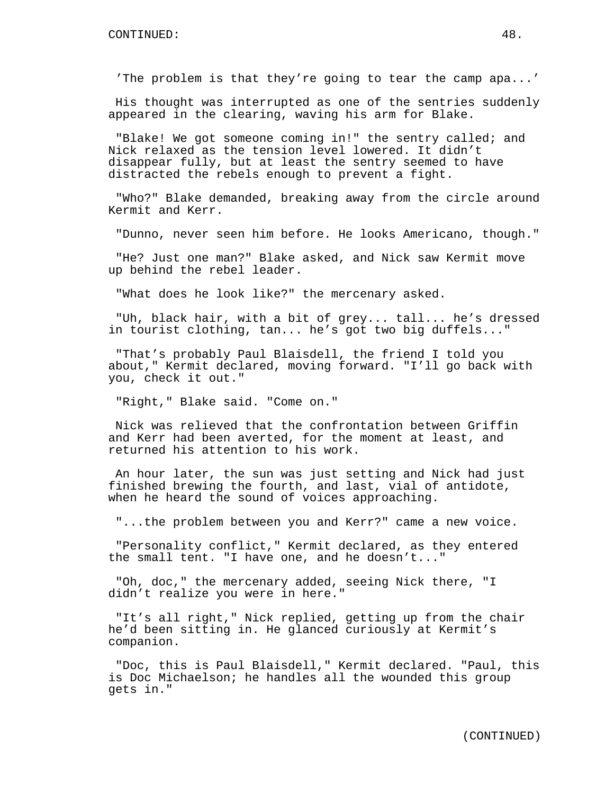'The problem is that they're going to tear the camp apa...'

His thought was interrupted as one of the sentries suddenly appeared in the clearing, waving his arm for Blake.

"Blake! We got someone coming in!" the sentry called; and Nick relaxed as the tension level lowered. It didn't disappear fully, but at least the sentry seemed to have distracted the rebels enough to prevent a fight.

"Who?" Blake demanded, breaking away from the circle around Kermit and Kerr.

"Dunno, never seen him before. He looks Americano, though."

"He? Just one man?" Blake asked, and Nick saw Kermit move up behind the rebel leader.

"What does he look like?" the mercenary asked.

"Uh, black hair, with a bit of grey... tall... he's dressed in tourist clothing, tan... he's got two big duffels..."

"That's probably Paul Blaisdell, the friend I told you about," Kermit declared, moving forward. "I'll go back with you, check it out."

"Right," Blake said. "Come on."

Nick was relieved that the confrontation between Griffin and Kerr had been averted, for the moment at least, and returned his attention to his work.

An hour later, the sun was just setting and Nick had just finished brewing the fourth, and last, vial of antidote, when he heard the sound of voices approaching.

"...the problem between you and Kerr?" came a new voice.

"Personality conflict," Kermit declared, as they entered the small tent. "I have one, and he doesn't..."

"Oh, doc," the mercenary added, seeing Nick there, "I didn't realize you were in here."

"It's all right," Nick replied, getting up from the chair he'd been sitting in. He glanced curiously at Kermit's companion.

"Doc, this is Paul Blaisdell," Kermit declared. "Paul, this is Doc Michaelson; he handles all the wounded this group gets in."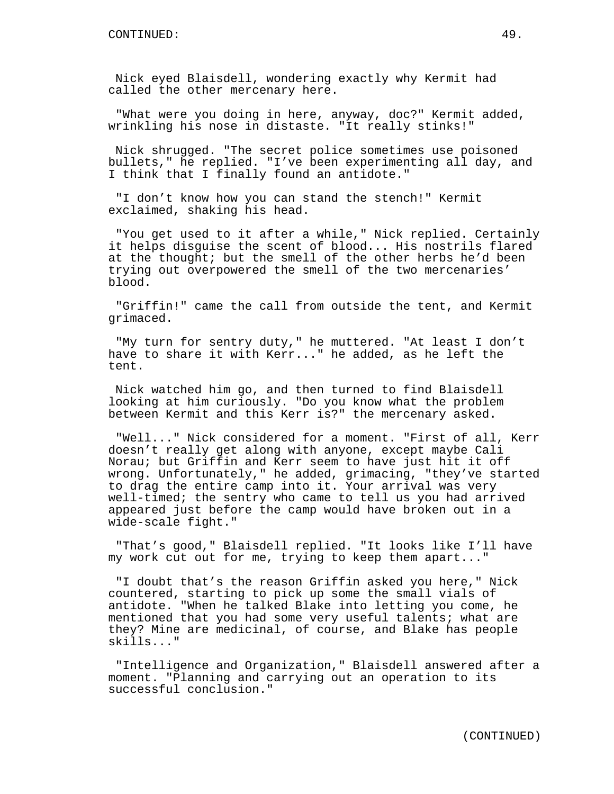Nick eyed Blaisdell, wondering exactly why Kermit had called the other mercenary here.

"What were you doing in here, anyway, doc?" Kermit added, wrinkling his nose in distaste. "It really stinks!"

Nick shrugged. "The secret police sometimes use poisoned bullets," he replied. "I've been experimenting all day, and I think that I finally found an antidote."

"I don't know how you can stand the stench!" Kermit exclaimed, shaking his head.

"You get used to it after a while," Nick replied. Certainly it helps disguise the scent of blood... His nostrils flared at the thought; but the smell of the other herbs he'd been trying out overpowered the smell of the two mercenaries' blood.

"Griffin!" came the call from outside the tent, and Kermit grimaced.

"My turn for sentry duty," he muttered. "At least I don't have to share it with Kerr..." he added, as he left the tent.

Nick watched him go, and then turned to find Blaisdell looking at him curiously. "Do you know what the problem between Kermit and this Kerr is?" the mercenary asked.

"Well..." Nick considered for a moment. "First of all, Kerr doesn't really get along with anyone, except maybe Cali Norau; but Griffin and Kerr seem to have just hit it off wrong. Unfortunately," he added, grimacing, "they've started to drag the entire camp into it. Your arrival was very well-timed; the sentry who came to tell us you had arrived appeared just before the camp would have broken out in a wide-scale fight."

"That's good," Blaisdell replied. "It looks like I'll have my work cut out for me, trying to keep them apart..."

"I doubt that's the reason Griffin asked you here," Nick countered, starting to pick up some the small vials of antidote. "When he talked Blake into letting you come, he mentioned that you had some very useful talents; what are they? Mine are medicinal, of course, and Blake has people skills..."

"Intelligence and Organization," Blaisdell answered after a moment. "Planning and carrying out an operation to its successful conclusion."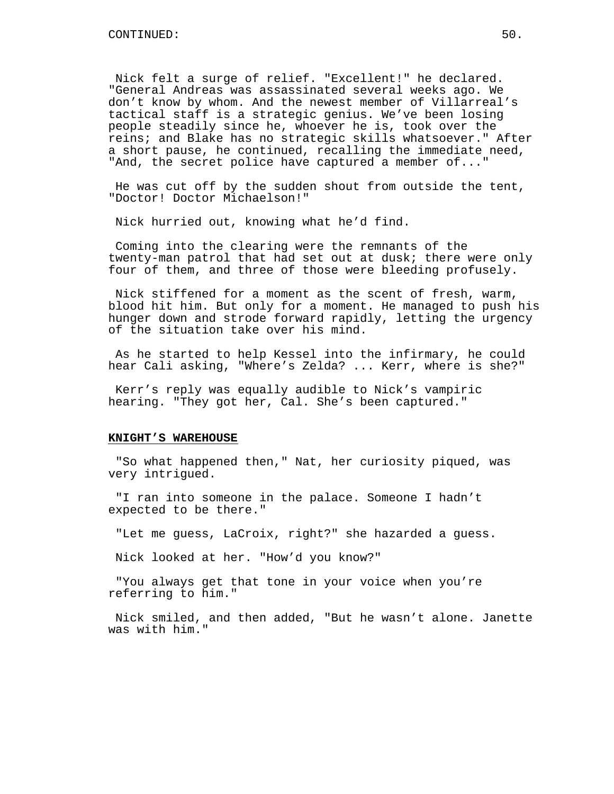Nick felt a surge of relief. "Excellent!" he declared. "General Andreas was assassinated several weeks ago. We don't know by whom. And the newest member of Villarreal's tactical staff is a strategic genius. We've been losing people steadily since he, whoever he is, took over the reins; and Blake has no strategic skills whatsoever." After a short pause, he continued, recalling the immediate need, "And, the secret police have captured a member of..."

He was cut off by the sudden shout from outside the tent, "Doctor! Doctor Michaelson!"

Nick hurried out, knowing what he'd find.

Coming into the clearing were the remnants of the twenty-man patrol that had set out at dusk; there were only four of them, and three of those were bleeding profusely.

Nick stiffened for a moment as the scent of fresh, warm, blood hit him. But only for a moment. He managed to push his hunger down and strode forward rapidly, letting the urgency of the situation take over his mind.

As he started to help Kessel into the infirmary, he could hear Cali asking, "Where's Zelda? ... Kerr, where is she?"

Kerr's reply was equally audible to Nick's vampiric hearing. "They got her, Cal. She's been captured."

### **KNIGHT'S WAREHOUSE**

"So what happened then," Nat, her curiosity piqued, was very intrigued.

"I ran into someone in the palace. Someone I hadn't expected to be there."

"Let me guess, LaCroix, right?" she hazarded a guess.

Nick looked at her. "How'd you know?"

"You always get that tone in your voice when you're referring to him."

Nick smiled, and then added, "But he wasn't alone. Janette was with him."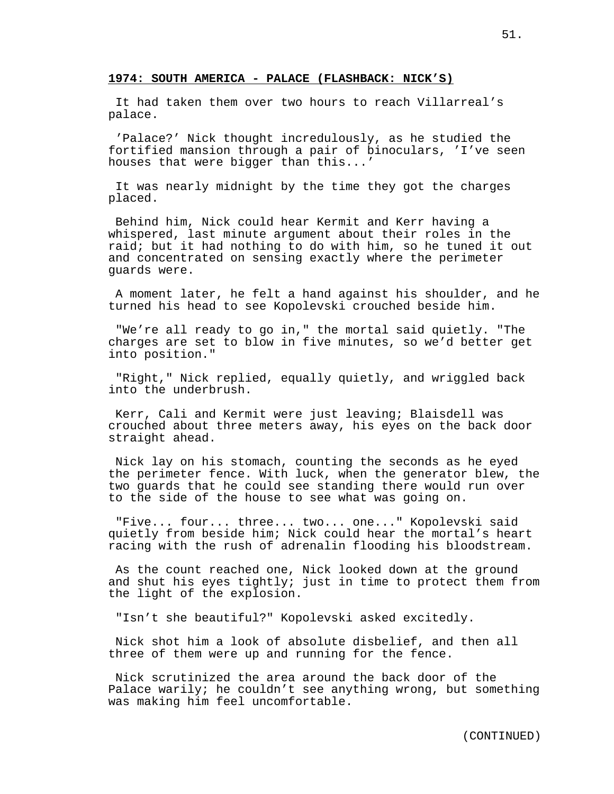# **1974: SOUTH AMERICA - PALACE (FLASHBACK: NICK'S)**

It had taken them over two hours to reach Villarreal's palace.

'Palace?' Nick thought incredulously, as he studied the fortified mansion through a pair of binoculars, 'I've seen houses that were bigger than this...'

It was nearly midnight by the time they got the charges placed.

Behind him, Nick could hear Kermit and Kerr having a whispered, last minute argument about their roles in the raid; but it had nothing to do with him, so he tuned it out and concentrated on sensing exactly where the perimeter guards were.

A moment later, he felt a hand against his shoulder, and he turned his head to see Kopolevski crouched beside him.

"We're all ready to go in," the mortal said quietly. "The charges are set to blow in five minutes, so we'd better get into position."

"Right," Nick replied, equally quietly, and wriggled back into the underbrush.

Kerr, Cali and Kermit were just leaving; Blaisdell was crouched about three meters away, his eyes on the back door straight ahead.

Nick lay on his stomach, counting the seconds as he eyed the perimeter fence. With luck, when the generator blew, the two guards that he could see standing there would run over to the side of the house to see what was going on.

"Five... four... three... two... one..." Kopolevski said quietly from beside him; Nick could hear the mortal's heart racing with the rush of adrenalin flooding his bloodstream.

As the count reached one, Nick looked down at the ground and shut his eyes tightly; just in time to protect them from the light of the explosion.

"Isn't she beautiful?" Kopolevski asked excitedly.

Nick shot him a look of absolute disbelief, and then all three of them were up and running for the fence.

Nick scrutinized the area around the back door of the Palace warily; he couldn't see anything wrong, but something was making him feel uncomfortable.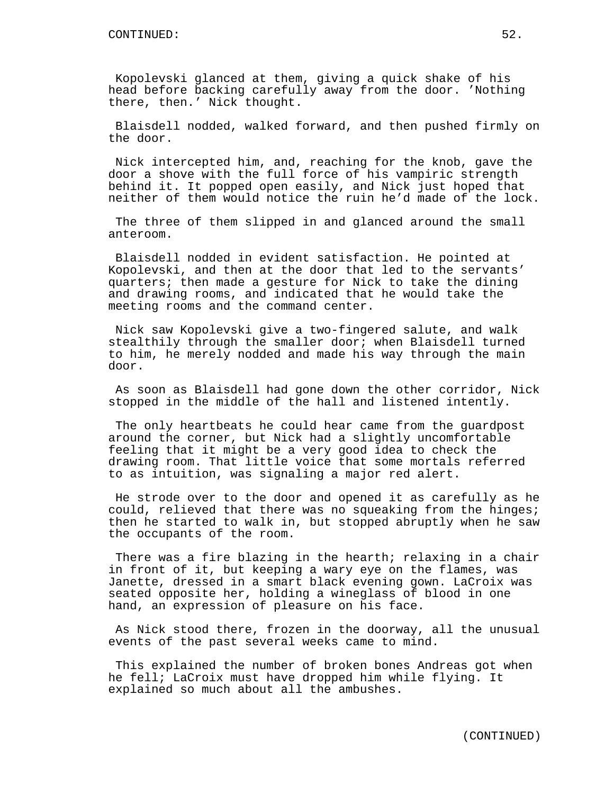Kopolevski glanced at them, giving a quick shake of his head before backing carefully away from the door. 'Nothing there, then.' Nick thought.

Blaisdell nodded, walked forward, and then pushed firmly on the door.

Nick intercepted him, and, reaching for the knob, gave the door a shove with the full force of his vampiric strength behind it. It popped open easily, and Nick just hoped that neither of them would notice the ruin he'd made of the lock.

The three of them slipped in and glanced around the small anteroom.

Blaisdell nodded in evident satisfaction. He pointed at Kopolevski, and then at the door that led to the servants' quarters; then made a gesture for Nick to take the dining and drawing rooms, and indicated that he would take the meeting rooms and the command center.

Nick saw Kopolevski give a two-fingered salute, and walk stealthily through the smaller door; when Blaisdell turned to him, he merely nodded and made his way through the main door.

As soon as Blaisdell had gone down the other corridor, Nick stopped in the middle of the hall and listened intently.

The only heartbeats he could hear came from the guardpost around the corner, but Nick had a slightly uncomfortable feeling that it might be a very good idea to check the drawing room. That little voice that some mortals referred to as intuition, was signaling a major red alert.

He strode over to the door and opened it as carefully as he could, relieved that there was no squeaking from the hinges; then he started to walk in, but stopped abruptly when he saw the occupants of the room.

There was a fire blazing in the hearth; relaxing in a chair in front of it, but keeping a wary eye on the flames, was Janette, dressed in a smart black evening gown. LaCroix was seated opposite her, holding a wineglass of blood in one hand, an expression of pleasure on his face.

As Nick stood there, frozen in the doorway, all the unusual events of the past several weeks came to mind.

This explained the number of broken bones Andreas got when he fell; LaCroix must have dropped him while flying. It explained so much about all the ambushes.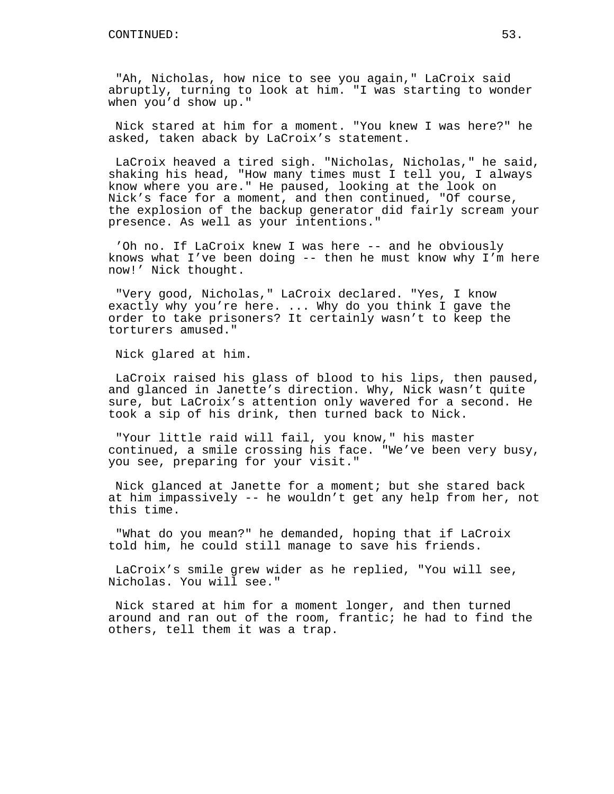"Ah, Nicholas, how nice to see you again," LaCroix said abruptly, turning to look at him. "I was starting to wonder when you'd show up."

Nick stared at him for a moment. "You knew I was here?" he asked, taken aback by LaCroix's statement.

LaCroix heaved a tired sigh. "Nicholas, Nicholas," he said, shaking his head, "How many times must I tell you, I always know where you are." He paused, looking at the look on Nick's face for a moment, and then continued, "Of course, the explosion of the backup generator did fairly scream your presence. As well as your intentions."

'Oh no. If LaCroix knew I was here -- and he obviously knows what I've been doing -- then he must know why I'm here now!' Nick thought.

"Very good, Nicholas," LaCroix declared. "Yes, I know exactly why you're here. ... Why do you think I gave the order to take prisoners? It certainly wasn't to keep the torturers amused."

Nick glared at him.

LaCroix raised his glass of blood to his lips, then paused, and glanced in Janette's direction. Why, Nick wasn't quite sure, but LaCroix's attention only wavered for a second. He took a sip of his drink, then turned back to Nick.

"Your little raid will fail, you know," his master continued, a smile crossing his face. "We've been very busy, you see, preparing for your visit."

Nick glanced at Janette for a moment; but she stared back at him impassively -- he wouldn't get any help from her, not this time.

"What do you mean?" he demanded, hoping that if LaCroix told him, he could still manage to save his friends.

LaCroix's smile grew wider as he replied, "You will see, Nicholas. You will see."

Nick stared at him for a moment longer, and then turned around and ran out of the room, frantic; he had to find the others, tell them it was a trap.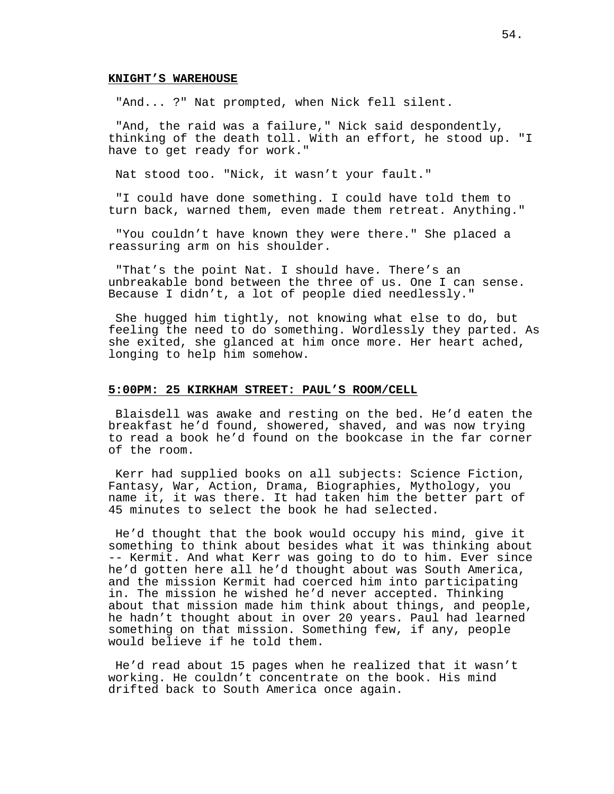## **KNIGHT'S WAREHOUSE**

"And... ?" Nat prompted, when Nick fell silent.

"And, the raid was a failure," Nick said despondently, thinking of the death toll. With an effort, he stood up. "I have to get ready for work."

Nat stood too. "Nick, it wasn't your fault."

"I could have done something. I could have told them to turn back, warned them, even made them retreat. Anything."

"You couldn't have known they were there." She placed a reassuring arm on his shoulder.

"That's the point Nat. I should have. There's an unbreakable bond between the three of us. One I can sense. Because I didn't, a lot of people died needlessly."

She hugged him tightly, not knowing what else to do, but feeling the need to do something. Wordlessly they parted. As she exited, she glanced at him once more. Her heart ached, longing to help him somehow.

## **5:00PM: 25 KIRKHAM STREET: PAUL'S ROOM/CELL**

Blaisdell was awake and resting on the bed. He'd eaten the breakfast he'd found, showered, shaved, and was now trying to read a book he'd found on the bookcase in the far corner of the room.

Kerr had supplied books on all subjects: Science Fiction, Fantasy, War, Action, Drama, Biographies, Mythology, you name it, it was there. It had taken him the better part of 45 minutes to select the book he had selected.

He'd thought that the book would occupy his mind, give it something to think about besides what it was thinking about -- Kermit. And what Kerr was going to do to him. Ever since he'd gotten here all he'd thought about was South America, and the mission Kermit had coerced him into participating in. The mission he wished he'd never accepted. Thinking about that mission made him think about things, and people, he hadn't thought about in over 20 years. Paul had learned something on that mission. Something few, if any, people would believe if he told them.

He'd read about 15 pages when he realized that it wasn't working. He couldn't concentrate on the book. His mind drifted back to South America once again.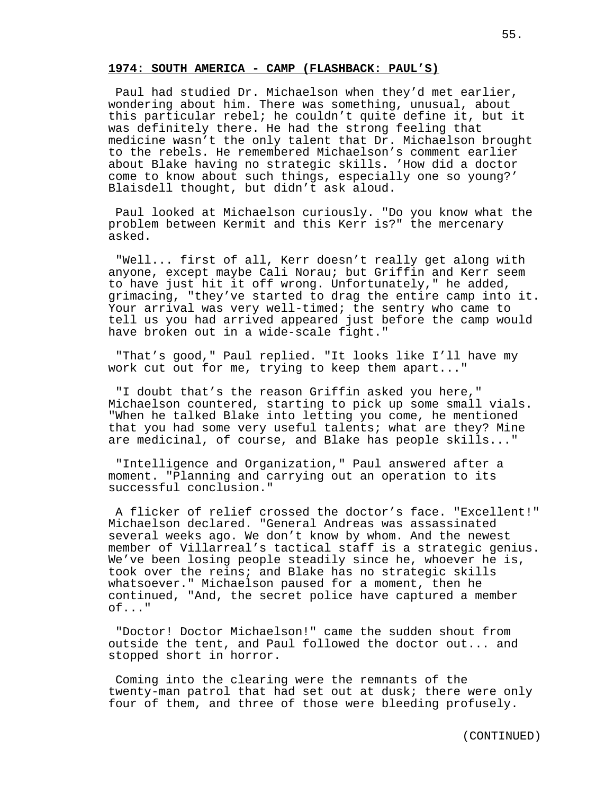### **1974: SOUTH AMERICA - CAMP (FLASHBACK: PAUL'S)**

Paul had studied Dr. Michaelson when they'd met earlier, wondering about him. There was something, unusual, about this particular rebel; he couldn't quite define it, but it was definitely there. He had the strong feeling that medicine wasn't the only talent that Dr. Michaelson brought to the rebels. He remembered Michaelson's comment earlier about Blake having no strategic skills. 'How did a doctor come to know about such things, especially one so young?' Blaisdell thought, but didn't ask aloud.

Paul looked at Michaelson curiously. "Do you know what the problem between Kermit and this Kerr is?" the mercenary asked.

"Well... first of all, Kerr doesn't really get along with anyone, except maybe Cali Norau; but Griffin and Kerr seem to have just hit it off wrong. Unfortunately," he added, grimacing, "they've started to drag the entire camp into it. Your arrival was very well-timed; the sentry who came to tell us you had arrived appeared just before the camp would have broken out in a wide-scale fight."

"That's good," Paul replied. "It looks like I'll have my work cut out for me, trying to keep them apart..."

"I doubt that's the reason Griffin asked you here," Michaelson countered, starting to pick up some small vials. "When he talked Blake into letting you come, he mentioned that you had some very useful talents; what are they? Mine are medicinal, of course, and Blake has people skills..."

"Intelligence and Organization," Paul answered after a moment. "Planning and carrying out an operation to its successful conclusion."

A flicker of relief crossed the doctor's face. "Excellent!" Michaelson declared. "General Andreas was assassinated several weeks ago. We don't know by whom. And the newest member of Villarreal's tactical staff is a strategic genius. We've been losing people steadily since he, whoever he is, took over the reins; and Blake has no strategic skills whatsoever." Michaelson paused for a moment, then he continued, "And, the secret police have captured a member of..."

"Doctor! Doctor Michaelson!" came the sudden shout from outside the tent, and Paul followed the doctor out... and stopped short in horror.

Coming into the clearing were the remnants of the twenty-man patrol that had set out at dusk; there were only four of them, and three of those were bleeding profusely.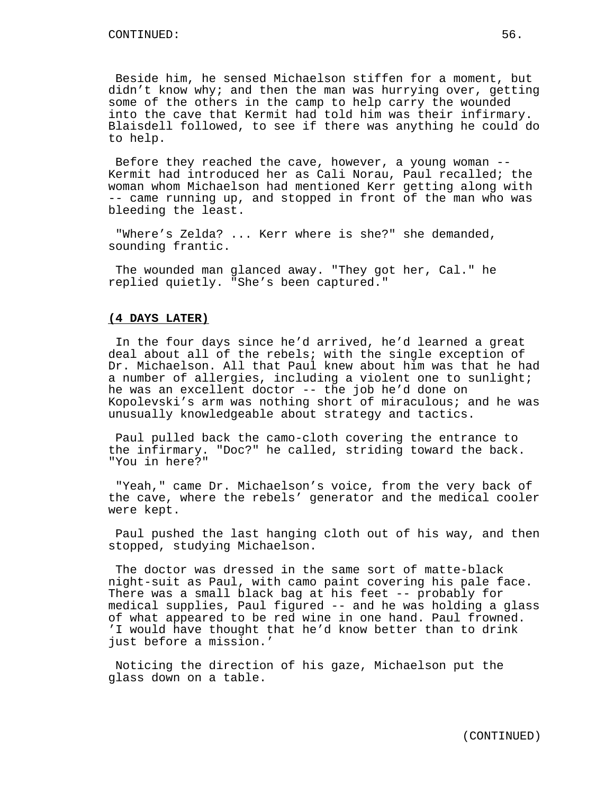Beside him, he sensed Michaelson stiffen for a moment, but didn't know why; and then the man was hurrying over, getting some of the others in the camp to help carry the wounded into the cave that Kermit had told him was their infirmary. Blaisdell followed, to see if there was anything he could do to help.

Before they reached the cave, however, a young woman -- Kermit had introduced her as Cali Norau, Paul recalled; the woman whom Michaelson had mentioned Kerr getting along with -- came running up, and stopped in front of the man who was bleeding the least.

"Where's Zelda? ... Kerr where is she?" she demanded, sounding frantic.

The wounded man glanced away. "They got her, Cal." he replied quietly. "She's been captured."

## **(4 DAYS LATER)**

In the four days since he'd arrived, he'd learned a great deal about all of the rebels; with the single exception of Dr. Michaelson. All that Paul knew about him was that he had a number of allergies, including a violent one to sunlight; he was an excellent doctor -- the job he'd done on Kopolevski's arm was nothing short of miraculous; and he was unusually knowledgeable about strategy and tactics.

Paul pulled back the camo-cloth covering the entrance to the infirmary. "Doc?" he called, striding toward the back. "You in here?"

"Yeah," came Dr. Michaelson's voice, from the very back of the cave, where the rebels' generator and the medical cooler were kept.

Paul pushed the last hanging cloth out of his way, and then stopped, studying Michaelson.

The doctor was dressed in the same sort of matte-black night-suit as Paul, with camo paint covering his pale face. There was a small black bag at his feet -- probably for medical supplies, Paul figured -- and he was holding a glass of what appeared to be red wine in one hand. Paul frowned. 'I would have thought that he'd know better than to drink just before a mission.'

Noticing the direction of his gaze, Michaelson put the glass down on a table.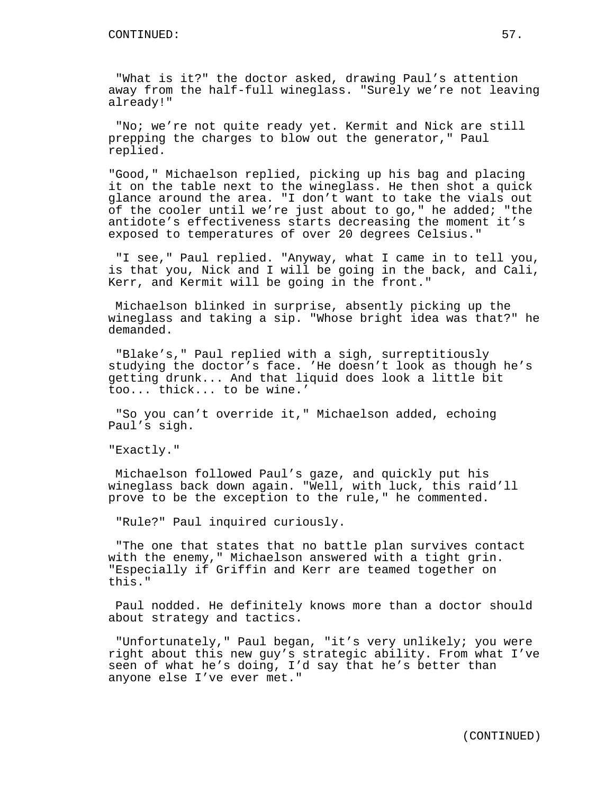"What is it?" the doctor asked, drawing Paul's attention away from the half-full wineglass. "Surely we're not leaving already!"

"No; we're not quite ready yet. Kermit and Nick are still prepping the charges to blow out the generator," Paul replied.

"Good," Michaelson replied, picking up his bag and placing it on the table next to the wineglass. He then shot a quick glance around the area. "I don't want to take the vials out of the cooler until we're just about to go," he added; "the antidote's effectiveness starts decreasing the moment it's exposed to temperatures of over 20 degrees Celsius."

"I see," Paul replied. "Anyway, what I came in to tell you, is that you, Nick and I will be going in the back, and Cali, Kerr, and Kermit will be going in the front."

Michaelson blinked in surprise, absently picking up the wineglass and taking a sip. "Whose bright idea was that?" he demanded.

"Blake's," Paul replied with a sigh, surreptitiously studying the doctor's face. 'He doesn't look as though he's getting drunk... And that liquid does look a little bit too... thick... to be wine.'

"So you can't override it," Michaelson added, echoing Paul's sigh.

"Exactly."

Michaelson followed Paul's gaze, and quickly put his wineglass back down again. "Well, with luck, this raid'll prove to be the exception to the rule," he commented.

"Rule?" Paul inquired curiously.

"The one that states that no battle plan survives contact with the enemy," Michaelson answered with a tight grin. "Especially if Griffin and Kerr are teamed together on this."

Paul nodded. He definitely knows more than a doctor should about strategy and tactics.

"Unfortunately," Paul began, "it's very unlikely; you were right about this new guy's strategic ability. From what I've seen of what he's doing, I'd say that he's better than anyone else I've ever met."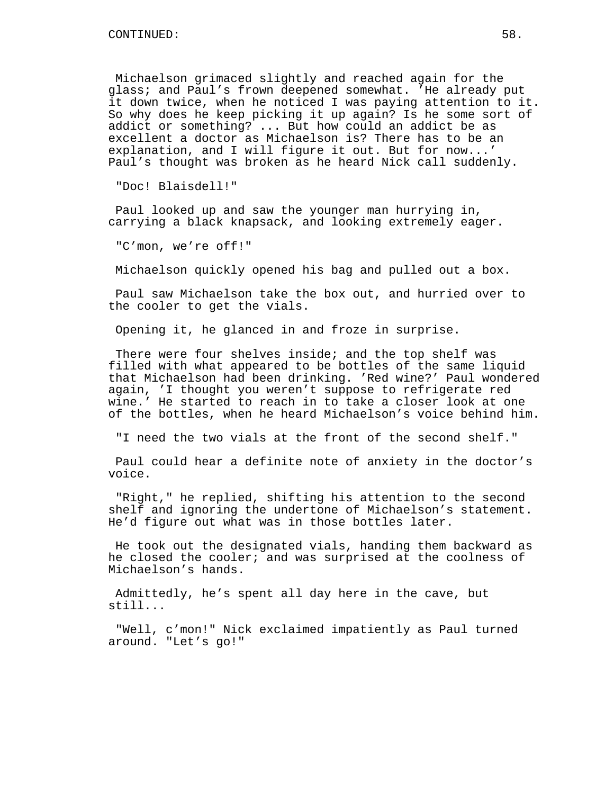Michaelson grimaced slightly and reached again for the glass; and Paul's frown deepened somewhat. 'He already put it down twice, when he noticed I was paying attention to it. So why does he keep picking it up again? Is he some sort of addict or something? ... But how could an addict be as excellent a doctor as Michaelson is? There has to be an explanation, and I will figure it out. But for now...' Paul's thought was broken as he heard Nick call suddenly.

"Doc! Blaisdell!"

Paul looked up and saw the younger man hurrying in, carrying a black knapsack, and looking extremely eager.

"C'mon, we're off!"

Michaelson quickly opened his bag and pulled out a box.

Paul saw Michaelson take the box out, and hurried over to the cooler to get the vials.

Opening it, he glanced in and froze in surprise.

There were four shelves inside; and the top shelf was filled with what appeared to be bottles of the same liquid that Michaelson had been drinking. 'Red wine?' Paul wondered again, 'I thought you weren't suppose to refrigerate red wine.' He started to reach in to take a closer look at one of the bottles, when he heard Michaelson's voice behind him.

"I need the two vials at the front of the second shelf."

Paul could hear a definite note of anxiety in the doctor's voice.

"Right," he replied, shifting his attention to the second shelf and ignoring the undertone of Michaelson's statement. He'd figure out what was in those bottles later.

He took out the designated vials, handing them backward as he closed the cooler; and was surprised at the coolness of Michaelson's hands.

Admittedly, he's spent all day here in the cave, but still...

"Well, c'mon!" Nick exclaimed impatiently as Paul turned around. "Let's go!"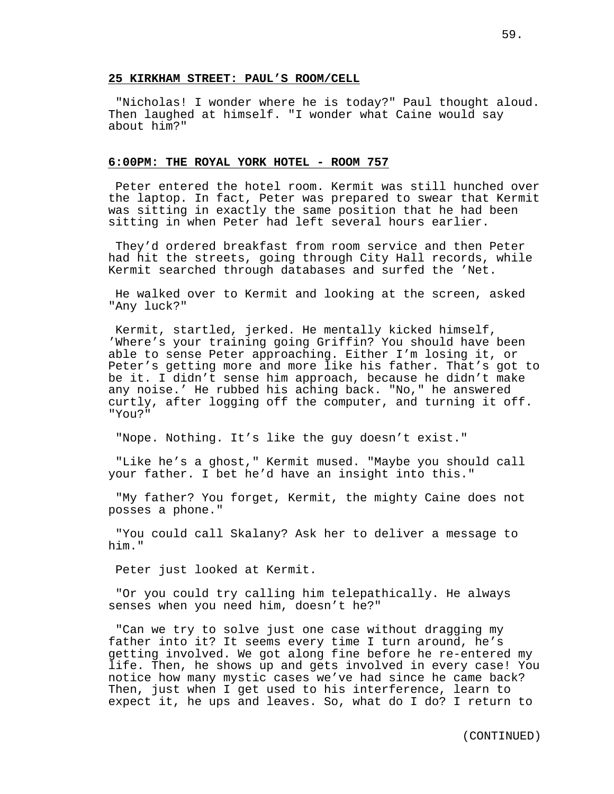## **25 KIRKHAM STREET: PAUL'S ROOM/CELL**

"Nicholas! I wonder where he is today?" Paul thought aloud. Then laughed at himself. "I wonder what Caine would say about him?"

## **6:00PM: THE ROYAL YORK HOTEL - ROOM 757**

Peter entered the hotel room. Kermit was still hunched over the laptop. In fact, Peter was prepared to swear that Kermit was sitting in exactly the same position that he had been sitting in when Peter had left several hours earlier.

They'd ordered breakfast from room service and then Peter had hit the streets, going through City Hall records, while Kermit searched through databases and surfed the 'Net.

He walked over to Kermit and looking at the screen, asked "Any luck?"

Kermit, startled, jerked. He mentally kicked himself, 'Where's your training going Griffin? You should have been able to sense Peter approaching. Either I'm losing it, or Peter's getting more and more like his father. That's got to be it. I didn't sense him approach, because he didn't make any noise.' He rubbed his aching back. "No," he answered curtly, after logging off the computer, and turning it off. "You?"

"Nope. Nothing. It's like the guy doesn't exist."

"Like he's a ghost," Kermit mused. "Maybe you should call your father. I bet he'd have an insight into this."

"My father? You forget, Kermit, the mighty Caine does not posses a phone."

"You could call Skalany? Ask her to deliver a message to him."

Peter just looked at Kermit.

"Or you could try calling him telepathically. He always senses when you need him, doesn't he?"

"Can we try to solve just one case without dragging my father into it? It seems every time I turn around, he's getting involved. We got along fine before he re-entered my life. Then, he shows up and gets involved in every case! You notice how many mystic cases we've had since he came back? Then, just when I get used to his interference, learn to expect it, he ups and leaves. So, what do I do? I return to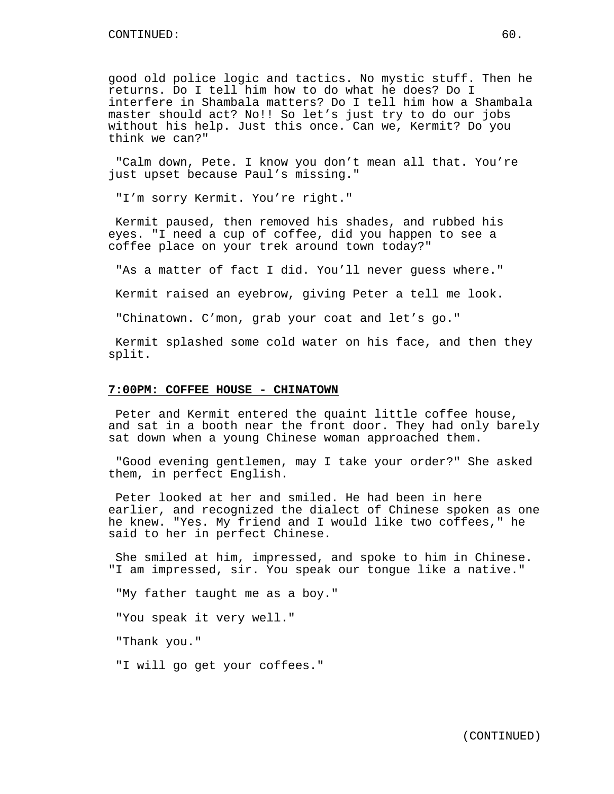good old police logic and tactics. No mystic stuff. Then he returns. Do I tell him how to do what he does? Do I interfere in Shambala matters? Do I tell him how a Shambala master should act? No!! So let's just try to do our jobs without his help. Just this once. Can we, Kermit? Do you think we can?"

"Calm down, Pete. I know you don't mean all that. You're just upset because Paul's missing."

"I'm sorry Kermit. You're right."

Kermit paused, then removed his shades, and rubbed his eyes. "I need a cup of coffee, did you happen to see a coffee place on your trek around town today?"

"As a matter of fact I did. You'll never guess where."

Kermit raised an eyebrow, giving Peter a tell me look.

"Chinatown. C'mon, grab your coat and let's go."

Kermit splashed some cold water on his face, and then they split.

## **7:00PM: COFFEE HOUSE - CHINATOWN**

Peter and Kermit entered the quaint little coffee house, and sat in a booth near the front door. They had only barely sat down when a young Chinese woman approached them.

"Good evening gentlemen, may I take your order?" She asked them, in perfect English.

Peter looked at her and smiled. He had been in here earlier, and recognized the dialect of Chinese spoken as one he knew. "Yes. My friend and I would like two coffees," he said to her in perfect Chinese.

She smiled at him, impressed, and spoke to him in Chinese. "I am impressed, sir. You speak our tongue like a native."

"My father taught me as a boy."

"You speak it very well."

"Thank you."

"I will go get your coffees."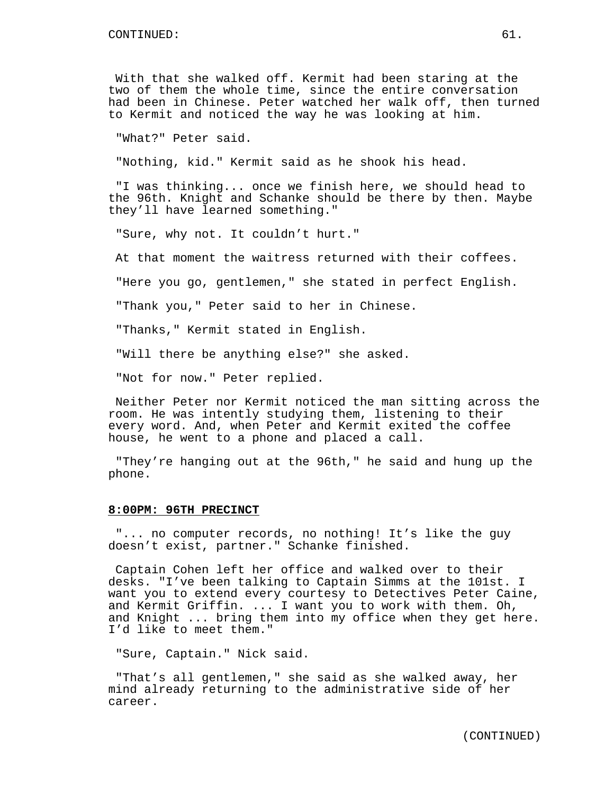With that she walked off. Kermit had been staring at the two of them the whole time, since the entire conversation had been in Chinese. Peter watched her walk off, then turned to Kermit and noticed the way he was looking at him.

"What?" Peter said.

"Nothing, kid." Kermit said as he shook his head.

"I was thinking... once we finish here, we should head to the 96th. Knight and Schanke should be there by then. Maybe they'll have learned something."

"Sure, why not. It couldn't hurt."

At that moment the waitress returned with their coffees.

"Here you go, gentlemen," she stated in perfect English.

"Thank you," Peter said to her in Chinese.

"Thanks," Kermit stated in English.

"Will there be anything else?" she asked.

"Not for now." Peter replied.

Neither Peter nor Kermit noticed the man sitting across the room. He was intently studying them, listening to their every word. And, when Peter and Kermit exited the coffee house, he went to a phone and placed a call.

"They're hanging out at the 96th," he said and hung up the phone.

### **8:00PM: 96TH PRECINCT**

"... no computer records, no nothing! It's like the guy doesn't exist, partner." Schanke finished.

Captain Cohen left her office and walked over to their desks. "I've been talking to Captain Simms at the 101st. I want you to extend every courtesy to Detectives Peter Caine, and Kermit Griffin. ... I want you to work with them. Oh, and Knight ... bring them into my office when they get here. I'd like to meet them."

"Sure, Captain." Nick said.

"That's all gentlemen," she said as she walked away, her mind already returning to the administrative side of her career.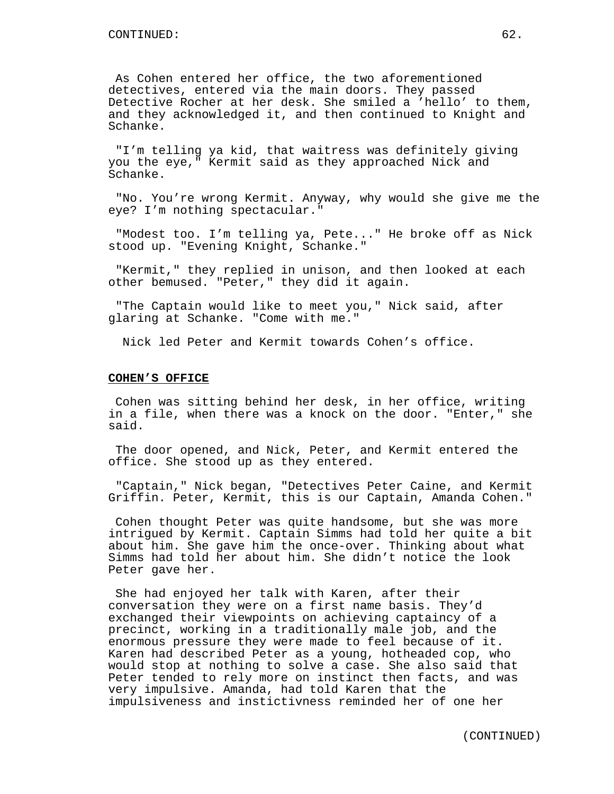As Cohen entered her office, the two aforementioned detectives, entered via the main doors. They passed Detective Rocher at her desk. She smiled a 'hello' to them, and they acknowledged it, and then continued to Knight and Schanke.

"I'm telling ya kid, that waitress was definitely giving you the eye," Kermit said as they approached Nick and Schanke.

"No. You're wrong Kermit. Anyway, why would she give me the eye? I'm nothing spectacular."

"Modest too. I'm telling ya, Pete..." He broke off as Nick stood up. "Evening Knight, Schanke."

"Kermit," they replied in unison, and then looked at each other bemused. "Peter," they did it again.

"The Captain would like to meet you," Nick said, after glaring at Schanke. "Come with me."

Nick led Peter and Kermit towards Cohen's office.

## **COHEN'S OFFICE**

Cohen was sitting behind her desk, in her office, writing in a file, when there was a knock on the door. "Enter," she said.

The door opened, and Nick, Peter, and Kermit entered the office. She stood up as they entered.

"Captain," Nick began, "Detectives Peter Caine, and Kermit Griffin. Peter, Kermit, this is our Captain, Amanda Cohen."

Cohen thought Peter was quite handsome, but she was more intrigued by Kermit. Captain Simms had told her quite a bit about him. She gave him the once-over. Thinking about what Simms had told her about him. She didn't notice the look Peter gave her.

She had enjoyed her talk with Karen, after their conversation they were on a first name basis. They'd exchanged their viewpoints on achieving captaincy of a precinct, working in a traditionally male job, and the enormous pressure they were made to feel because of it. Karen had described Peter as a young, hotheaded cop, who would stop at nothing to solve a case. She also said that Peter tended to rely more on instinct then facts, and was very impulsive. Amanda, had told Karen that the impulsiveness and instictivness reminded her of one her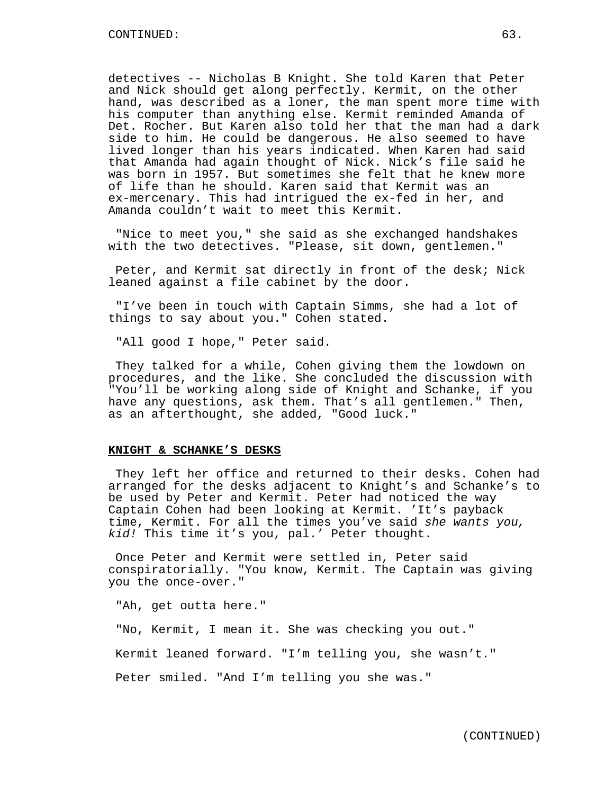detectives -- Nicholas B Knight. She told Karen that Peter and Nick should get along perfectly. Kermit, on the other hand, was described as a loner, the man spent more time with his computer than anything else. Kermit reminded Amanda of Det. Rocher. But Karen also told her that the man had a dark side to him. He could be dangerous. He also seemed to have lived longer than his years indicated. When Karen had said that Amanda had again thought of Nick. Nick's file said he was born in 1957. But sometimes she felt that he knew more of life than he should. Karen said that Kermit was an ex-mercenary. This had intrigued the ex-fed in her, and Amanda couldn't wait to meet this Kermit.

"Nice to meet you," she said as she exchanged handshakes with the two detectives. "Please, sit down, gentlemen."

Peter, and Kermit sat directly in front of the desk; Nick leaned against a file cabinet by the door.

"I've been in touch with Captain Simms, she had a lot of things to say about you." Cohen stated.

"All good I hope," Peter said.

They talked for a while, Cohen giving them the lowdown on procedures, and the like. She concluded the discussion with "You'll be working along side of Knight and Schanke, if you have any questions, ask them. That's all gentlemen." Then, as an afterthought, she added, "Good luck."

#### **KNIGHT & SCHANKE'S DESKS**

They left her office and returned to their desks. Cohen had arranged for the desks adjacent to Knight's and Schanke's to be used by Peter and Kermit. Peter had noticed the way Captain Cohen had been looking at Kermit. 'It's payback time, Kermit. For all the times you've said she wants you, kid! This time it's you, pal.' Peter thought.

Once Peter and Kermit were settled in, Peter said conspiratorially. "You know, Kermit. The Captain was giving you the once-over."

"Ah, get outta here."

"No, Kermit, I mean it. She was checking you out." Kermit leaned forward. "I'm telling you, she wasn't." Peter smiled. "And I'm telling you she was."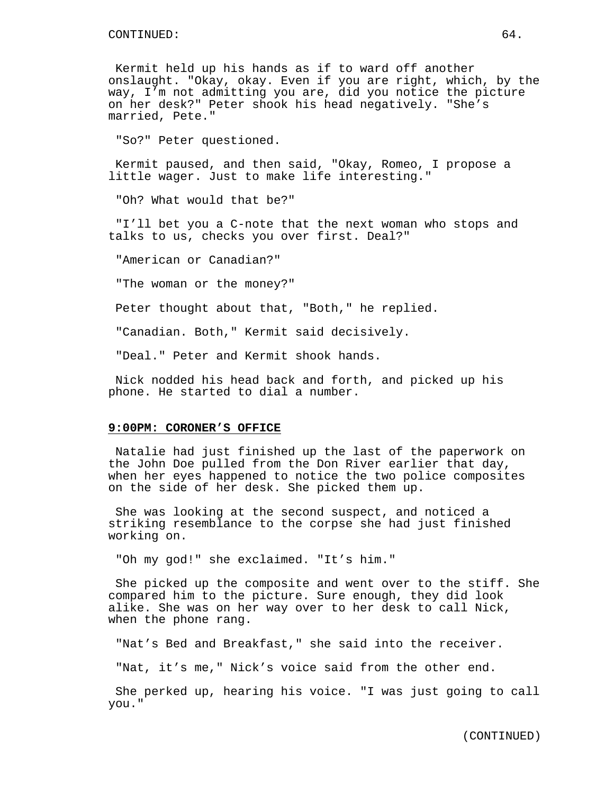Kermit held up his hands as if to ward off another onslaught. "Okay, okay. Even if you are right, which, by the way, I'm not admitting you are, did you notice the picture on her desk?" Peter shook his head negatively. "She's married, Pete."

"So?" Peter questioned.

Kermit paused, and then said, "Okay, Romeo, I propose a little wager. Just to make life interesting."

"Oh? What would that be?"

"I'll bet you a C-note that the next woman who stops and talks to us, checks you over first. Deal?"

"American or Canadian?"

"The woman or the money?"

Peter thought about that, "Both," he replied.

"Canadian. Both," Kermit said decisively.

"Deal." Peter and Kermit shook hands.

Nick nodded his head back and forth, and picked up his phone. He started to dial a number.

# **9:00PM: CORONER'S OFFICE**

Natalie had just finished up the last of the paperwork on the John Doe pulled from the Don River earlier that day, when her eyes happened to notice the two police composites on the side of her desk. She picked them up.

She was looking at the second suspect, and noticed a striking resemblance to the corpse she had just finished working on.

"Oh my god!" she exclaimed. "It's him."

She picked up the composite and went over to the stiff. She compared him to the picture. Sure enough, they did look alike. She was on her way over to her desk to call Nick, when the phone rang.

"Nat's Bed and Breakfast," she said into the receiver.

"Nat, it's me," Nick's voice said from the other end.

She perked up, hearing his voice. "I was just going to call you."

(CONTINUED)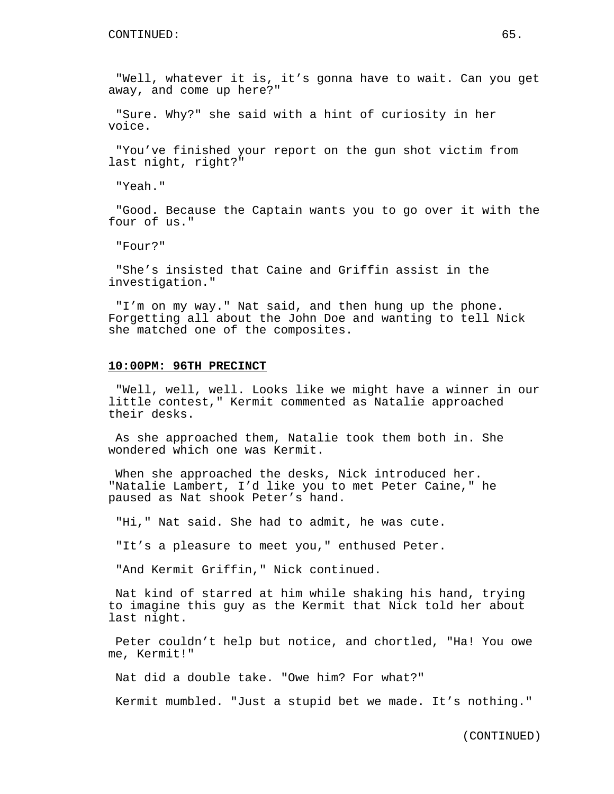"Well, whatever it is, it's gonna have to wait. Can you get away, and come up here?"

"Sure. Why?" she said with a hint of curiosity in her voice.

"You've finished your report on the gun shot victim from last night, right?"

"Yeah."

"Good. Because the Captain wants you to go over it with the four of us."

"Four?"

"She's insisted that Caine and Griffin assist in the investigation."

"I'm on my way." Nat said, and then hung up the phone. Forgetting all about the John Doe and wanting to tell Nick she matched one of the composites.

## **10:00PM: 96TH PRECINCT**

"Well, well, well. Looks like we might have a winner in our little contest," Kermit commented as Natalie approached their desks.

As she approached them, Natalie took them both in. She wondered which one was Kermit.

When she approached the desks, Nick introduced her. "Natalie Lambert, I'd like you to met Peter Caine," he paused as Nat shook Peter's hand.

"Hi," Nat said. She had to admit, he was cute.

"It's a pleasure to meet you," enthused Peter.

"And Kermit Griffin," Nick continued.

Nat kind of starred at him while shaking his hand, trying to imagine this guy as the Kermit that Nick told her about last night.

Peter couldn't help but notice, and chortled, "Ha! You owe me, Kermit!"

Nat did a double take. "Owe him? For what?"

Kermit mumbled. "Just a stupid bet we made. It's nothing."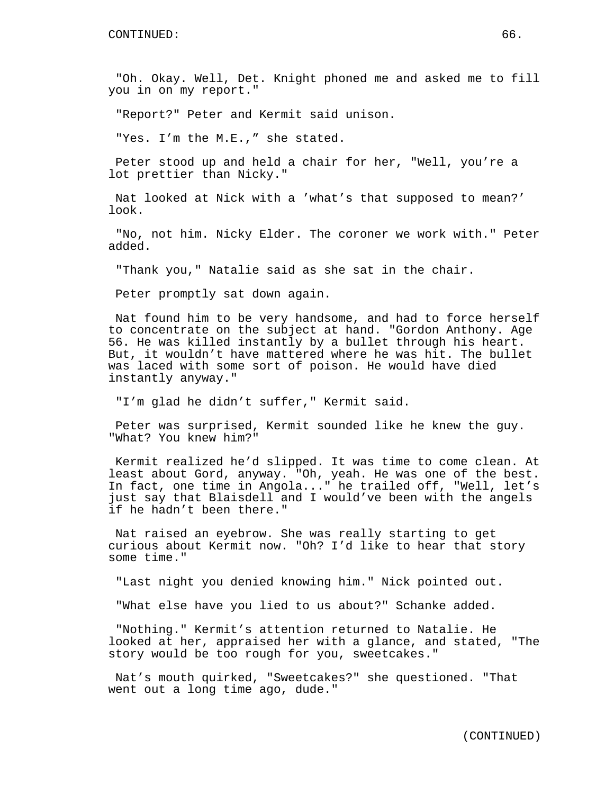"Oh. Okay. Well, Det. Knight phoned me and asked me to fill you in on my report."

"Report?" Peter and Kermit said unison.

"Yes. I'm the M.E.," she stated.

Peter stood up and held a chair for her, "Well, you're a lot prettier than Nicky."

Nat looked at Nick with a 'what's that supposed to mean?' look.

"No, not him. Nicky Elder. The coroner we work with." Peter added.

"Thank you," Natalie said as she sat in the chair.

Peter promptly sat down again.

Nat found him to be very handsome, and had to force herself to concentrate on the subject at hand. "Gordon Anthony. Age 56. He was killed instantly by a bullet through his heart. But, it wouldn't have mattered where he was hit. The bullet was laced with some sort of poison. He would have died instantly anyway."

"I'm glad he didn't suffer," Kermit said.

Peter was surprised, Kermit sounded like he knew the guy. "What? You knew him?"

Kermit realized he'd slipped. It was time to come clean. At least about Gord, anyway. "Oh, yeah. He was one of the best. In fact, one time in Angola..." he trailed off, "Well, let's just say that Blaisdell and I would've been with the angels if he hadn't been there."

Nat raised an eyebrow. She was really starting to get curious about Kermit now. "Oh? I'd like to hear that story some time."

"Last night you denied knowing him." Nick pointed out.

"What else have you lied to us about?" Schanke added.

"Nothing." Kermit's attention returned to Natalie. He looked at her, appraised her with a glance, and stated, "The story would be too rough for you, sweetcakes."

Nat's mouth quirked, "Sweetcakes?" she questioned. "That went out a long time ago, dude."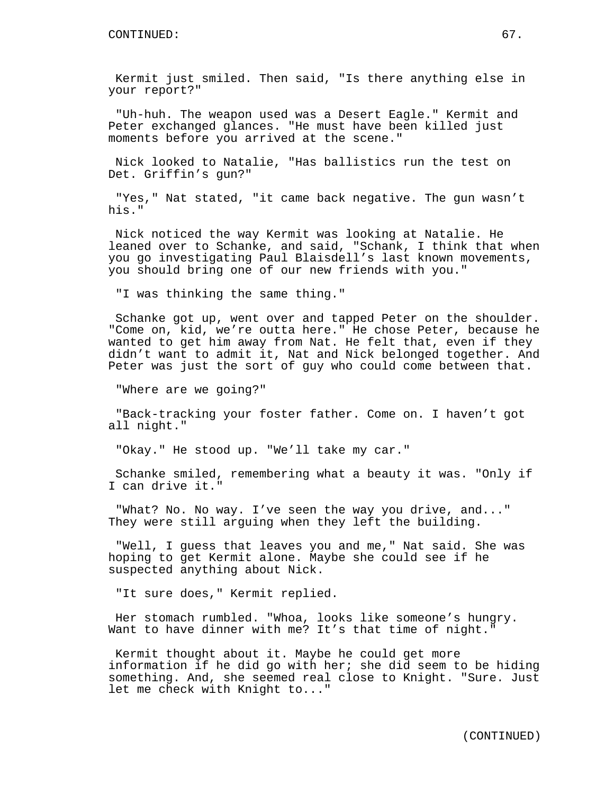Kermit just smiled. Then said, "Is there anything else in your report?"

"Uh-huh. The weapon used was a Desert Eagle." Kermit and Peter exchanged glances. "He must have been killed just moments before you arrived at the scene."

Nick looked to Natalie, "Has ballistics run the test on Det. Griffin's gun?"

"Yes," Nat stated, "it came back negative. The gun wasn't his."

Nick noticed the way Kermit was looking at Natalie. He leaned over to Schanke, and said, "Schank, I think that when you go investigating Paul Blaisdell's last known movements, you should bring one of our new friends with you."

"I was thinking the same thing."

Schanke got up, went over and tapped Peter on the shoulder. "Come on, kid, we're outta here." He chose Peter, because he wanted to get him away from Nat. He felt that, even if they didn't want to admit it, Nat and Nick belonged together. And Peter was just the sort of guy who could come between that.

"Where are we going?"

"Back-tracking your foster father. Come on. I haven't got all night."

"Okay." He stood up. "We'll take my car."

Schanke smiled, remembering what a beauty it was. "Only if I can drive it."

"What? No. No way. I've seen the way you drive, and..." They were still arguing when they left the building.

"Well, I guess that leaves you and me," Nat said. She was hoping to get Kermit alone. Maybe she could see if he suspected anything about Nick.

"It sure does," Kermit replied.

Her stomach rumbled. "Whoa, looks like someone's hungry. Want to have dinner with me? It's that time of night."

Kermit thought about it. Maybe he could get more information if he did go with her; she did seem to be hiding something. And, she seemed real close to Knight. "Sure. Just let me check with Knight to..."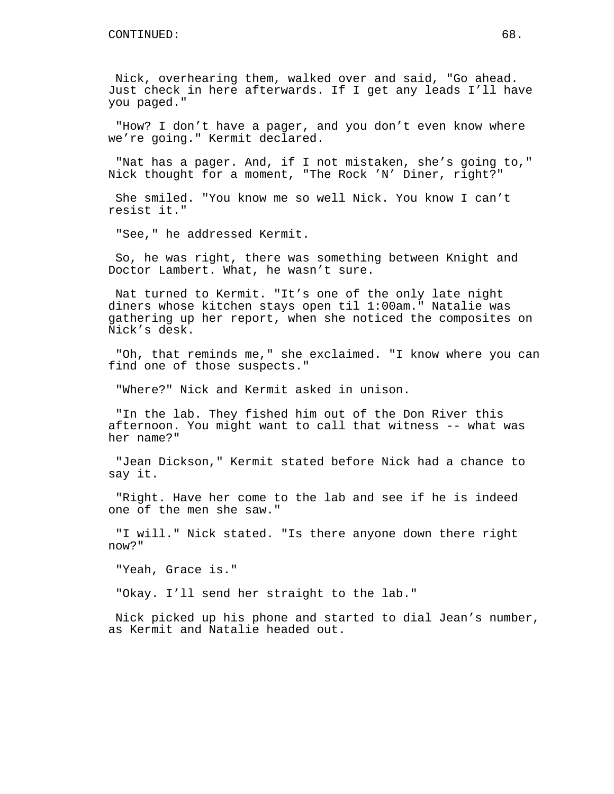Nick, overhearing them, walked over and said, "Go ahead. Just check in here afterwards. If I get any leads I'll have you paged."

"How? I don't have a pager, and you don't even know where we're going." Kermit declared.

"Nat has a pager. And, if I not mistaken, she's going to," Nick thought for a moment, "The Rock 'N' Diner, right?"

She smiled. "You know me so well Nick. You know I can't resist it."

"See," he addressed Kermit.

So, he was right, there was something between Knight and Doctor Lambert. What, he wasn't sure.

Nat turned to Kermit. "It's one of the only late night diners whose kitchen stays open til 1:00am." Natalie was gathering up her report, when she noticed the composites on Nick's desk.

"Oh, that reminds me," she exclaimed. "I know where you can find one of those suspects."

"Where?" Nick and Kermit asked in unison.

"In the lab. They fished him out of the Don River this afternoon. You might want to call that witness -- what was her name?"

"Jean Dickson," Kermit stated before Nick had a chance to say it.

"Right. Have her come to the lab and see if he is indeed one of the men she saw."

"I will." Nick stated. "Is there anyone down there right now?"

"Yeah, Grace is."

"Okay. I'll send her straight to the lab."

Nick picked up his phone and started to dial Jean's number, as Kermit and Natalie headed out.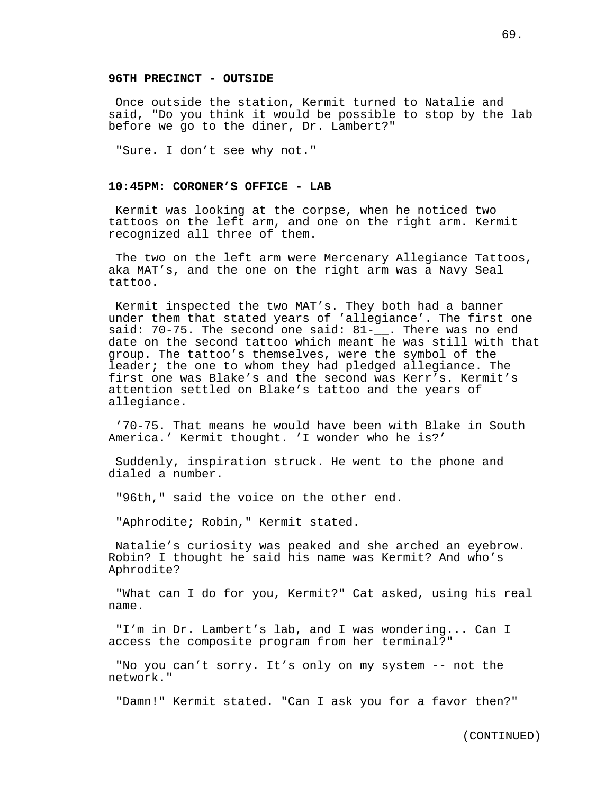### **96TH PRECINCT - OUTSIDE**

Once outside the station, Kermit turned to Natalie and said, "Do you think it would be possible to stop by the lab before we go to the diner, Dr. Lambert?"

"Sure. I don't see why not."

## **10:45PM: CORONER'S OFFICE - LAB**

Kermit was looking at the corpse, when he noticed two tattoos on the left arm, and one on the right arm. Kermit recognized all three of them.

The two on the left arm were Mercenary Allegiance Tattoos, aka MAT's, and the one on the right arm was a Navy Seal tattoo.

Kermit inspected the two MAT's. They both had a banner under them that stated years of 'allegiance'. The first one said: 70-75. The second one said:  $81-$ . There was no end date on the second tattoo which meant he was still with that group. The tattoo's themselves, were the symbol of the leader; the one to whom they had pledged allegiance. The first one was Blake's and the second was Kerr's. Kermit's attention settled on Blake's tattoo and the years of allegiance.

'70-75. That means he would have been with Blake in South America.' Kermit thought. 'I wonder who he is?'

Suddenly, inspiration struck. He went to the phone and dialed a number.

"96th," said the voice on the other end.

"Aphrodite; Robin," Kermit stated.

Natalie's curiosity was peaked and she arched an eyebrow. Robin? I thought he said his name was Kermit? And who's Aphrodite?

"What can I do for you, Kermit?" Cat asked, using his real name.

"I'm in Dr. Lambert's lab, and I was wondering... Can I access the composite program from her terminal?"

"No you can't sorry. It's only on my system -- not the network."

"Damn!" Kermit stated. "Can I ask you for a favor then?"

(CONTINUED)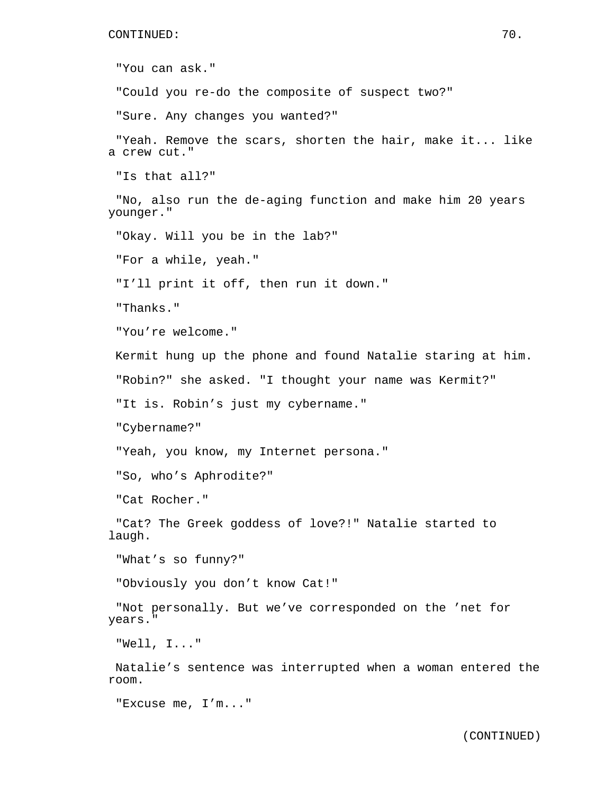"You can ask." "Could you re-do the composite of suspect two?" "Sure. Any changes you wanted?" "Yeah. Remove the scars, shorten the hair, make it... like a crew cut." "Is that all?" "No, also run the de-aging function and make him 20 years younger." "Okay. Will you be in the lab?" "For a while, yeah." "I'll print it off, then run it down." "Thanks." "You're welcome." Kermit hung up the phone and found Natalie staring at him. "Robin?" she asked. "I thought your name was Kermit?" "It is. Robin's just my cybername." "Cybername?" "Yeah, you know, my Internet persona." "So, who's Aphrodite?" "Cat Rocher." "Cat? The Greek goddess of love?!" Natalie started to laugh. "What's so funny?" "Obviously you don't know Cat!" "Not personally. But we've corresponded on the 'net for years." "Well, I..." Natalie's sentence was interrupted when a woman entered the room.

"Excuse me, I'm..."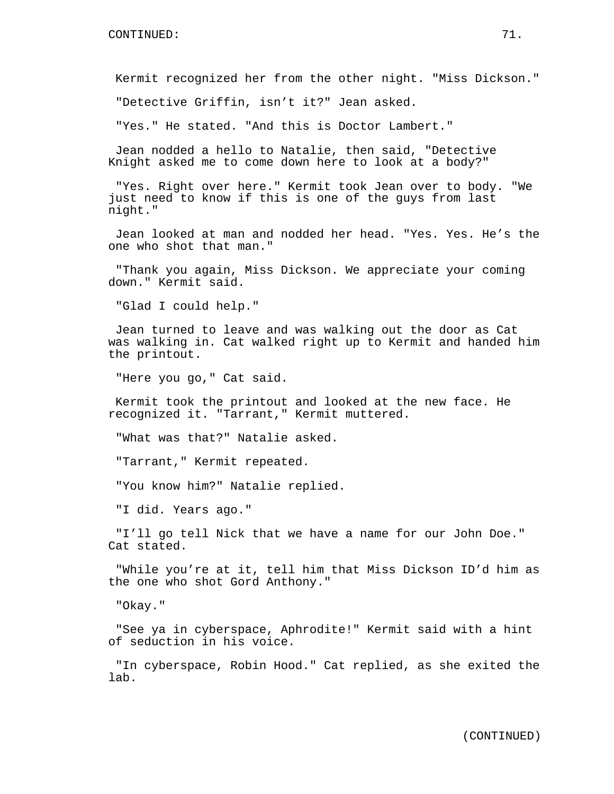Kermit recognized her from the other night. "Miss Dickson."

"Detective Griffin, isn't it?" Jean asked.

"Yes." He stated. "And this is Doctor Lambert."

Jean nodded a hello to Natalie, then said, "Detective Knight asked me to come down here to look at a body?"

"Yes. Right over here." Kermit took Jean over to body. "We just need to know if this is one of the guys from last night."

Jean looked at man and nodded her head. "Yes. Yes. He's the one who shot that man."

"Thank you again, Miss Dickson. We appreciate your coming down." Kermit said.

"Glad I could help."

Jean turned to leave and was walking out the door as Cat was walking in. Cat walked right up to Kermit and handed him the printout.

"Here you go," Cat said.

Kermit took the printout and looked at the new face. He recognized it. "Tarrant," Kermit muttered.

"What was that?" Natalie asked.

"Tarrant," Kermit repeated.

"You know him?" Natalie replied.

"I did. Years ago."

"I'll go tell Nick that we have a name for our John Doe." Cat stated.

"While you're at it, tell him that Miss Dickson ID'd him as the one who shot Gord Anthony."

"Okay."

"See ya in cyberspace, Aphrodite!" Kermit said with a hint of seduction in his voice.

"In cyberspace, Robin Hood." Cat replied, as she exited the lab.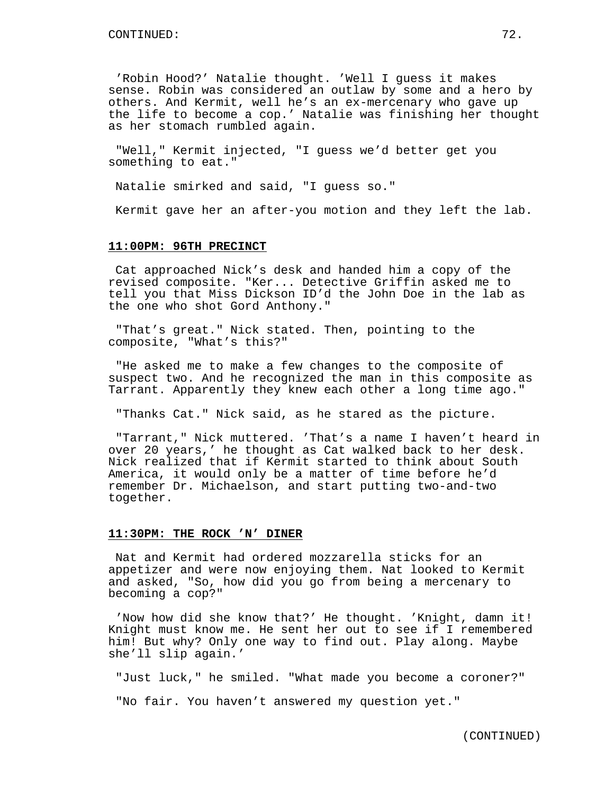'Robin Hood?' Natalie thought. 'Well I guess it makes sense. Robin was considered an outlaw by some and a hero by others. And Kermit, well he's an ex-mercenary who gave up the life to become a cop.' Natalie was finishing her thought as her stomach rumbled again.

"Well," Kermit injected, "I guess we'd better get you something to eat."

Natalie smirked and said, "I guess so."

Kermit gave her an after-you motion and they left the lab.

#### **11:00PM: 96TH PRECINCT**

Cat approached Nick's desk and handed him a copy of the revised composite. "Ker... Detective Griffin asked me to tell you that Miss Dickson ID'd the John Doe in the lab as the one who shot Gord Anthony."

"That's great." Nick stated. Then, pointing to the composite, "What's this?"

"He asked me to make a few changes to the composite of suspect two. And he recognized the man in this composite as Tarrant. Apparently they knew each other a long time ago."

"Thanks Cat." Nick said, as he stared as the picture.

"Tarrant," Nick muttered. 'That's a name I haven't heard in over 20 years,' he thought as Cat walked back to her desk. Nick realized that if Kermit started to think about South America, it would only be a matter of time before he'd remember Dr. Michaelson, and start putting two-and-two together.

#### **11:30PM: THE ROCK 'N' DINER**

Nat and Kermit had ordered mozzarella sticks for an appetizer and were now enjoying them. Nat looked to Kermit and asked, "So, how did you go from being a mercenary to becoming a cop?"

'Now how did she know that?' He thought. 'Knight, damn it! Knight must know me. He sent her out to see if I remembered him! But why? Only one way to find out. Play along. Maybe she'll slip again.'

"Just luck," he smiled. "What made you become a coroner?"

"No fair. You haven't answered my question yet."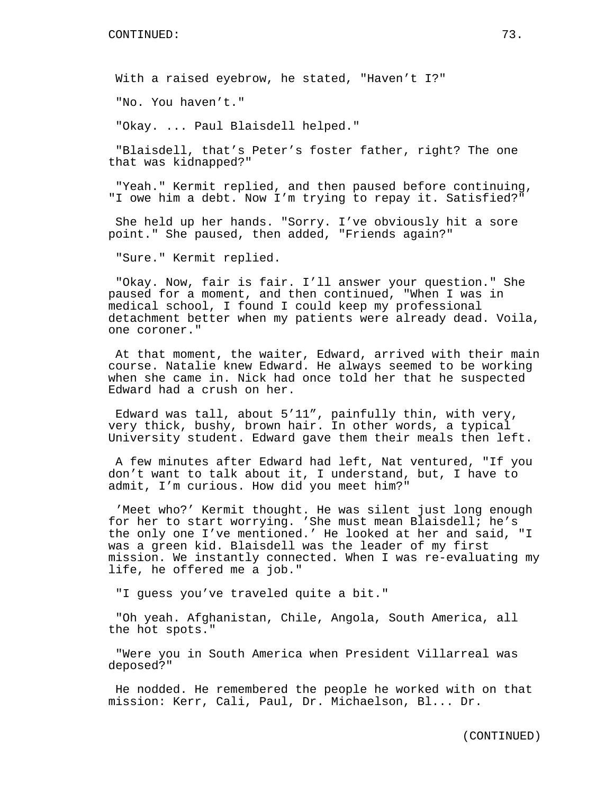With a raised eyebrow, he stated, "Haven't I?"

"No. You haven't."

"Okay. ... Paul Blaisdell helped."

"Blaisdell, that's Peter's foster father, right? The one that was kidnapped?"

"Yeah." Kermit replied, and then paused before continuing, "I owe him a debt. Now I'm trying to repay it. Satisfied?"

She held up her hands. "Sorry. I've obviously hit a sore point." She paused, then added, "Friends again?"

"Sure." Kermit replied.

"Okay. Now, fair is fair. I'll answer your question." She paused for a moment, and then continued, "When I was in medical school, I found I could keep my professional detachment better when my patients were already dead. Voila, one coroner."

At that moment, the waiter, Edward, arrived with their main course. Natalie knew Edward. He always seemed to be working when she came in. Nick had once told her that he suspected Edward had a crush on her.

Edward was tall, about 5'11", painfully thin, with very, very thick, bushy, brown hair. In other words, a typical University student. Edward gave them their meals then left.

A few minutes after Edward had left, Nat ventured, "If you don't want to talk about it, I understand, but, I have to admit, I'm curious. How did you meet him?"

'Meet who?' Kermit thought. He was silent just long enough for her to start worrying. 'She must mean Blaisdell; he's the only one I've mentioned.' He looked at her and said, "I was a green kid. Blaisdell was the leader of my first mission. We instantly connected. When I was re-evaluating my life, he offered me a job."

"I guess you've traveled quite a bit."

"Oh yeah. Afghanistan, Chile, Angola, South America, all the hot spots."

"Were you in South America when President Villarreal was deposed?"

He nodded. He remembered the people he worked with on that mission: Kerr, Cali, Paul, Dr. Michaelson, Bl... Dr.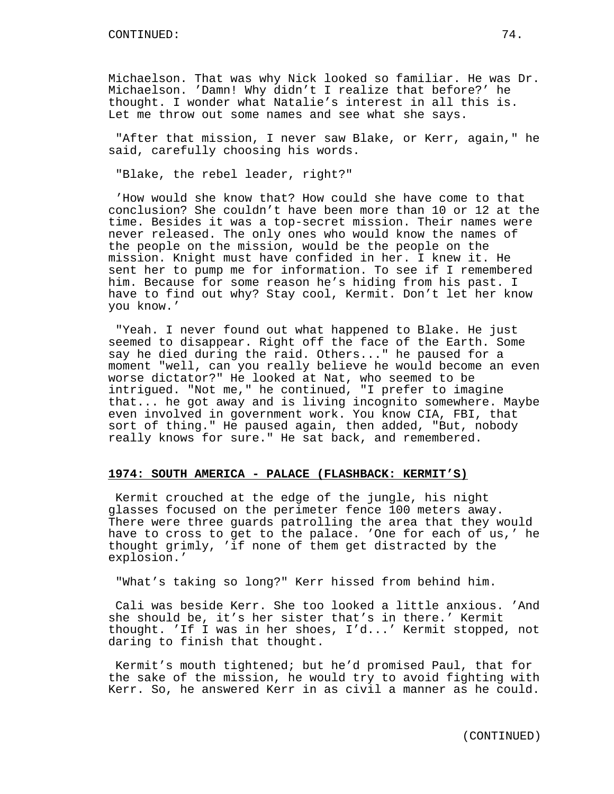Michaelson. That was why Nick looked so familiar. He was Dr. Michaelson. 'Damn! Why didn't I realize that before?' he thought. I wonder what Natalie's interest in all this is. Let me throw out some names and see what she says.

"After that mission, I never saw Blake, or Kerr, again," he said, carefully choosing his words.

"Blake, the rebel leader, right?"

'How would she know that? How could she have come to that conclusion? She couldn't have been more than 10 or 12 at the time. Besides it was a top-secret mission. Their names were never released. The only ones who would know the names of the people on the mission, would be the people on the mission. Knight must have confided in her. I knew it. He sent her to pump me for information. To see if I remembered him. Because for some reason he's hiding from his past. I have to find out why? Stay cool, Kermit. Don't let her know you know.'

"Yeah. I never found out what happened to Blake. He just seemed to disappear. Right off the face of the Earth. Some say he died during the raid. Others..." he paused for a moment "well, can you really believe he would become an even worse dictator?" He looked at Nat, who seemed to be intrigued. "Not me," he continued, "I prefer to imagine that... he got away and is living incognito somewhere. Maybe even involved in government work. You know CIA, FBI, that sort of thing." He paused again, then added, "But, nobody really knows for sure." He sat back, and remembered.

### **1974: SOUTH AMERICA - PALACE (FLASHBACK: KERMIT'S)**

Kermit crouched at the edge of the jungle, his night glasses focused on the perimeter fence 100 meters away. There were three guards patrolling the area that they would have to cross to get to the palace. 'One for each of us,' he thought grimly, 'if none of them get distracted by the explosion.'

"What's taking so long?" Kerr hissed from behind him.

Cali was beside Kerr. She too looked a little anxious. 'And she should be, it's her sister that's in there.' Kermit thought. 'If I was in her shoes, I'd...' Kermit stopped, not daring to finish that thought.

Kermit's mouth tightened; but he'd promised Paul, that for the sake of the mission, he would try to avoid fighting with Kerr. So, he answered Kerr in as civil a manner as he could.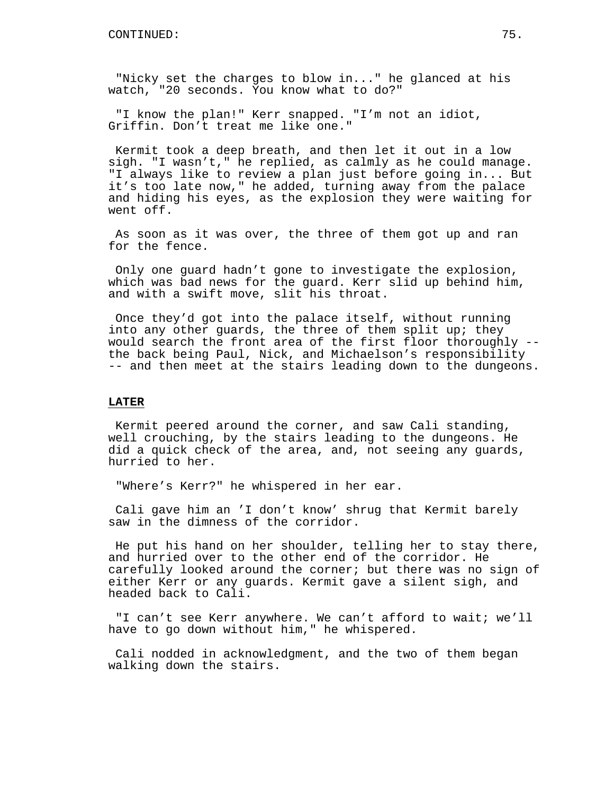"Nicky set the charges to blow in..." he glanced at his watch, "20 seconds. You know what to do?"

"I know the plan!" Kerr snapped. "I'm not an idiot, Griffin. Don't treat me like one."

Kermit took a deep breath, and then let it out in a low sigh. "I wasn't," he replied, as calmly as he could manage. "I always like to review a plan just before going in... But it's too late now," he added, turning away from the palace and hiding his eyes, as the explosion they were waiting for went off.

As soon as it was over, the three of them got up and ran for the fence.

Only one guard hadn't gone to investigate the explosion, which was bad news for the guard. Kerr slid up behind him, and with a swift move, slit his throat.

Once they'd got into the palace itself, without running into any other guards, the three of them split up; they would search the front area of the first floor thoroughly - the back being Paul, Nick, and Michaelson's responsibility -- and then meet at the stairs leading down to the dungeons.

# **LATER**

Kermit peered around the corner, and saw Cali standing, well crouching, by the stairs leading to the dungeons. He did a quick check of the area, and, not seeing any guards, hurried to her.

"Where's Kerr?" he whispered in her ear.

Cali gave him an 'I don't know' shrug that Kermit barely saw in the dimness of the corridor.

He put his hand on her shoulder, telling her to stay there, and hurried over to the other end of the corridor. He carefully looked around the corner; but there was no sign of either Kerr or any guards. Kermit gave a silent sigh, and headed back to Cali.

"I can't see Kerr anywhere. We can't afford to wait; we'll have to go down without him," he whispered.

Cali nodded in acknowledgment, and the two of them began walking down the stairs.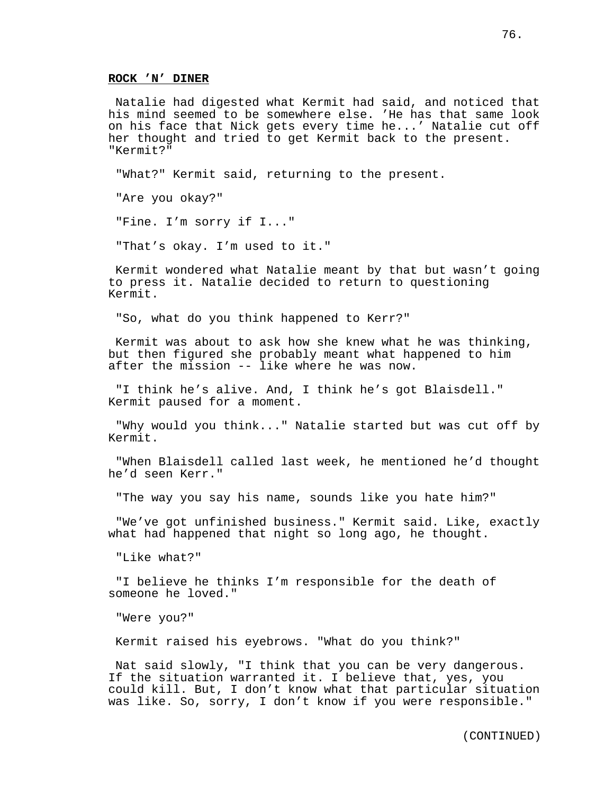Natalie had digested what Kermit had said, and noticed that his mind seemed to be somewhere else. 'He has that same look on his face that Nick gets every time he...' Natalie cut off her thought and tried to get Kermit back to the present. "Kermit?"

"What?" Kermit said, returning to the present.

"Are you okay?"

"Fine. I'm sorry if I..."

"That's okay. I'm used to it."

Kermit wondered what Natalie meant by that but wasn't going to press it. Natalie decided to return to questioning Kermit.

"So, what do you think happened to Kerr?"

Kermit was about to ask how she knew what he was thinking, but then figured she probably meant what happened to him after the mission -- like where he was now.

"I think he's alive. And, I think he's got Blaisdell." Kermit paused for a moment.

"Why would you think..." Natalie started but was cut off by Kermit.

"When Blaisdell called last week, he mentioned he'd thought he'd seen Kerr."

"The way you say his name, sounds like you hate him?"

"We've got unfinished business." Kermit said. Like, exactly what had happened that night so long ago, he thought.

"Like what?"

"I believe he thinks I'm responsible for the death of someone he loved."

"Were you?"

Kermit raised his eyebrows. "What do you think?"

Nat said slowly, "I think that you can be very dangerous. If the situation warranted it. I believe that, yes, you could kill. But, I don't know what that particular situation was like. So, sorry, I don't know if you were responsible."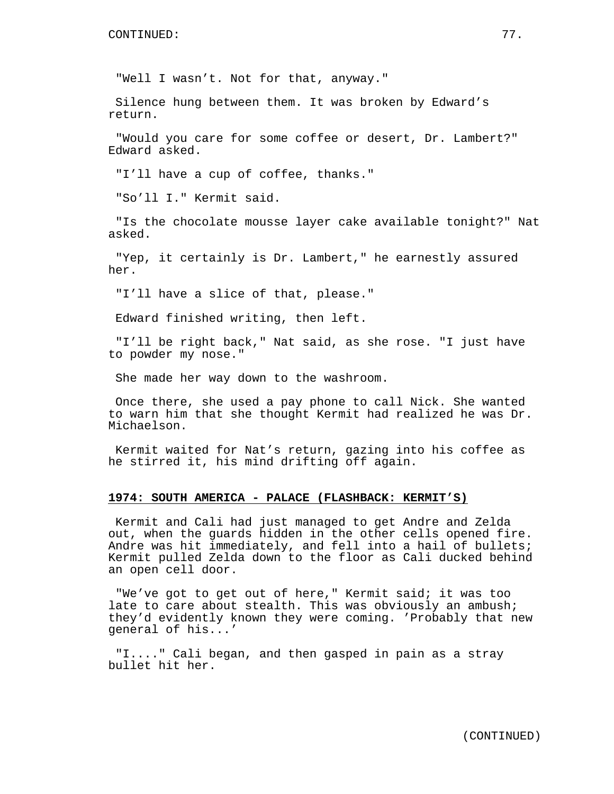"Well I wasn't. Not for that, anyway."

Silence hung between them. It was broken by Edward's return.

"Would you care for some coffee or desert, Dr. Lambert?" Edward asked.

"I'll have a cup of coffee, thanks."

"So'll I." Kermit said.

"Is the chocolate mousse layer cake available tonight?" Nat asked.

"Yep, it certainly is Dr. Lambert," he earnestly assured her.

"I'll have a slice of that, please."

Edward finished writing, then left.

"I'll be right back," Nat said, as she rose. "I just have to powder my nose."

She made her way down to the washroom.

Once there, she used a pay phone to call Nick. She wanted to warn him that she thought Kermit had realized he was Dr. Michaelson.

Kermit waited for Nat's return, gazing into his coffee as he stirred it, his mind drifting off again.

### **1974: SOUTH AMERICA - PALACE (FLASHBACK: KERMIT'S)**

Kermit and Cali had just managed to get Andre and Zelda out, when the guards hidden in the other cells opened fire. Andre was hit immediately, and fell into a hail of bullets; Kermit pulled Zelda down to the floor as Cali ducked behind an open cell door.

"We've got to get out of here," Kermit said; it was too late to care about stealth. This was obviously an ambush; they'd evidently known they were coming. 'Probably that new general of his...'

"I...." Cali began, and then gasped in pain as a stray bullet hit her.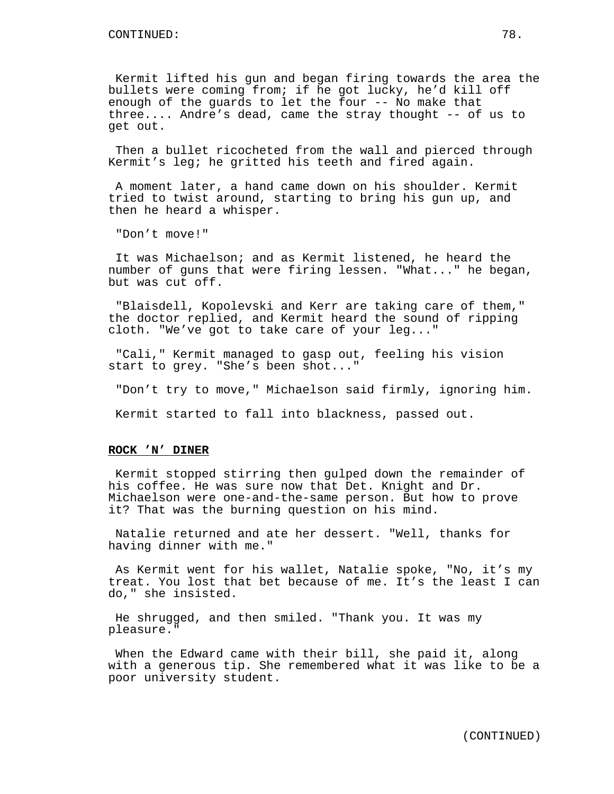Kermit lifted his gun and began firing towards the area the bullets were coming from; if he got lucky, he'd kill off enough of the guards to let the four -- No make that three.... Andre's dead, came the stray thought -- of us to get out.

Then a bullet ricocheted from the wall and pierced through Kermit's leg; he gritted his teeth and fired again.

A moment later, a hand came down on his shoulder. Kermit tried to twist around, starting to bring his gun up, and then he heard a whisper.

"Don't move!"

It was Michaelson; and as Kermit listened, he heard the number of guns that were firing lessen. "What..." he began, but was cut off.

"Blaisdell, Kopolevski and Kerr are taking care of them," the doctor replied, and Kermit heard the sound of ripping cloth. "We've got to take care of your leg..."

"Cali," Kermit managed to gasp out, feeling his vision start to grey. "She's been shot..."

"Don't try to move," Michaelson said firmly, ignoring him.

Kermit started to fall into blackness, passed out.

#### **ROCK 'N' DINER**

Kermit stopped stirring then gulped down the remainder of his coffee. He was sure now that Det. Knight and Dr. Michaelson were one-and-the-same person. But how to prove it? That was the burning question on his mind.

Natalie returned and ate her dessert. "Well, thanks for having dinner with me."

As Kermit went for his wallet, Natalie spoke, "No, it's my treat. You lost that bet because of me. It's the least I can do," she insisted.

He shrugged, and then smiled. "Thank you. It was my pleasure."

When the Edward came with their bill, she paid it, along with a generous tip. She remembered what it was like to be a poor university student.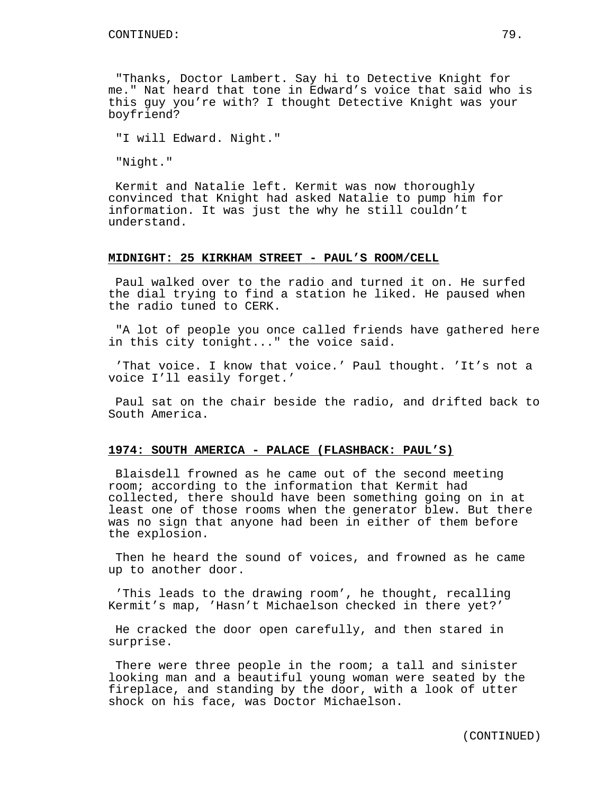"Thanks, Doctor Lambert. Say hi to Detective Knight for me." Nat heard that tone in Edward's voice that said who is this guy you're with? I thought Detective Knight was your boyfriend?

"I will Edward. Night."

"Night."

Kermit and Natalie left. Kermit was now thoroughly convinced that Knight had asked Natalie to pump him for information. It was just the why he still couldn't understand.

#### **MIDNIGHT: 25 KIRKHAM STREET - PAUL'S ROOM/CELL**

Paul walked over to the radio and turned it on. He surfed the dial trying to find a station he liked. He paused when the radio tuned to CERK.

"A lot of people you once called friends have gathered here in this city tonight..." the voice said.

'That voice. I know that voice.' Paul thought. 'It's not a voice I'll easily forget.'

Paul sat on the chair beside the radio, and drifted back to South America.

### **1974: SOUTH AMERICA - PALACE (FLASHBACK: PAUL'S)**

Blaisdell frowned as he came out of the second meeting room; according to the information that Kermit had collected, there should have been something going on in at least one of those rooms when the generator blew. But there was no sign that anyone had been in either of them before the explosion.

Then he heard the sound of voices, and frowned as he came up to another door.

'This leads to the drawing room', he thought, recalling Kermit's map, 'Hasn't Michaelson checked in there yet?'

He cracked the door open carefully, and then stared in surprise.

There were three people in the room; a tall and sinister looking man and a beautiful young woman were seated by the fireplace, and standing by the door, with a look of utter shock on his face, was Doctor Michaelson.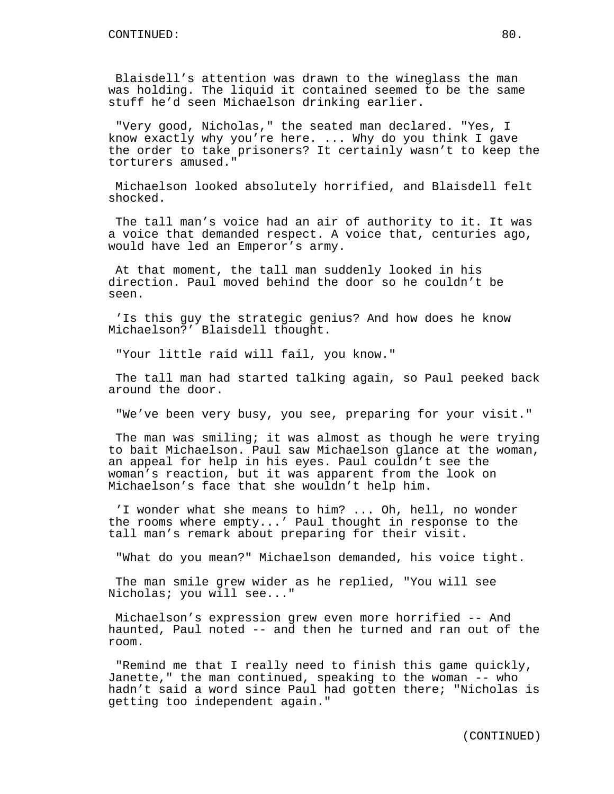Blaisdell's attention was drawn to the wineglass the man was holding. The liquid it contained seemed to be the same stuff he'd seen Michaelson drinking earlier.

"Very good, Nicholas," the seated man declared. "Yes, I know exactly why you're here. ... Why do you think I gave the order to take prisoners? It certainly wasn't to keep the torturers amused."

Michaelson looked absolutely horrified, and Blaisdell felt shocked.

The tall man's voice had an air of authority to it. It was a voice that demanded respect. A voice that, centuries ago, would have led an Emperor's army.

At that moment, the tall man suddenly looked in his direction. Paul moved behind the door so he couldn't be seen.

'Is this guy the strategic genius? And how does he know Michaelson?' Blaisdell thought.

"Your little raid will fail, you know."

The tall man had started talking again, so Paul peeked back around the door.

"We've been very busy, you see, preparing for your visit."

The man was smiling; it was almost as though he were trying to bait Michaelson. Paul saw Michaelson glance at the woman, an appeal for help in his eyes. Paul couldn't see the woman's reaction, but it was apparent from the look on Michaelson's face that she wouldn't help him.

'I wonder what she means to him? ... Oh, hell, no wonder the rooms where empty...' Paul thought in response to the tall man's remark about preparing for their visit.

"What do you mean?" Michaelson demanded, his voice tight.

The man smile grew wider as he replied, "You will see Nicholas; you will see..."

Michaelson's expression grew even more horrified -- And haunted, Paul noted -- and then he turned and ran out of the room.

"Remind me that I really need to finish this game quickly, Janette," the man continued, speaking to the woman -- who hadn't said a word since Paul had gotten there; "Nicholas is getting too independent again."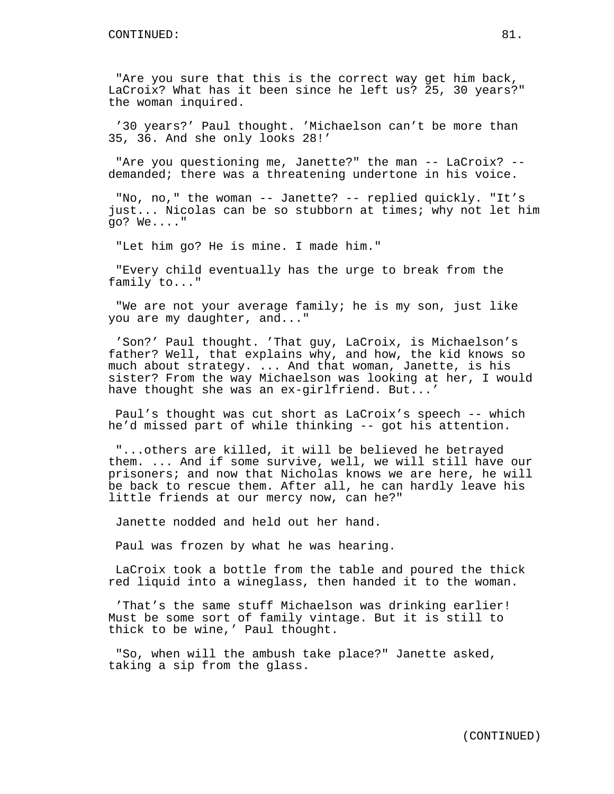"Are you sure that this is the correct way get him back, LaCroix? What has it been since he left us? 25, 30 years?" the woman inquired.

'30 years?' Paul thought. 'Michaelson can't be more than 35, 36. And she only looks 28!'

"Are you questioning me, Janette?" the man -- LaCroix? - demanded; there was a threatening undertone in his voice.

"No, no," the woman -- Janette? -- replied quickly. "It's just... Nicolas can be so stubborn at times; why not let him go? We...."

"Let him go? He is mine. I made him."

"Every child eventually has the urge to break from the family to..."

"We are not your average family; he is my son, just like you are my daughter, and..."

'Son?' Paul thought. 'That guy, LaCroix, is Michaelson's father? Well, that explains why, and how, the kid knows so much about strategy. ... And that woman, Janette, is his sister? From the way Michaelson was looking at her, I would have thought she was an ex-girlfriend. But...'

Paul's thought was cut short as LaCroix's speech -- which he'd missed part of while thinking -- got his attention.

"...others are killed, it will be believed he betrayed them. ... And if some survive, well, we will still have our prisoners; and now that Nicholas knows we are here, he will be back to rescue them. After all, he can hardly leave his little friends at our mercy now, can he?"

Janette nodded and held out her hand.

Paul was frozen by what he was hearing.

LaCroix took a bottle from the table and poured the thick red liquid into a wineglass, then handed it to the woman.

'That's the same stuff Michaelson was drinking earlier! Must be some sort of family vintage. But it is still to thick to be wine,' Paul thought.

"So, when will the ambush take place?" Janette asked, taking a sip from the glass.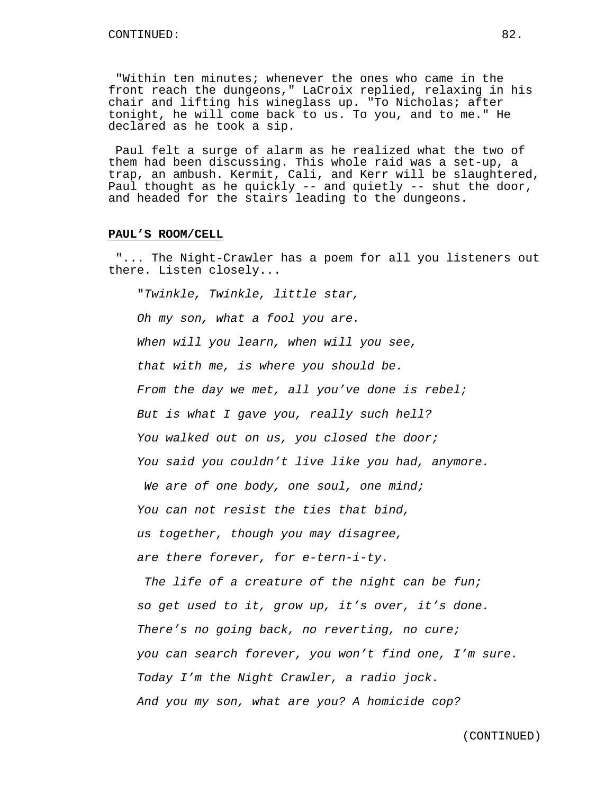"Within ten minutes; whenever the ones who came in the front reach the dungeons," LaCroix replied, relaxing in his chair and lifting his wineglass up. "To Nicholas; after tonight, he will come back to us. To you, and to me." He declared as he took a sip.

Paul felt a surge of alarm as he realized what the two of them had been discussing. This whole raid was a set-up, a trap, an ambush. Kermit, Cali, and Kerr will be slaughtered, Paul thought as he quickly -- and quietly -- shut the door, and headed for the stairs leading to the dungeons.

#### **PAUL'S ROOM/CELL**

"... The Night-Crawler has a poem for all you listeners out there. Listen closely...

"Twinkle, Twinkle, little star,

Oh my son, what a fool you are.

When will you learn, when will you see,

that with me, is where you should be.

From the day we met, all you've done is rebel;

But is what I gave you, really such hell?

You walked out on us, you closed the door;

You said you couldn't live like you had, anymore.

We are of one body, one soul, one mind;

You can not resist the ties that bind,

us together, though you may disagree,

are there forever, for e-tern-i-ty.

The life of a creature of the night can be fun; so get used to it, grow up, it's over, it's done. There's no going back, no reverting, no cure; you can search forever, you won't find one, I'm sure. Today I'm the Night Crawler, a radio jock. And you my son, what are you? A homicide cop?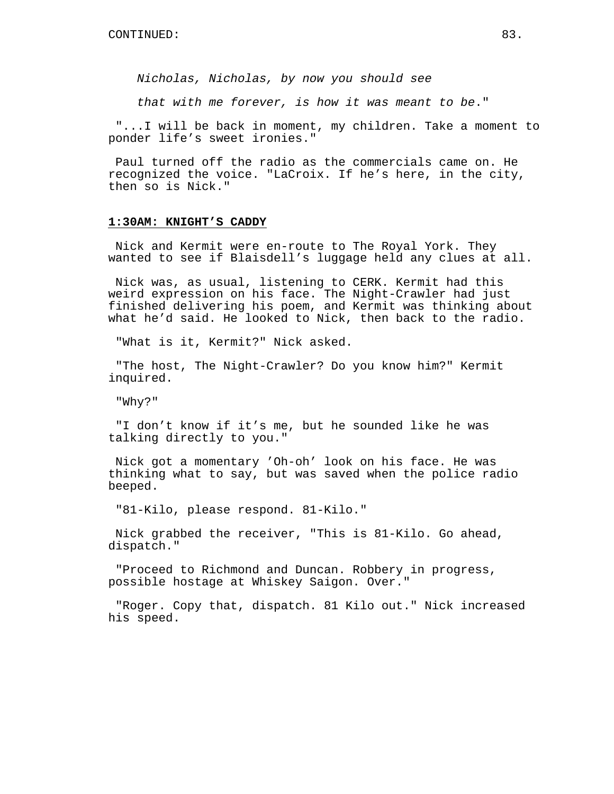Nicholas, Nicholas, by now you should see

that with me forever, is how it was meant to be."

"...I will be back in moment, my children. Take a moment to ponder life's sweet ironies."

Paul turned off the radio as the commercials came on. He recognized the voice. "LaCroix. If he's here, in the city, then so is Nick."

#### **1:30AM: KNIGHT'S CADDY**

Nick and Kermit were en-route to The Royal York. They wanted to see if Blaisdell's luggage held any clues at all.

Nick was, as usual, listening to CERK. Kermit had this weird expression on his face. The Night-Crawler had just finished delivering his poem, and Kermit was thinking about what he'd said. He looked to Nick, then back to the radio.

"What is it, Kermit?" Nick asked.

"The host, The Night-Crawler? Do you know him?" Kermit inquired.

"Why?"

"I don't know if it's me, but he sounded like he was talking directly to you."

Nick got a momentary 'Oh-oh' look on his face. He was thinking what to say, but was saved when the police radio beeped.

"81-Kilo, please respond. 81-Kilo."

Nick grabbed the receiver, "This is 81-Kilo. Go ahead, dispatch."

"Proceed to Richmond and Duncan. Robbery in progress, possible hostage at Whiskey Saigon. Over."

"Roger. Copy that, dispatch. 81 Kilo out." Nick increased his speed.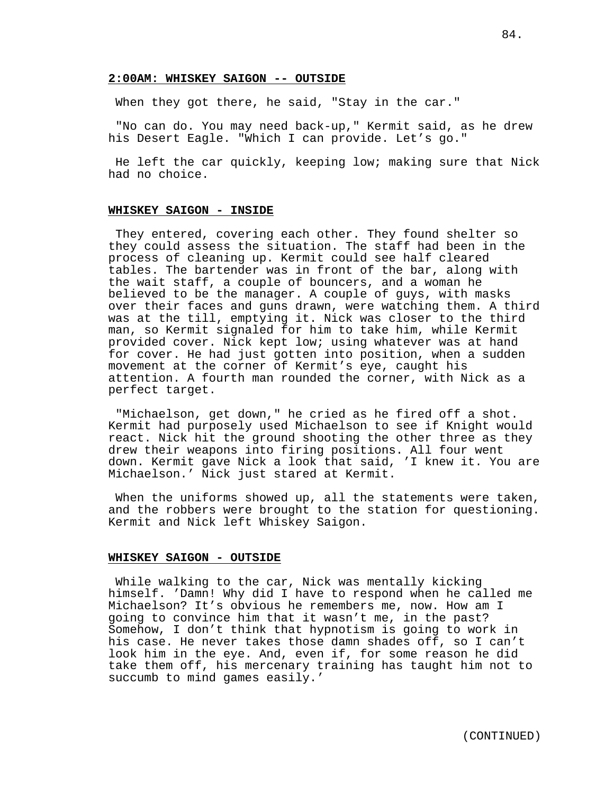### **2:00AM: WHISKEY SAIGON -- OUTSIDE**

When they got there, he said, "Stay in the car."

"No can do. You may need back-up," Kermit said, as he drew his Desert Eagle. "Which I can provide. Let's go."

He left the car quickly, keeping low; making sure that Nick had no choice.

# **WHISKEY SAIGON - INSIDE**

They entered, covering each other. They found shelter so they could assess the situation. The staff had been in the process of cleaning up. Kermit could see half cleared tables. The bartender was in front of the bar, along with the wait staff, a couple of bouncers, and a woman he believed to be the manager. A couple of guys, with masks over their faces and guns drawn, were watching them. A third was at the till, emptying it. Nick was closer to the third man, so Kermit signaled for him to take him, while Kermit provided cover. Nick kept low; using whatever was at hand for cover. He had just gotten into position, when a sudden movement at the corner of Kermit's eye, caught his attention. A fourth man rounded the corner, with Nick as a perfect target.

"Michaelson, get down," he cried as he fired off a shot. Kermit had purposely used Michaelson to see if Knight would react. Nick hit the ground shooting the other three as they drew their weapons into firing positions. All four went down. Kermit gave Nick a look that said, 'I knew it. You are Michaelson.' Nick just stared at Kermit.

When the uniforms showed up, all the statements were taken, and the robbers were brought to the station for questioning. Kermit and Nick left Whiskey Saigon.

#### **WHISKEY SAIGON - OUTSIDE**

While walking to the car, Nick was mentally kicking himself. 'Damn! Why did I have to respond when he called me Michaelson? It's obvious he remembers me, now. How am I going to convince him that it wasn't me, in the past? Somehow, I don't think that hypnotism is going to work in his case. He never takes those damn shades off, so I can't look him in the eye. And, even if, for some reason he did take them off, his mercenary training has taught him not to succumb to mind games easily.'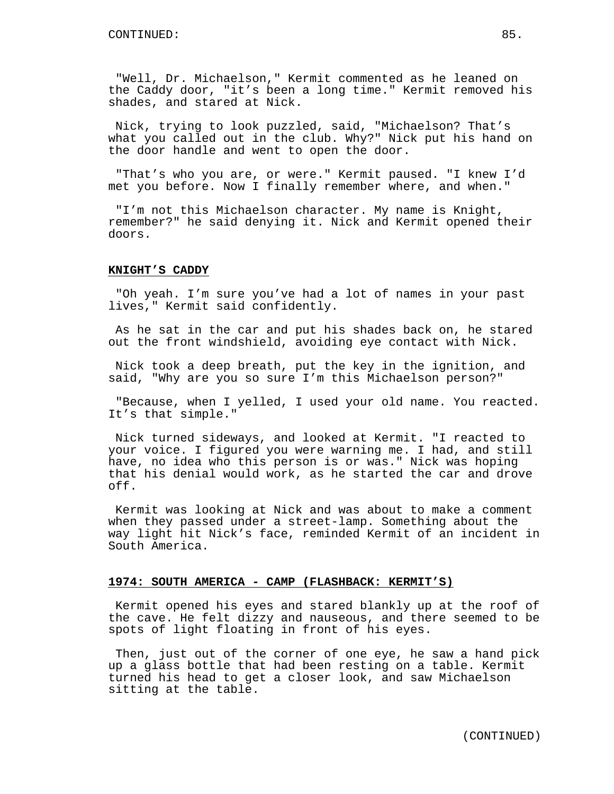"Well, Dr. Michaelson," Kermit commented as he leaned on the Caddy door, "it's been a long time." Kermit removed his shades, and stared at Nick.

Nick, trying to look puzzled, said, "Michaelson? That's what you called out in the club. Why?" Nick put his hand on the door handle and went to open the door.

"That's who you are, or were." Kermit paused. "I knew I'd met you before. Now I finally remember where, and when."

"I'm not this Michaelson character. My name is Knight, remember?" he said denying it. Nick and Kermit opened their doors.

### **KNIGHT'S CADDY**

"Oh yeah. I'm sure you've had a lot of names in your past lives," Kermit said confidently.

As he sat in the car and put his shades back on, he stared out the front windshield, avoiding eye contact with Nick.

Nick took a deep breath, put the key in the ignition, and said, "Why are you so sure I'm this Michaelson person?"

"Because, when I yelled, I used your old name. You reacted. It's that simple."

Nick turned sideways, and looked at Kermit. "I reacted to your voice. I figured you were warning me. I had, and still have, no idea who this person is or was." Nick was hoping that his denial would work, as he started the car and drove off.

Kermit was looking at Nick and was about to make a comment when they passed under a street-lamp. Something about the way light hit Nick's face, reminded Kermit of an incident in South America.

#### **1974: SOUTH AMERICA - CAMP (FLASHBACK: KERMIT'S)**

Kermit opened his eyes and stared blankly up at the roof of the cave. He felt dizzy and nauseous, and there seemed to be spots of light floating in front of his eyes.

Then, just out of the corner of one eye, he saw a hand pick up a glass bottle that had been resting on a table. Kermit turned his head to get a closer look, and saw Michaelson sitting at the table.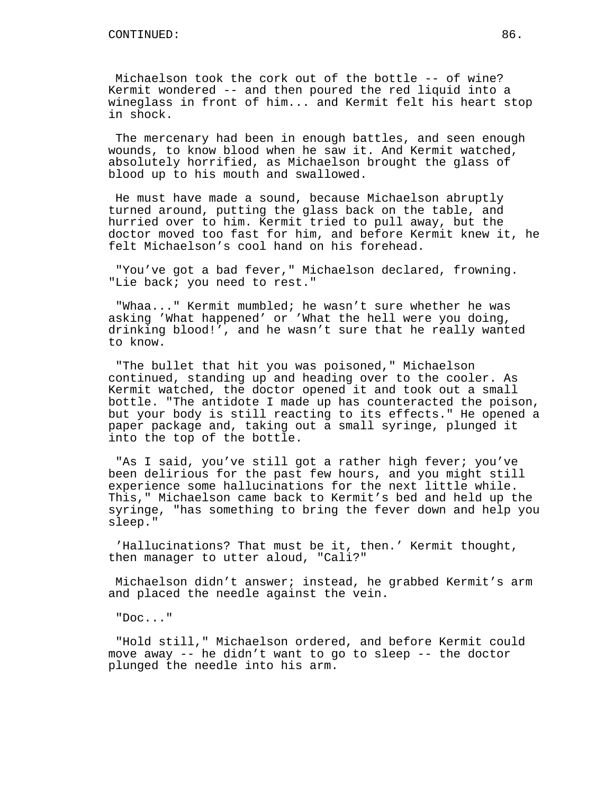Michaelson took the cork out of the bottle -- of wine? Kermit wondered -- and then poured the red liquid into a wineglass in front of him... and Kermit felt his heart stop in shock.

The mercenary had been in enough battles, and seen enough wounds, to know blood when he saw it. And Kermit watched, absolutely horrified, as Michaelson brought the glass of blood up to his mouth and swallowed.

He must have made a sound, because Michaelson abruptly turned around, putting the glass back on the table, and hurried over to him. Kermit tried to pull away, but the doctor moved too fast for him, and before Kermit knew it, he felt Michaelson's cool hand on his forehead.

"You've got a bad fever," Michaelson declared, frowning. "Lie back; you need to rest."

"Whaa..." Kermit mumbled; he wasn't sure whether he was asking 'What happened' or 'What the hell were you doing, drinking blood!', and he wasn't sure that he really wanted to know.

"The bullet that hit you was poisoned," Michaelson continued, standing up and heading over to the cooler. As Kermit watched, the doctor opened it and took out a small bottle. "The antidote I made up has counteracted the poison, but your body is still reacting to its effects." He opened a paper package and, taking out a small syringe, plunged it into the top of the bottle.

"As I said, you've still got a rather high fever; you've been delirious for the past few hours, and you might still experience some hallucinations for the next little while. This," Michaelson came back to Kermit's bed and held up the syringe, "has something to bring the fever down and help you sleep."

'Hallucinations? That must be it, then.' Kermit thought, then manager to utter aloud, "Cali?"

Michaelson didn't answer; instead, he grabbed Kermit's arm and placed the needle against the vein.

"Doc..."

"Hold still," Michaelson ordered, and before Kermit could move away -- he didn't want to go to sleep -- the doctor plunged the needle into his arm.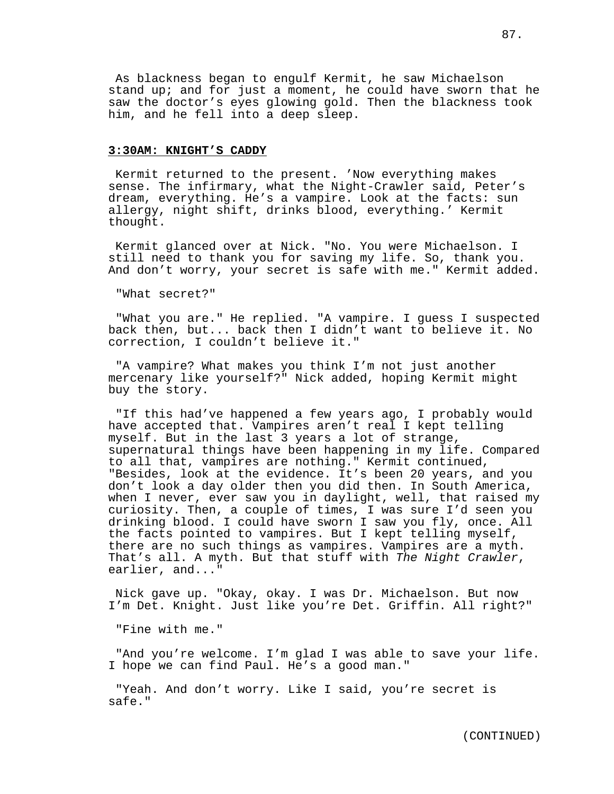As blackness began to engulf Kermit, he saw Michaelson stand up; and for just a moment, he could have sworn that he saw the doctor's eyes glowing gold. Then the blackness took him, and he fell into a deep sleep.

#### **3:30AM: KNIGHT'S CADDY**

Kermit returned to the present. 'Now everything makes sense. The infirmary, what the Night-Crawler said, Peter's dream, everything. He's a vampire. Look at the facts: sun allergy, night shift, drinks blood, everything.' Kermit thought.

Kermit glanced over at Nick. "No. You were Michaelson. I still need to thank you for saving my life. So, thank you. And don't worry, your secret is safe with me." Kermit added.

"What secret?"

"What you are." He replied. "A vampire. I guess I suspected back then, but... back then I didn't want to believe it. No correction, I couldn't believe it."

"A vampire? What makes you think I'm not just another mercenary like yourself?" Nick added, hoping Kermit might buy the story.

"If this had've happened a few years ago, I probably would have accepted that. Vampires aren't real I kept telling myself. But in the last 3 years a lot of strange, supernatural things have been happening in my life. Compared to all that, vampires are nothing." Kermit continued, "Besides, look at the evidence. It's been 20 years, and you don't look a day older then you did then. In South America, when I never, ever saw you in daylight, well, that raised my curiosity. Then, a couple of times, I was sure I'd seen you drinking blood. I could have sworn I saw you fly, once. All the facts pointed to vampires. But I kept telling myself, there are no such things as vampires. Vampires are a myth. That's all. A myth. But that stuff with The Night Crawler, earlier, and..."

Nick gave up. "Okay, okay. I was Dr. Michaelson. But now I'm Det. Knight. Just like you're Det. Griffin. All right?"

"Fine with me."

"And you're welcome. I'm glad I was able to save your life. I hope we can find Paul. He's a good man."

"Yeah. And don't worry. Like I said, you're secret is safe."

(CONTINUED)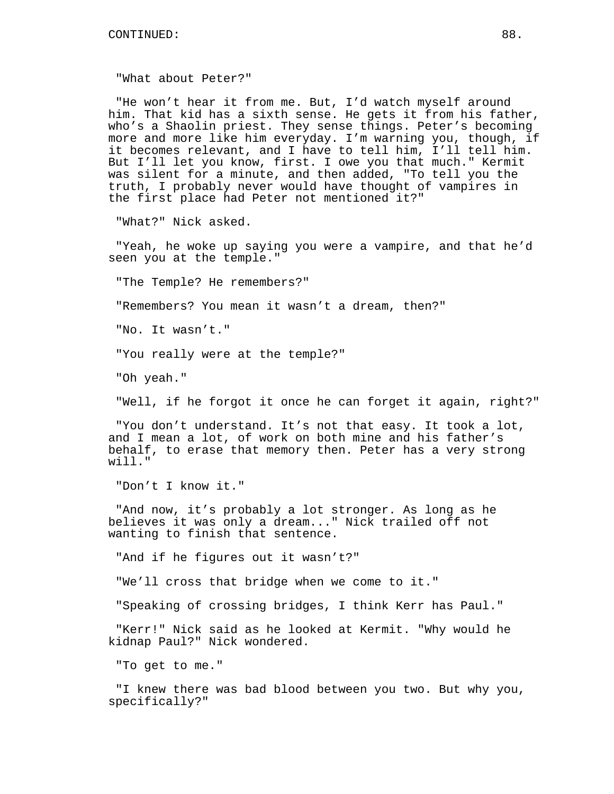"What about Peter?"

"He won't hear it from me. But, I'd watch myself around him. That kid has a sixth sense. He gets it from his father, who's a Shaolin priest. They sense things. Peter's becoming more and more like him everyday. I'm warning you, though, if it becomes relevant, and I have to tell him, I'll tell him. But I'll let you know, first. I owe you that much." Kermit was silent for a minute, and then added, "To tell you the truth, I probably never would have thought of vampires in the first place had Peter not mentioned it?"

"What?" Nick asked.

"Yeah, he woke up saying you were a vampire, and that he'd seen you at the temple."

"The Temple? He remembers?"

"Remembers? You mean it wasn't a dream, then?"

"No. It wasn't."

"You really were at the temple?"

"Oh yeah."

"Well, if he forgot it once he can forget it again, right?"

"You don't understand. It's not that easy. It took a lot, and I mean a lot, of work on both mine and his father's behalf, to erase that memory then. Peter has a very strong will."

"Don't I know it."

"And now, it's probably a lot stronger. As long as he believes it was only a dream..." Nick trailed off not wanting to finish that sentence.

"And if he figures out it wasn't?"

"We'll cross that bridge when we come to it."

"Speaking of crossing bridges, I think Kerr has Paul."

"Kerr!" Nick said as he looked at Kermit. "Why would he kidnap Paul?" Nick wondered.

"To get to me."

"I knew there was bad blood between you two. But why you, specifically?"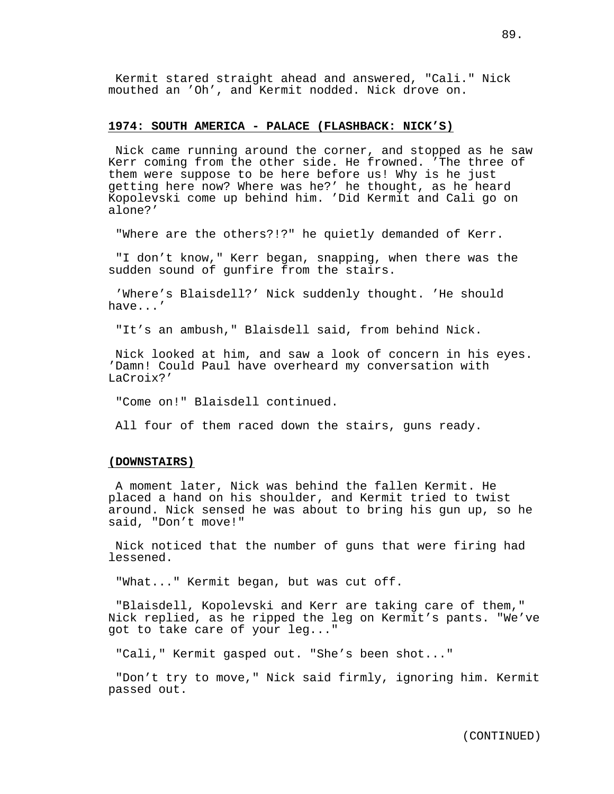Kermit stared straight ahead and answered, "Cali." Nick mouthed an 'Oh', and Kermit nodded. Nick drove on.

## **1974: SOUTH AMERICA - PALACE (FLASHBACK: NICK'S)**

Nick came running around the corner, and stopped as he saw Kerr coming from the other side. He frowned. 'The three of them were suppose to be here before us! Why is he just getting here now? Where was he?' he thought, as he heard Kopolevski come up behind him. 'Did Kermit and Cali go on alone?'

"Where are the others?!?" he quietly demanded of Kerr.

"I don't know," Kerr began, snapping, when there was the sudden sound of gunfire from the stairs.

'Where's Blaisdell?' Nick suddenly thought. 'He should have...'

"It's an ambush," Blaisdell said, from behind Nick.

Nick looked at him, and saw a look of concern in his eyes. 'Damn! Could Paul have overheard my conversation with LaCroix?'

"Come on!" Blaisdell continued.

All four of them raced down the stairs, guns ready.

### **(DOWNSTAIRS)**

A moment later, Nick was behind the fallen Kermit. He placed a hand on his shoulder, and Kermit tried to twist around. Nick sensed he was about to bring his gun up, so he said, "Don't move!"

Nick noticed that the number of guns that were firing had lessened.

"What..." Kermit began, but was cut off.

"Blaisdell, Kopolevski and Kerr are taking care of them," Nick replied, as he ripped the leg on Kermit's pants. "We've got to take care of your leg..."

"Cali," Kermit gasped out. "She's been shot..."

"Don't try to move," Nick said firmly, ignoring him. Kermit passed out.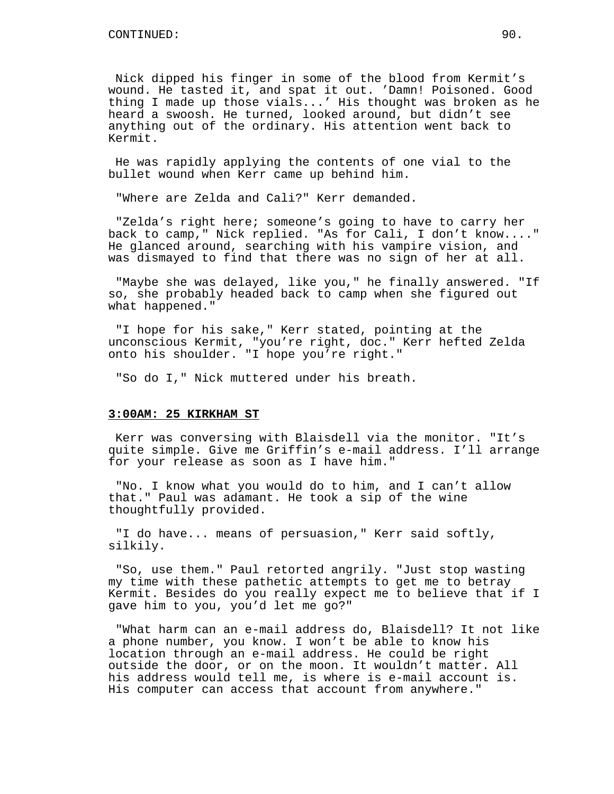Nick dipped his finger in some of the blood from Kermit's wound. He tasted it, and spat it out. 'Damn! Poisoned. Good thing I made up those vials...' His thought was broken as he heard a swoosh. He turned, looked around, but didn't see anything out of the ordinary. His attention went back to Kermit.

He was rapidly applying the contents of one vial to the bullet wound when Kerr came up behind him.

"Where are Zelda and Cali?" Kerr demanded.

"Zelda's right here; someone's going to have to carry her back to camp," Nick replied. "As for Cali, I don't know...." He glanced around, searching with his vampire vision, and was dismayed to find that there was no sign of her at all.

"Maybe she was delayed, like you," he finally answered. "If so, she probably headed back to camp when she figured out what happened."

"I hope for his sake," Kerr stated, pointing at the unconscious Kermit, "you're right, doc." Kerr hefted Zelda onto his shoulder. "I hope you're right."

"So do I," Nick muttered under his breath.

### **3:00AM: 25 KIRKHAM ST**

Kerr was conversing with Blaisdell via the monitor. "It's quite simple. Give me Griffin's e-mail address. I'll arrange for your release as soon as I have him."

"No. I know what you would do to him, and I can't allow that." Paul was adamant. He took a sip of the wine thoughtfully provided.

"I do have... means of persuasion," Kerr said softly, silkily.

"So, use them." Paul retorted angrily. "Just stop wasting my time with these pathetic attempts to get me to betray Kermit. Besides do you really expect me to believe that if I gave him to you, you'd let me go?"

"What harm can an e-mail address do, Blaisdell? It not like a phone number, you know. I won't be able to know his location through an e-mail address. He could be right outside the door, or on the moon. It wouldn't matter. All his address would tell me, is where is e-mail account is. His computer can access that account from anywhere."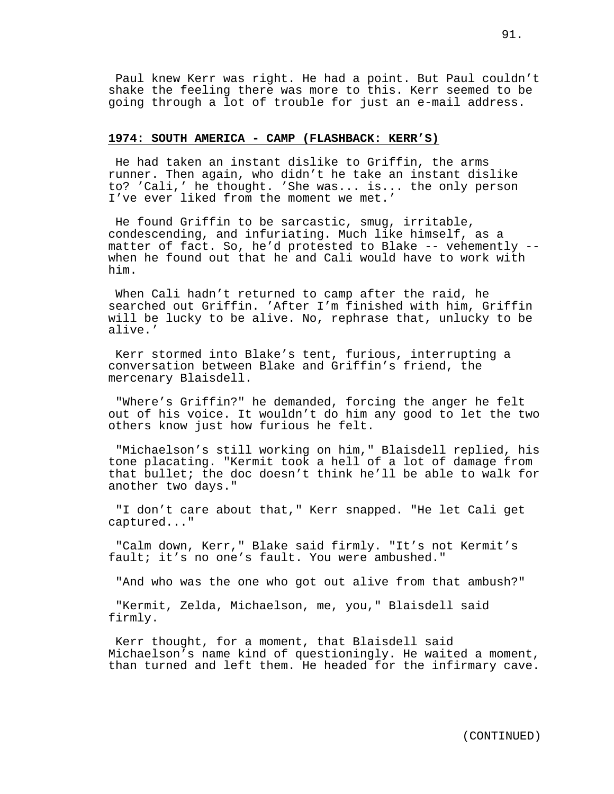Paul knew Kerr was right. He had a point. But Paul couldn't shake the feeling there was more to this. Kerr seemed to be going through a lot of trouble for just an e-mail address.

### **1974: SOUTH AMERICA - CAMP (FLASHBACK: KERR'S)**

He had taken an instant dislike to Griffin, the arms runner. Then again, who didn't he take an instant dislike to? 'Cali,' he thought. 'She was... is... the only person I've ever liked from the moment we met.'

He found Griffin to be sarcastic, smug, irritable, condescending, and infuriating. Much like himself, as a matter of fact. So, he'd protested to Blake -- vehemently - when he found out that he and Cali would have to work with him.

When Cali hadn't returned to camp after the raid, he searched out Griffin. 'After I'm finished with him, Griffin will be lucky to be alive. No, rephrase that, unlucky to be alive.'

Kerr stormed into Blake's tent, furious, interrupting a conversation between Blake and Griffin's friend, the mercenary Blaisdell.

"Where's Griffin?" he demanded, forcing the anger he felt out of his voice. It wouldn't do him any good to let the two others know just how furious he felt.

"Michaelson's still working on him," Blaisdell replied, his tone placating. "Kermit took a hell of a lot of damage from that bullet; the doc doesn't think he'll be able to walk for another two days."

"I don't care about that," Kerr snapped. "He let Cali get captured..."

"Calm down, Kerr," Blake said firmly. "It's not Kermit's fault; it's no one's fault. You were ambushed."

"And who was the one who got out alive from that ambush?"

"Kermit, Zelda, Michaelson, me, you," Blaisdell said firmly.

Kerr thought, for a moment, that Blaisdell said Michaelson's name kind of questioningly. He waited a moment, than turned and left them. He headed for the infirmary cave.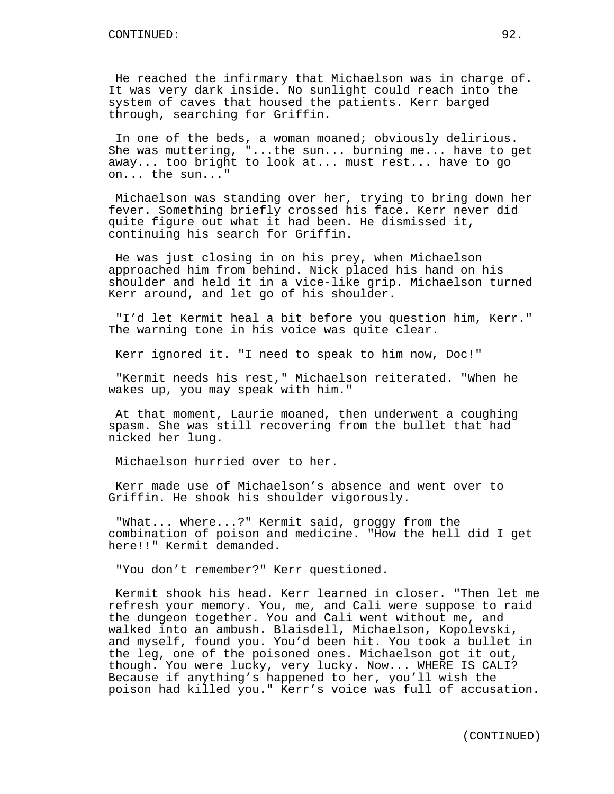He reached the infirmary that Michaelson was in charge of. It was very dark inside. No sunlight could reach into the system of caves that housed the patients. Kerr barged through, searching for Griffin.

In one of the beds, a woman moaned; obviously delirious. She was muttering, "...the sun... burning me... have to get away... too bright to look at... must rest... have to go on... the sun..."

Michaelson was standing over her, trying to bring down her fever. Something briefly crossed his face. Kerr never did quite figure out what it had been. He dismissed it, continuing his search for Griffin.

He was just closing in on his prey, when Michaelson approached him from behind. Nick placed his hand on his shoulder and held it in a vice-like grip. Michaelson turned Kerr around, and let go of his shoulder.

"I'd let Kermit heal a bit before you question him, Kerr." The warning tone in his voice was quite clear.

Kerr ignored it. "I need to speak to him now, Doc!"

"Kermit needs his rest," Michaelson reiterated. "When he wakes up, you may speak with him."

At that moment, Laurie moaned, then underwent a coughing spasm. She was still recovering from the bullet that had nicked her lung.

Michaelson hurried over to her.

Kerr made use of Michaelson's absence and went over to Griffin. He shook his shoulder vigorously.

"What... where...?" Kermit said, groggy from the combination of poison and medicine. "How the hell did I get here!!" Kermit demanded.

"You don't remember?" Kerr questioned.

Kermit shook his head. Kerr learned in closer. "Then let me refresh your memory. You, me, and Cali were suppose to raid the dungeon together. You and Cali went without me, and walked into an ambush. Blaisdell, Michaelson, Kopolevski, and myself, found you. You'd been hit. You took a bullet in the leg, one of the poisoned ones. Michaelson got it out, though. You were lucky, very lucky. Now... WHERE IS CALI? Because if anything's happened to her, you'll wish the poison had killed you." Kerr's voice was full of accusation.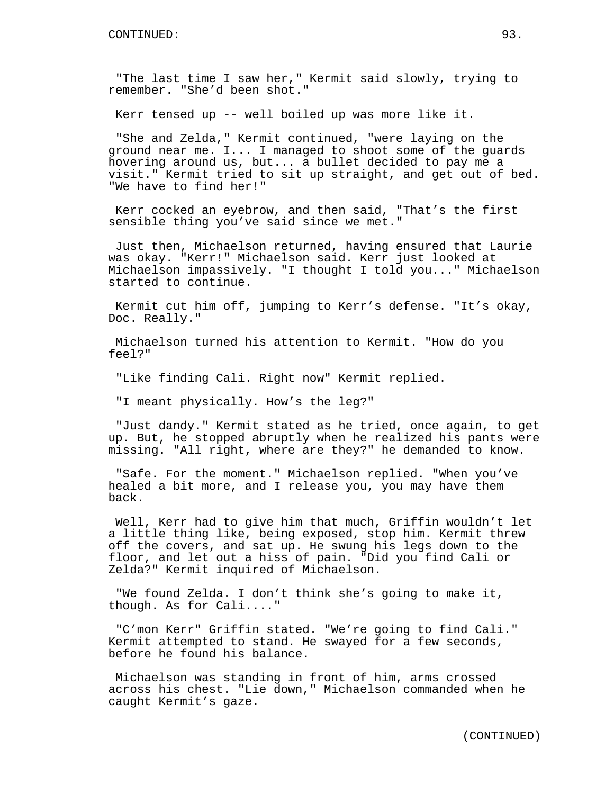"The last time I saw her," Kermit said slowly, trying to remember. "She'd been shot."

Kerr tensed up -- well boiled up was more like it.

"She and Zelda," Kermit continued, "were laying on the ground near me. I... I managed to shoot some of the guards hovering around us, but... a bullet decided to pay me a visit." Kermit tried to sit up straight, and get out of bed. "We have to find her!"

Kerr cocked an eyebrow, and then said, "That's the first sensible thing you've said since we met."

Just then, Michaelson returned, having ensured that Laurie was okay. "Kerr!" Michaelson said. Kerr just looked at Michaelson impassively. "I thought I told you..." Michaelson started to continue.

Kermit cut him off, jumping to Kerr's defense. "It's okay, Doc. Really."

Michaelson turned his attention to Kermit. "How do you feel?"

"Like finding Cali. Right now" Kermit replied.

"I meant physically. How's the leg?"

"Just dandy." Kermit stated as he tried, once again, to get up. But, he stopped abruptly when he realized his pants were missing. "All right, where are they?" he demanded to know.

"Safe. For the moment." Michaelson replied. "When you've healed a bit more, and I release you, you may have them back.

Well, Kerr had to give him that much, Griffin wouldn't let a little thing like, being exposed, stop him. Kermit threw off the covers, and sat up. He swung his legs down to the floor, and let out a hiss of pain. "Did you find Cali or Zelda?" Kermit inquired of Michaelson.

"We found Zelda. I don't think she's going to make it, though. As for Cali...."

"C'mon Kerr" Griffin stated. "We're going to find Cali." Kermit attempted to stand. He swayed for a few seconds, before he found his balance.

Michaelson was standing in front of him, arms crossed across his chest. "Lie down," Michaelson commanded when he caught Kermit's gaze.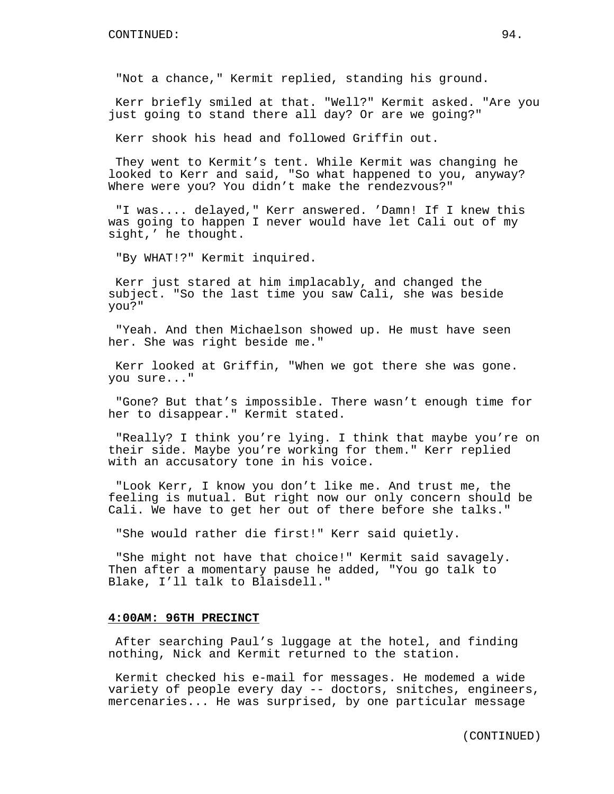"Not a chance," Kermit replied, standing his ground.

Kerr briefly smiled at that. "Well?" Kermit asked. "Are you just going to stand there all day? Or are we going?"

Kerr shook his head and followed Griffin out.

They went to Kermit's tent. While Kermit was changing he looked to Kerr and said, "So what happened to you, anyway? Where were you? You didn't make the rendezvous?"

"I was.... delayed," Kerr answered. 'Damn! If I knew this was going to happen I never would have let Cali out of my sight,' he thought.

"By WHAT!?" Kermit inquired.

Kerr just stared at him implacably, and changed the subject. "So the last time you saw Cali, she was beside you?"

"Yeah. And then Michaelson showed up. He must have seen her. She was right beside me."

Kerr looked at Griffin, "When we got there she was gone. you sure..."

"Gone? But that's impossible. There wasn't enough time for her to disappear." Kermit stated.

"Really? I think you're lying. I think that maybe you're on their side. Maybe you're working for them." Kerr replied with an accusatory tone in his voice.

"Look Kerr, I know you don't like me. And trust me, the feeling is mutual. But right now our only concern should be Cali. We have to get her out of there before she talks."

"She would rather die first!" Kerr said quietly.

"She might not have that choice!" Kermit said savagely. Then after a momentary pause he added, "You go talk to Blake, I'll talk to Blaisdell."

# **4:00AM: 96TH PRECINCT**

After searching Paul's luggage at the hotel, and finding nothing, Nick and Kermit returned to the station.

Kermit checked his e-mail for messages. He modemed a wide variety of people every day -- doctors, snitches, engineers, mercenaries... He was surprised, by one particular message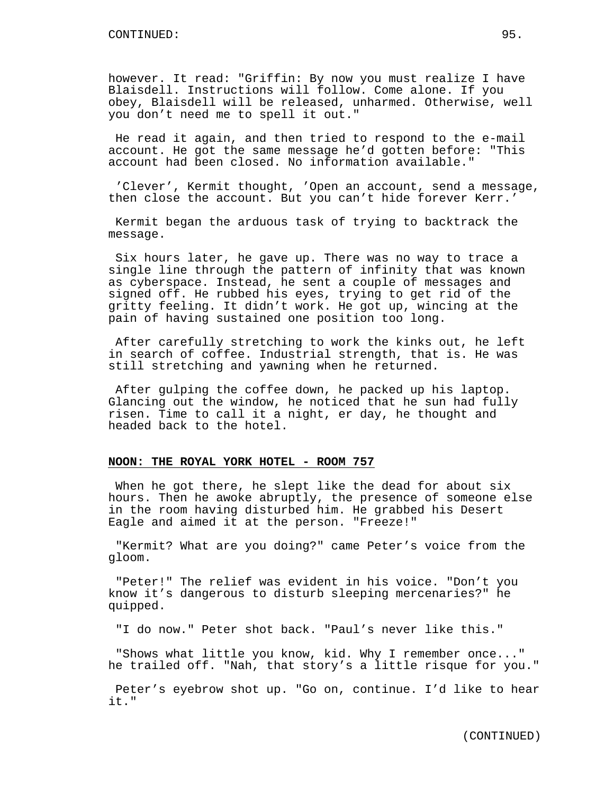however. It read: "Griffin: By now you must realize I have Blaisdell. Instructions will follow. Come alone. If you obey, Blaisdell will be released, unharmed. Otherwise, well you don't need me to spell it out."

He read it again, and then tried to respond to the e-mail account. He got the same message he'd gotten before: "This account had been closed. No information available."

'Clever', Kermit thought, 'Open an account, send a message, then close the account. But you can't hide forever Kerr.'

Kermit began the arduous task of trying to backtrack the message.

Six hours later, he gave up. There was no way to trace a single line through the pattern of infinity that was known as cyberspace. Instead, he sent a couple of messages and signed off. He rubbed his eyes, trying to get rid of the gritty feeling. It didn't work. He got up, wincing at the pain of having sustained one position too long.

After carefully stretching to work the kinks out, he left in search of coffee. Industrial strength, that is. He was still stretching and yawning when he returned.

After gulping the coffee down, he packed up his laptop. Glancing out the window, he noticed that he sun had fully risen. Time to call it a night, er day, he thought and headed back to the hotel.

### **NOON: THE ROYAL YORK HOTEL - ROOM 757**

When he got there, he slept like the dead for about six hours. Then he awoke abruptly, the presence of someone else in the room having disturbed him. He grabbed his Desert Eagle and aimed it at the person. "Freeze!"

"Kermit? What are you doing?" came Peter's voice from the gloom.

"Peter!" The relief was evident in his voice. "Don't you know it's dangerous to disturb sleeping mercenaries?" he quipped.

"I do now." Peter shot back. "Paul's never like this."

"Shows what little you know, kid. Why I remember once..." he trailed off. "Nah, that story's a little risque for you."

Peter's eyebrow shot up. "Go on, continue. I'd like to hear it."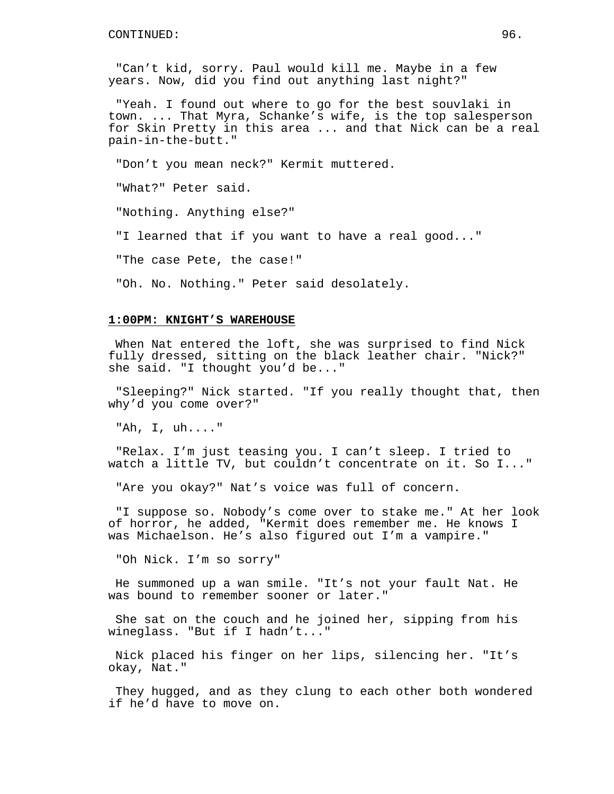"Can't kid, sorry. Paul would kill me. Maybe in a few years. Now, did you find out anything last night?"

"Yeah. I found out where to go for the best souvlaki in town. ... That Myra, Schanke's wife, is the top salesperson for Skin Pretty in this area ... and that Nick can be a real pain-in-the-butt."

"Don't you mean neck?" Kermit muttered.

"What?" Peter said.

"Nothing. Anything else?"

"I learned that if you want to have a real good..."

"The case Pete, the case!"

"Oh. No. Nothing." Peter said desolately.

### **1:00PM: KNIGHT'S WAREHOUSE**

When Nat entered the loft, she was surprised to find Nick fully dressed, sitting on the black leather chair. "Nick?" she said. "I thought you'd be..."

"Sleeping?" Nick started. "If you really thought that, then why'd you come over?"

"Ah, I, uh...."

"Relax. I'm just teasing you. I can't sleep. I tried to watch a little TV, but couldn't concentrate on it. So I..."

"Are you okay?" Nat's voice was full of concern.

"I suppose so. Nobody's come over to stake me." At her look of horror, he added, "Kermit does remember me. He knows I was Michaelson. He's also figured out I'm a vampire."

"Oh Nick. I'm so sorry"

He summoned up a wan smile. "It's not your fault Nat. He was bound to remember sooner or later."

She sat on the couch and he joined her, sipping from his wineglass. "But if I hadn't..."

Nick placed his finger on her lips, silencing her. "It's okay, Nat."

They hugged, and as they clung to each other both wondered if he'd have to move on.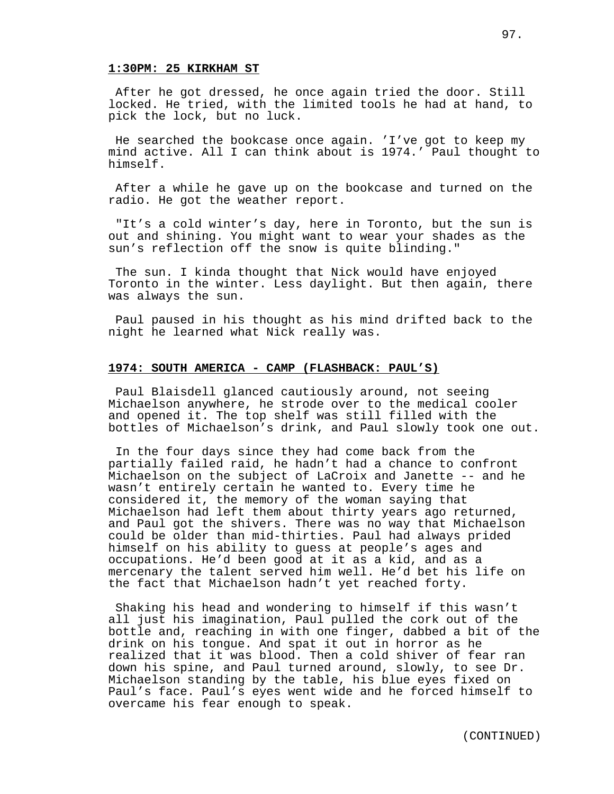#### **1:30PM: 25 KIRKHAM ST**

After he got dressed, he once again tried the door. Still locked. He tried, with the limited tools he had at hand, to pick the lock, but no luck.

He searched the bookcase once again. 'I've got to keep my mind active. All I can think about is 1974.' Paul thought to himself.

After a while he gave up on the bookcase and turned on the radio. He got the weather report.

"It's a cold winter's day, here in Toronto, but the sun is out and shining. You might want to wear your shades as the sun's reflection off the snow is quite blinding."

The sun. I kinda thought that Nick would have enjoyed Toronto in the winter. Less daylight. But then again, there was always the sun.

Paul paused in his thought as his mind drifted back to the night he learned what Nick really was.

## **1974: SOUTH AMERICA - CAMP (FLASHBACK: PAUL'S)**

Paul Blaisdell glanced cautiously around, not seeing Michaelson anywhere, he strode over to the medical cooler and opened it. The top shelf was still filled with the bottles of Michaelson's drink, and Paul slowly took one out.

In the four days since they had come back from the partially failed raid, he hadn't had a chance to confront Michaelson on the subject of LaCroix and Janette -- and he wasn't entirely certain he wanted to. Every time he considered it, the memory of the woman saying that Michaelson had left them about thirty years ago returned, and Paul got the shivers. There was no way that Michaelson could be older than mid-thirties. Paul had always prided himself on his ability to guess at people's ages and occupations. He'd been good at it as a kid, and as a mercenary the talent served him well. He'd bet his life on the fact that Michaelson hadn't yet reached forty.

Shaking his head and wondering to himself if this wasn't all just his imagination, Paul pulled the cork out of the bottle and, reaching in with one finger, dabbed a bit of the drink on his tongue. And spat it out in horror as he realized that it was blood. Then a cold shiver of fear ran down his spine, and Paul turned around, slowly, to see Dr. Michaelson standing by the table, his blue eyes fixed on Paul's face. Paul's eyes went wide and he forced himself to overcame his fear enough to speak.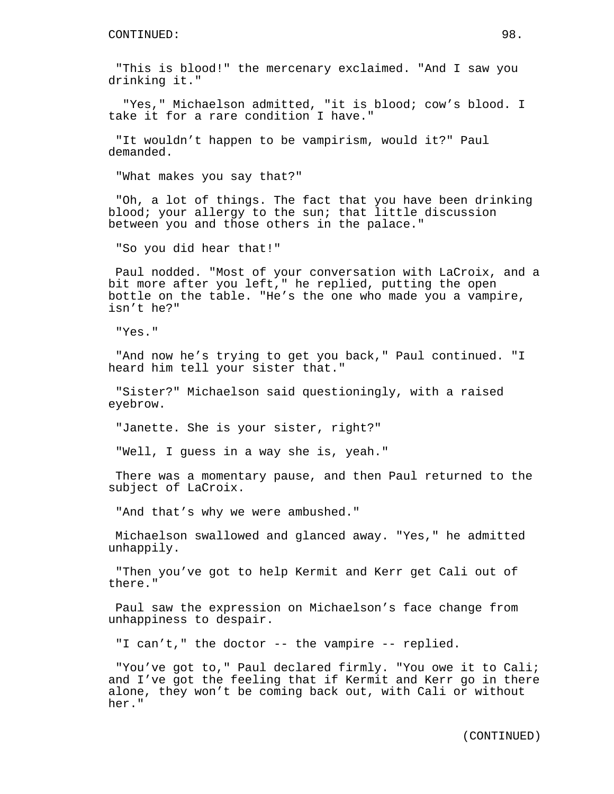"This is blood!" the mercenary exclaimed. "And I saw you drinking it."

"Yes," Michaelson admitted, "it is blood; cow's blood. I take it for a rare condition I have."

"It wouldn't happen to be vampirism, would it?" Paul demanded.

"What makes you say that?"

"Oh, a lot of things. The fact that you have been drinking blood; your allergy to the sun; that little discussion between you and those others in the palace."

"So you did hear that!"

Paul nodded. "Most of your conversation with LaCroix, and a bit more after you left," he replied, putting the open bottle on the table. "He's the one who made you a vampire, isn't he?"

"Yes."

"And now he's trying to get you back," Paul continued. "I heard him tell your sister that."

"Sister?" Michaelson said questioningly, with a raised eyebrow.

"Janette. She is your sister, right?"

"Well, I guess in a way she is, yeah."

There was a momentary pause, and then Paul returned to the subject of LaCroix.

"And that's why we were ambushed."

Michaelson swallowed and glanced away. "Yes," he admitted unhappily.

"Then you've got to help Kermit and Kerr get Cali out of there."

Paul saw the expression on Michaelson's face change from unhappiness to despair.

"I can't," the doctor -- the vampire -- replied.

"You've got to," Paul declared firmly. "You owe it to Cali; and I've got the feeling that if Kermit and Kerr go in there alone, they won't be coming back out, with Cali or without her."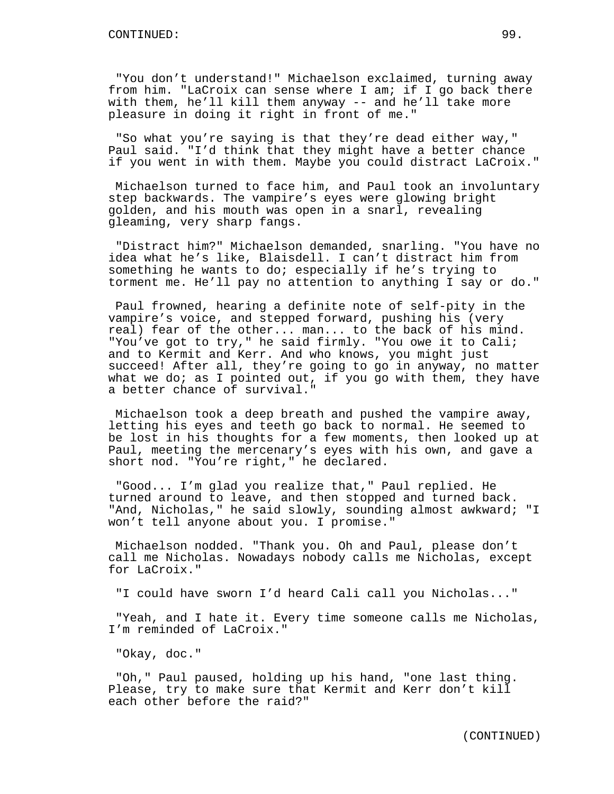"You don't understand!" Michaelson exclaimed, turning away from him. "LaCroix can sense where I am; if I go back there with them, he'll kill them anyway -- and he'll take more pleasure in doing it right in front of me."

"So what you're saying is that they're dead either way," Paul said. "I'd think that they might have a better chance if you went in with them. Maybe you could distract LaCroix."

Michaelson turned to face him, and Paul took an involuntary step backwards. The vampire's eyes were glowing bright golden, and his mouth was open in a snarl, revealing gleaming, very sharp fangs.

"Distract him?" Michaelson demanded, snarling. "You have no idea what he's like, Blaisdell. I can't distract him from something he wants to do; especially if he's trying to torment me. He'll pay no attention to anything I say or do."

Paul frowned, hearing a definite note of self-pity in the vampire's voice, and stepped forward, pushing his (very real) fear of the other... man... to the back of his mind. "You've got to try," he said firmly. "You owe it to Cali; and to Kermit and Kerr. And who knows, you might just succeed! After all, they're going to go in anyway, no matter what we do; as I pointed out, if you go with them, they have a better chance of survival."

Michaelson took a deep breath and pushed the vampire away, letting his eyes and teeth go back to normal. He seemed to be lost in his thoughts for a few moments, then looked up at Paul, meeting the mercenary's eyes with his own, and gave a short nod. "You're right," he declared.

"Good... I'm glad you realize that," Paul replied. He turned around to leave, and then stopped and turned back. "And, Nicholas," he said slowly, sounding almost awkward; "I won't tell anyone about you. I promise."

Michaelson nodded. "Thank you. Oh and Paul, please don't call me Nicholas. Nowadays nobody calls me Nicholas, except for LaCroix."

"I could have sworn I'd heard Cali call you Nicholas..."

"Yeah, and I hate it. Every time someone calls me Nicholas, I'm reminded of LaCroix."

"Okay, doc."

"Oh," Paul paused, holding up his hand, "one last thing. Please, try to make sure that Kermit and Kerr don't kill each other before the raid?"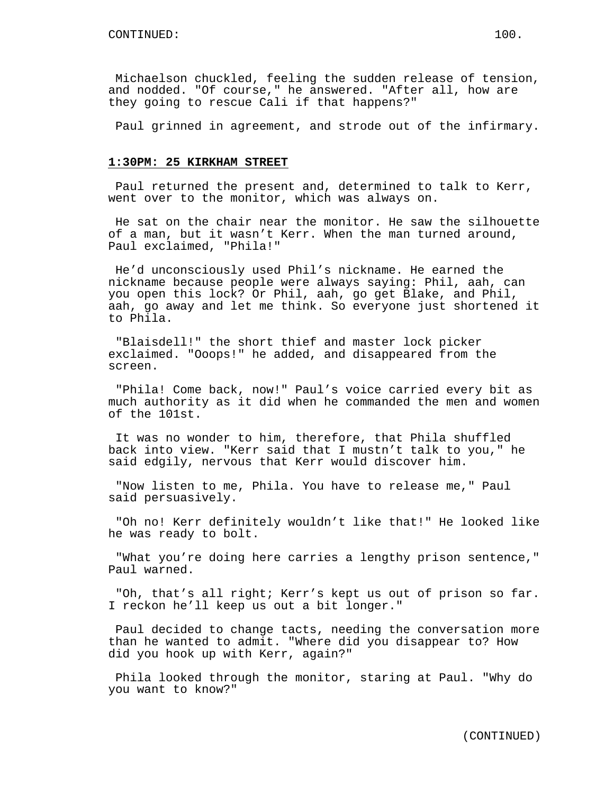Michaelson chuckled, feeling the sudden release of tension, and nodded. "Of course," he answered. "After all, how are they going to rescue Cali if that happens?"

Paul grinned in agreement, and strode out of the infirmary.

## **1:30PM: 25 KIRKHAM STREET**

Paul returned the present and, determined to talk to Kerr, went over to the monitor, which was always on.

He sat on the chair near the monitor. He saw the silhouette of a man, but it wasn't Kerr. When the man turned around, Paul exclaimed, "Phila!"

He'd unconsciously used Phil's nickname. He earned the nickname because people were always saying: Phil, aah, can you open this lock? Or Phil, aah, go get Blake, and Phil, aah, go away and let me think. So everyone just shortened it to Phila.

"Blaisdell!" the short thief and master lock picker exclaimed. "Ooops!" he added, and disappeared from the screen.

"Phila! Come back, now!" Paul's voice carried every bit as much authority as it did when he commanded the men and women of the 101st.

It was no wonder to him, therefore, that Phila shuffled back into view. "Kerr said that I mustn't talk to you," he said edgily, nervous that Kerr would discover him.

"Now listen to me, Phila. You have to release me," Paul said persuasively.

"Oh no! Kerr definitely wouldn't like that!" He looked like he was ready to bolt.

"What you're doing here carries a lengthy prison sentence," Paul warned.

"Oh, that's all right; Kerr's kept us out of prison so far. I reckon he'll keep us out a bit longer."

Paul decided to change tacts, needing the conversation more than he wanted to admit. "Where did you disappear to? How did you hook up with Kerr, again?"

Phila looked through the monitor, staring at Paul. "Why do you want to know?"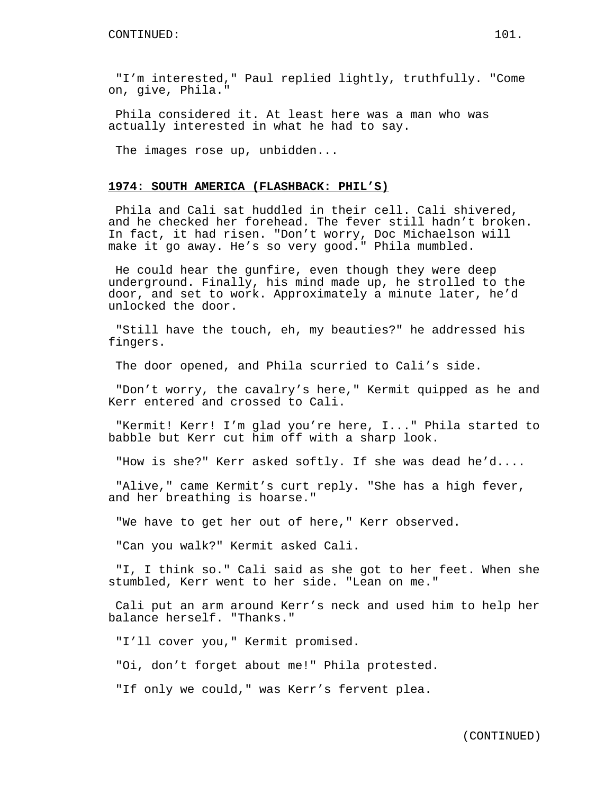"I'm interested," Paul replied lightly, truthfully. "Come on, give, Phila."

Phila considered it. At least here was a man who was actually interested in what he had to say.

The images rose up, unbidden...

## **1974: SOUTH AMERICA (FLASHBACK: PHIL'S)**

Phila and Cali sat huddled in their cell. Cali shivered, and he checked her forehead. The fever still hadn't broken. In fact, it had risen. "Don't worry, Doc Michaelson will make it go away. He's so very good." Phila mumbled.

He could hear the gunfire, even though they were deep underground. Finally, his mind made up, he strolled to the door, and set to work. Approximately a minute later, he'd unlocked the door.

"Still have the touch, eh, my beauties?" he addressed his fingers.

The door opened, and Phila scurried to Cali's side.

"Don't worry, the cavalry's here," Kermit quipped as he and Kerr entered and crossed to Cali.

"Kermit! Kerr! I'm glad you're here, I..." Phila started to babble but Kerr cut him off with a sharp look.

"How is she?" Kerr asked softly. If she was dead he'd....

"Alive," came Kermit's curt reply. "She has a high fever, and her breathing is hoarse."

"We have to get her out of here," Kerr observed.

"Can you walk?" Kermit asked Cali.

"I, I think so." Cali said as she got to her feet. When she stumbled, Kerr went to her side. "Lean on me."

Cali put an arm around Kerr's neck and used him to help her balance herself. "Thanks."

"I'll cover you," Kermit promised.

"Oi, don't forget about me!" Phila protested.

"If only we could," was Kerr's fervent plea.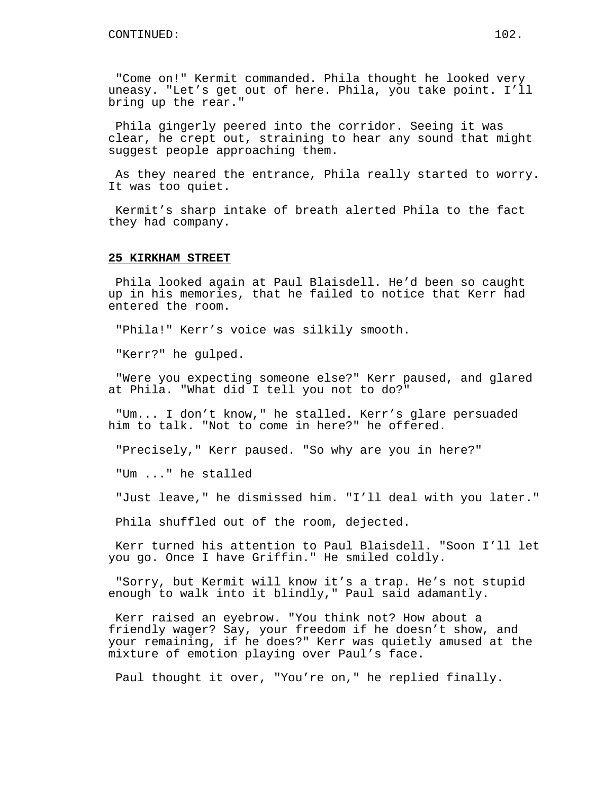"Come on!" Kermit commanded. Phila thought he looked very uneasy. "Let's get out of here. Phila, you take point. I'll bring up the rear."

Phila gingerly peered into the corridor. Seeing it was clear, he crept out, straining to hear any sound that might suggest people approaching them.

As they neared the entrance, Phila really started to worry. It was too quiet.

Kermit's sharp intake of breath alerted Phila to the fact they had company.

### **25 KIRKHAM STREET**

Phila looked again at Paul Blaisdell. He'd been so caught up in his memories, that he failed to notice that Kerr had entered the room.

"Phila!" Kerr's voice was silkily smooth.

"Kerr?" he gulped.

"Were you expecting someone else?" Kerr paused, and glared at Phila. "What did I tell you not to do?"

"Um... I don't know," he stalled. Kerr's glare persuaded him to talk. "Not to come in here?" he offered.

"Precisely," Kerr paused. "So why are you in here?"

"Um ..." he stalled

"Just leave," he dismissed him. "I'll deal with you later."

Phila shuffled out of the room, dejected.

Kerr turned his attention to Paul Blaisdell. "Soon I'll let you go. Once I have Griffin." He smiled coldly.

"Sorry, but Kermit will know it's a trap. He's not stupid enough to walk into it blindly," Paul said adamantly.

Kerr raised an eyebrow. "You think not? How about a friendly wager? Say, your freedom if he doesn't show, and your remaining, if he does?" Kerr was quietly amused at the mixture of emotion playing over Paul's face.

Paul thought it over, "You're on," he replied finally.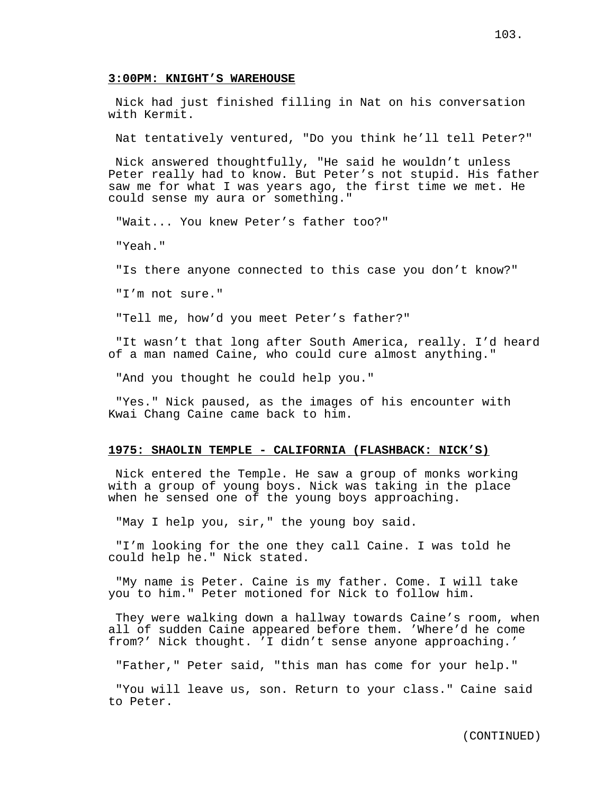### **3:00PM: KNIGHT'S WAREHOUSE**

Nick had just finished filling in Nat on his conversation with Kermit.

Nat tentatively ventured, "Do you think he'll tell Peter?"

Nick answered thoughtfully, "He said he wouldn't unless Peter really had to know. But Peter's not stupid. His father saw me for what I was years ago, the first time we met. He could sense my aura or something."

"Wait... You knew Peter's father too?"

"Yeah."

"Is there anyone connected to this case you don't know?"

"I'm not sure."

"Tell me, how'd you meet Peter's father?"

"It wasn't that long after South America, really. I'd heard of a man named Caine, who could cure almost anything."

"And you thought he could help you."

"Yes." Nick paused, as the images of his encounter with Kwai Chang Caine came back to him.

#### **1975: SHAOLIN TEMPLE - CALIFORNIA (FLASHBACK: NICK'S)**

Nick entered the Temple. He saw a group of monks working with a group of young boys. Nick was taking in the place when he sensed one of the young boys approaching.

"May I help you, sir," the young boy said.

"I'm looking for the one they call Caine. I was told he could help he." Nick stated.

"My name is Peter. Caine is my father. Come. I will take you to him." Peter motioned for Nick to follow him.

They were walking down a hallway towards Caine's room, when all of sudden Caine appeared before them. 'Where'd he come from?' Nick thought. 'I didn't sense anyone approaching.'

"Father," Peter said, "this man has come for your help."

"You will leave us, son. Return to your class." Caine said to Peter.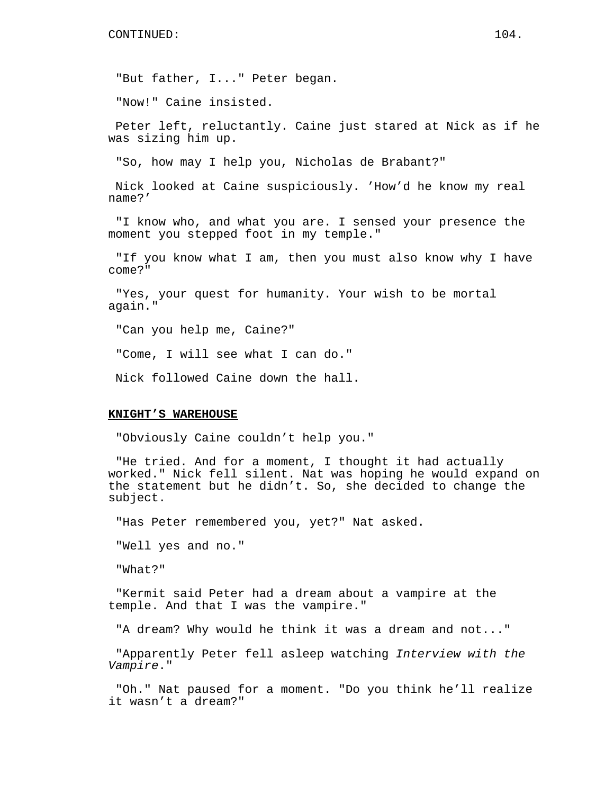"But father, I..." Peter began.

"Now!" Caine insisted.

Peter left, reluctantly. Caine just stared at Nick as if he was sizing him up.

"So, how may I help you, Nicholas de Brabant?"

Nick looked at Caine suspiciously. 'How'd he know my real name?'

"I know who, and what you are. I sensed your presence the moment you stepped foot in my temple."

"If you know what I am, then you must also know why I have come?"

"Yes, your quest for humanity. Your wish to be mortal again."

"Can you help me, Caine?"

"Come, I will see what I can do."

Nick followed Caine down the hall.

#### **KNIGHT'S WAREHOUSE**

"Obviously Caine couldn't help you."

"He tried. And for a moment, I thought it had actually worked." Nick fell silent. Nat was hoping he would expand on the statement but he didn't. So, she decided to change the subject.

"Has Peter remembered you, yet?" Nat asked.

"Well yes and no."

"What?"

"Kermit said Peter had a dream about a vampire at the temple. And that I was the vampire."

"A dream? Why would he think it was a dream and not..."

"Apparently Peter fell asleep watching Interview with the Vampire."

"Oh." Nat paused for a moment. "Do you think he'll realize it wasn't a dream?"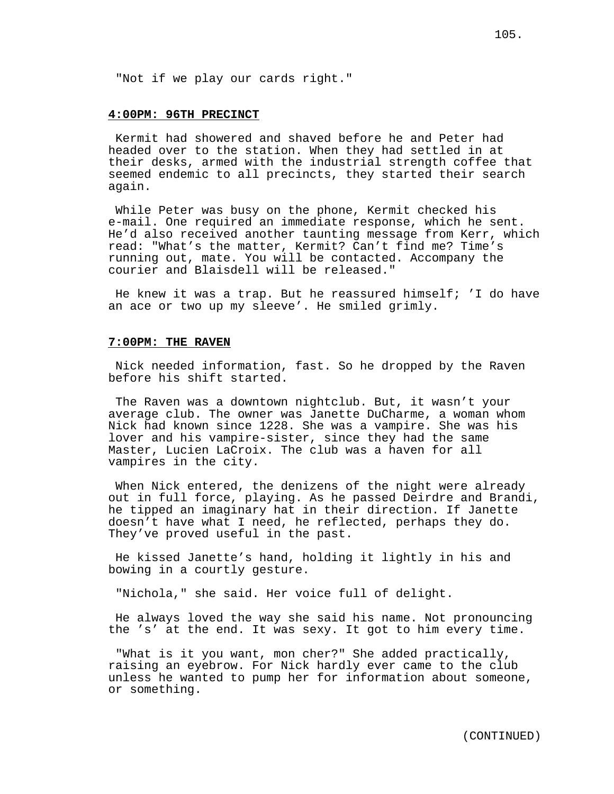"Not if we play our cards right."

## **4:00PM: 96TH PRECINCT**

Kermit had showered and shaved before he and Peter had headed over to the station. When they had settled in at their desks, armed with the industrial strength coffee that seemed endemic to all precincts, they started their search again.

While Peter was busy on the phone, Kermit checked his e-mail. One required an immediate response, which he sent. He'd also received another taunting message from Kerr, which read: "What's the matter, Kermit? Can't find me? Time's running out, mate. You will be contacted. Accompany the courier and Blaisdell will be released."

He knew it was a trap. But he reassured himself; 'I do have an ace or two up my sleeve'. He smiled grimly.

# **7:00PM: THE RAVEN**

Nick needed information, fast. So he dropped by the Raven before his shift started.

The Raven was a downtown nightclub. But, it wasn't your average club. The owner was Janette DuCharme, a woman whom Nick had known since 1228. She was a vampire. She was his lover and his vampire-sister, since they had the same Master, Lucien LaCroix. The club was a haven for all vampires in the city.

When Nick entered, the denizens of the night were already out in full force, playing. As he passed Deirdre and Brandi, he tipped an imaginary hat in their direction. If Janette doesn't have what I need, he reflected, perhaps they do. They've proved useful in the past.

He kissed Janette's hand, holding it lightly in his and bowing in a courtly gesture.

"Nichola," she said. Her voice full of delight.

He always loved the way she said his name. Not pronouncing the 's' at the end. It was sexy. It got to him every time.

"What is it you want, mon cher?" She added practically, raising an eyebrow. For Nick hardly ever came to the club unless he wanted to pump her for information about someone, or something.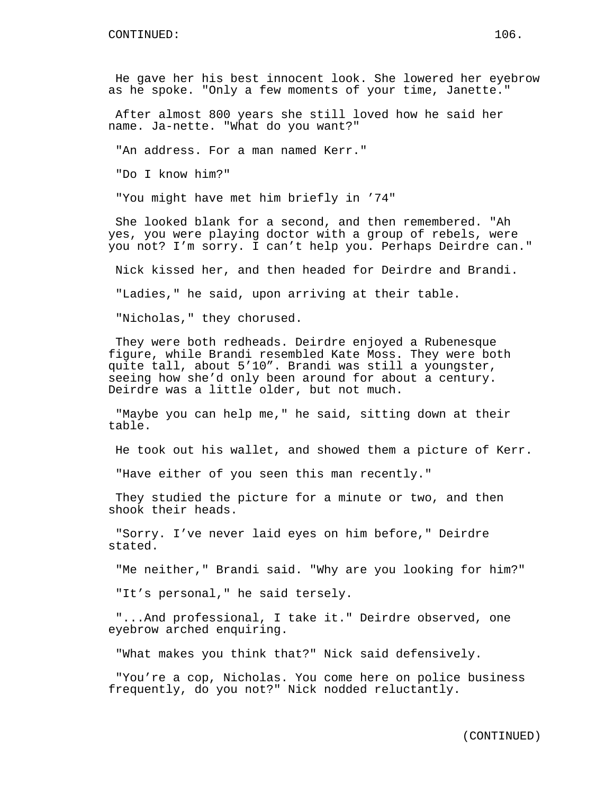He gave her his best innocent look. She lowered her eyebrow as he spoke. "Only a few moments of your time, Janette."

After almost 800 years she still loved how he said her name. Ja-nette. "What do you want?"

"An address. For a man named Kerr."

"Do I know him?"

"You might have met him briefly in '74"

She looked blank for a second, and then remembered. "Ah yes, you were playing doctor with a group of rebels, were you not? I'm sorry. I can't help you. Perhaps Deirdre can."

Nick kissed her, and then headed for Deirdre and Brandi.

"Ladies," he said, upon arriving at their table.

"Nicholas," they chorused.

They were both redheads. Deirdre enjoyed a Rubenesque figure, while Brandi resembled Kate Moss. They were both quite tall, about 5'10". Brandi was still a youngster, seeing how she'd only been around for about a century. Deirdre was a little older, but not much.

"Maybe you can help me," he said, sitting down at their table.

He took out his wallet, and showed them a picture of Kerr.

"Have either of you seen this man recently."

They studied the picture for a minute or two, and then shook their heads.

"Sorry. I've never laid eyes on him before," Deirdre stated.

"Me neither," Brandi said. "Why are you looking for him?"

"It's personal," he said tersely.

"...And professional, I take it." Deirdre observed, one eyebrow arched enquiring.

"What makes you think that?" Nick said defensively.

"You're a cop, Nicholas. You come here on police business frequently, do you not?" Nick nodded reluctantly.

(CONTINUED)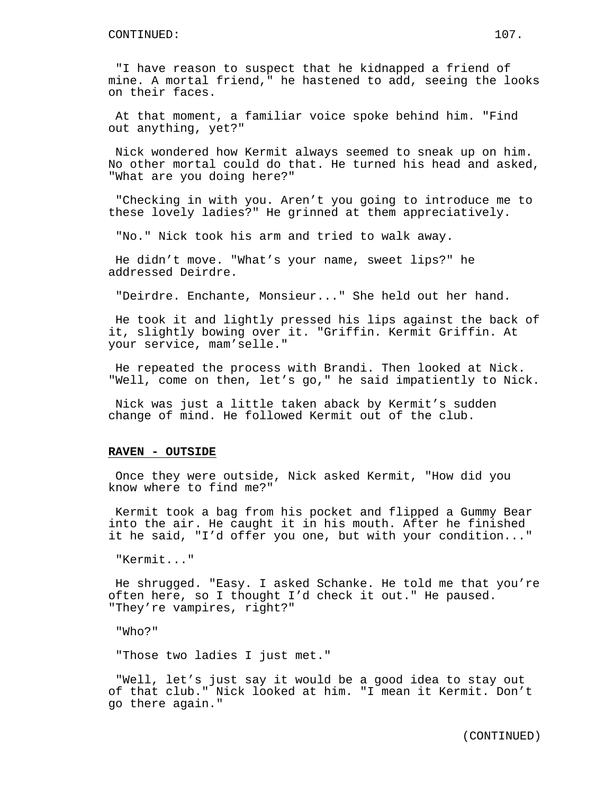"I have reason to suspect that he kidnapped a friend of mine. A mortal friend," he hastened to add, seeing the looks on their faces.

At that moment, a familiar voice spoke behind him. "Find out anything, yet?"

Nick wondered how Kermit always seemed to sneak up on him. No other mortal could do that. He turned his head and asked, "What are you doing here?"

"Checking in with you. Aren't you going to introduce me to these lovely ladies?" He grinned at them appreciatively.

"No." Nick took his arm and tried to walk away.

He didn't move. "What's your name, sweet lips?" he addressed Deirdre.

"Deirdre. Enchante, Monsieur..." She held out her hand.

He took it and lightly pressed his lips against the back of it, slightly bowing over it. "Griffin. Kermit Griffin. At your service, mam'selle."

He repeated the process with Brandi. Then looked at Nick. "Well, come on then, let's go," he said impatiently to Nick.

Nick was just a little taken aback by Kermit's sudden change of mind. He followed Kermit out of the club.

#### **RAVEN - OUTSIDE**

Once they were outside, Nick asked Kermit, "How did you know where to find me?"

Kermit took a bag from his pocket and flipped a Gummy Bear into the air. He caught it in his mouth. After he finished it he said, "I'd offer you one, but with your condition..."

"Kermit..."

He shrugged. "Easy. I asked Schanke. He told me that you're often here, so I thought I'd check it out." He paused. "They're vampires, right?"

"Who?"

"Those two ladies I just met."

"Well, let's just say it would be a good idea to stay out of that club." Nick looked at him. "I mean it Kermit. Don't go there again."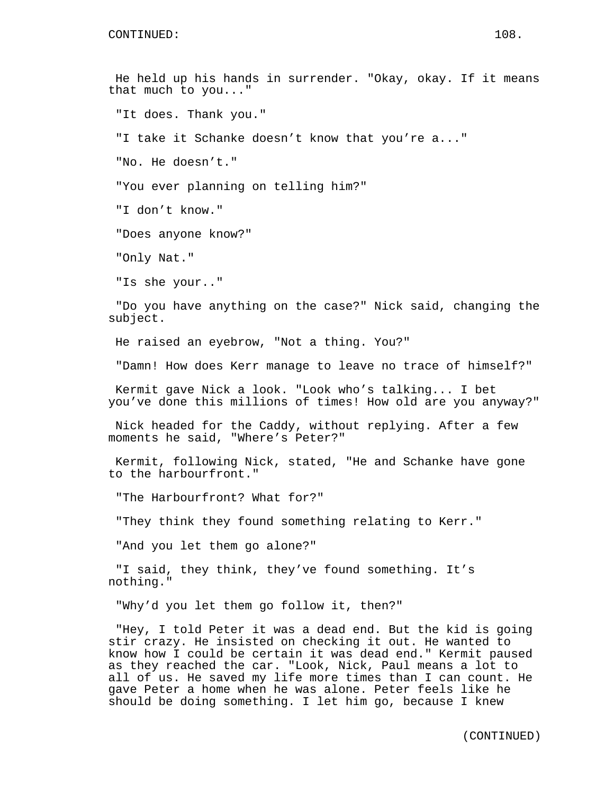He held up his hands in surrender. "Okay, okay. If it means that much to you..." "It does. Thank you." "I take it Schanke doesn't know that you're a..." "No. He doesn't." "You ever planning on telling him?" "I don't know." "Does anyone know?" "Only Nat." "Is she your.." "Do you have anything on the case?" Nick said, changing the subject. He raised an eyebrow, "Not a thing. You?" "Damn! How does Kerr manage to leave no trace of himself?" Kermit gave Nick a look. "Look who's talking... I bet you've done this millions of times! How old are you anyway?" Nick headed for the Caddy, without replying. After a few moments he said, "Where's Peter?" Kermit, following Nick, stated, "He and Schanke have gone to the harbourfront." "The Harbourfront? What for?" "They think they found something relating to Kerr." "And you let them go alone?" "I said, they think, they've found something. It's nothing." "Why'd you let them go follow it, then?"

"Hey, I told Peter it was a dead end. But the kid is going stir crazy. He insisted on checking it out. He wanted to know how I could be certain it was dead end." Kermit paused as they reached the car. "Look, Nick, Paul means a lot to all of us. He saved my life more times than I can count. He gave Peter a home when he was alone. Peter feels like he should be doing something. I let him go, because I knew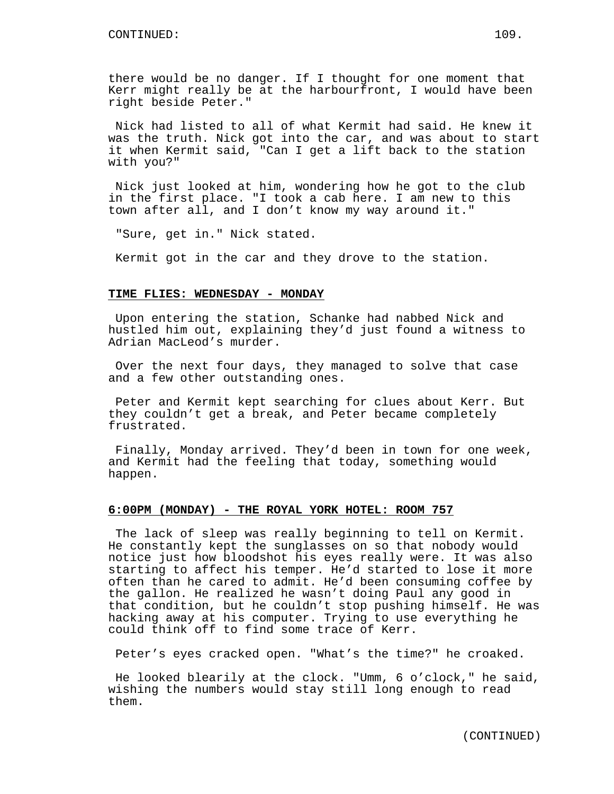there would be no danger. If I thought for one moment that Kerr might really be at the harbourfront, I would have been right beside Peter."

Nick had listed to all of what Kermit had said. He knew it was the truth. Nick got into the car, and was about to start it when Kermit said, "Can I get a lift back to the station with you?"

Nick just looked at him, wondering how he got to the club in the first place. "I took a cab here. I am new to this town after all, and I don't know my way around it."

"Sure, get in." Nick stated.

Kermit got in the car and they drove to the station.

#### **TIME FLIES: WEDNESDAY - MONDAY**

Upon entering the station, Schanke had nabbed Nick and hustled him out, explaining they'd just found a witness to Adrian MacLeod's murder.

Over the next four days, they managed to solve that case and a few other outstanding ones.

Peter and Kermit kept searching for clues about Kerr. But they couldn't get a break, and Peter became completely frustrated.

Finally, Monday arrived. They'd been in town for one week, and Kermit had the feeling that today, something would happen.

## **6:00PM (MONDAY) - THE ROYAL YORK HOTEL: ROOM 757**

The lack of sleep was really beginning to tell on Kermit. He constantly kept the sunglasses on so that nobody would notice just how bloodshot his eyes really were. It was also starting to affect his temper. He'd started to lose it more often than he cared to admit. He'd been consuming coffee by the gallon. He realized he wasn't doing Paul any good in that condition, but he couldn't stop pushing himself. He was hacking away at his computer. Trying to use everything he could think off to find some trace of Kerr.

Peter's eyes cracked open. "What's the time?" he croaked.

He looked blearily at the clock. "Umm, 6 o'clock," he said, wishing the numbers would stay still long enough to read them.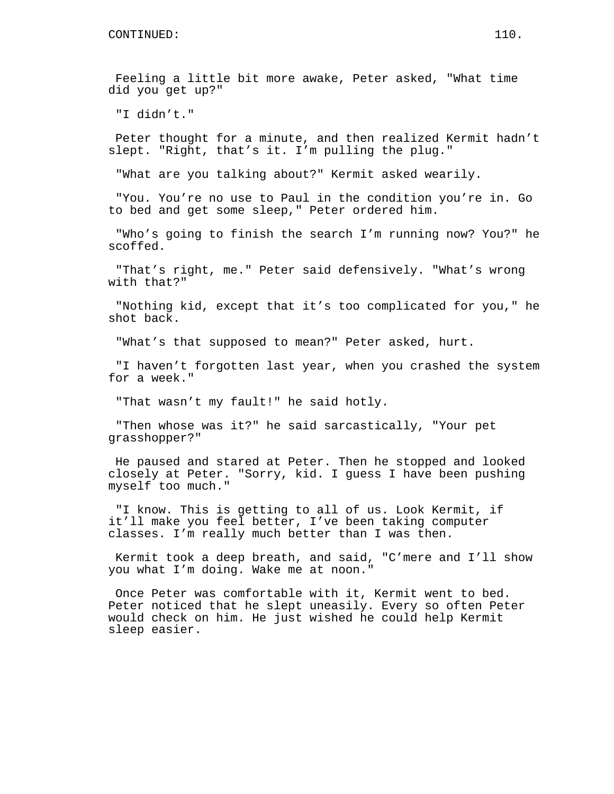Feeling a little bit more awake, Peter asked, "What time did you get up?"

"I didn't."

Peter thought for a minute, and then realized Kermit hadn't slept. "Right, that's it. I'm pulling the plug."

"What are you talking about?" Kermit asked wearily.

"You. You're no use to Paul in the condition you're in. Go to bed and get some sleep," Peter ordered him.

"Who's going to finish the search I'm running now? You?" he scoffed.

"That's right, me." Peter said defensively. "What's wrong with that?"

"Nothing kid, except that it's too complicated for you," he shot back.

"What's that supposed to mean?" Peter asked, hurt.

"I haven't forgotten last year, when you crashed the system for a week."

"That wasn't my fault!" he said hotly.

"Then whose was it?" he said sarcastically, "Your pet grasshopper?"

He paused and stared at Peter. Then he stopped and looked closely at Peter. "Sorry, kid. I guess I have been pushing myself too much."

"I know. This is getting to all of us. Look Kermit, if it'll make you feel better, I've been taking computer classes. I'm really much better than I was then.

Kermit took a deep breath, and said, "C'mere and I'll show you what I'm doing. Wake me at noon."

Once Peter was comfortable with it, Kermit went to bed. Peter noticed that he slept uneasily. Every so often Peter would check on him. He just wished he could help Kermit sleep easier.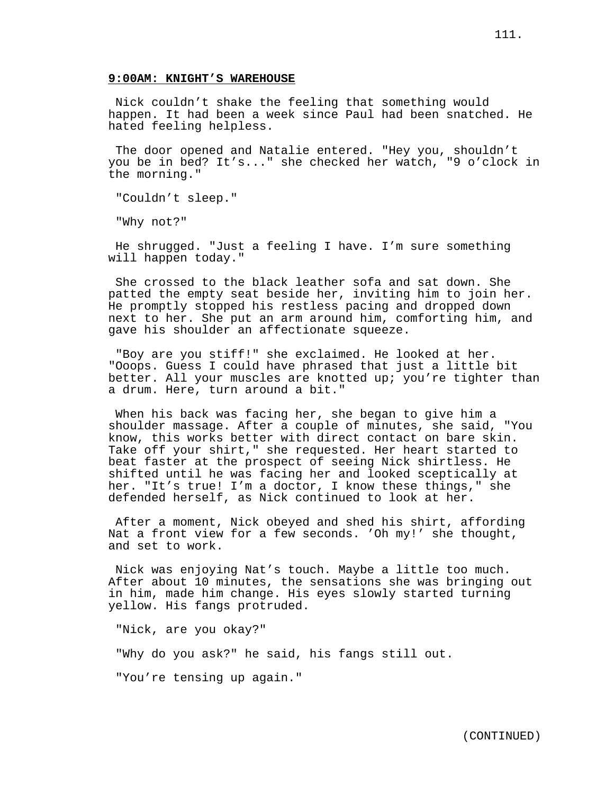Nick couldn't shake the feeling that something would happen. It had been a week since Paul had been snatched. He hated feeling helpless.

The door opened and Natalie entered. "Hey you, shouldn't you be in bed? It's..." she checked her watch, "9 o'clock in the morning."

"Couldn't sleep."

"Why not?"

He shrugged. "Just a feeling I have. I'm sure something will happen today."

She crossed to the black leather sofa and sat down. She patted the empty seat beside her, inviting him to join her. He promptly stopped his restless pacing and dropped down next to her. She put an arm around him, comforting him, and gave his shoulder an affectionate squeeze.

"Boy are you stiff!" she exclaimed. He looked at her. "Ooops. Guess I could have phrased that just a little bit better. All your muscles are knotted up; you're tighter than a drum. Here, turn around a bit."

When his back was facing her, she began to give him a shoulder massage. After a couple of minutes, she said, "You know, this works better with direct contact on bare skin. Take off your shirt," she requested. Her heart started to beat faster at the prospect of seeing Nick shirtless. He shifted until he was facing her and looked sceptically at her. "It's true! I'm a doctor, I know these things," she defended herself, as Nick continued to look at her.

After a moment, Nick obeyed and shed his shirt, affording Nat a front view for a few seconds. 'Oh my!' she thought, and set to work.

Nick was enjoying Nat's touch. Maybe a little too much. After about 10 minutes, the sensations she was bringing out in him, made him change. His eyes slowly started turning yellow. His fangs protruded.

"Nick, are you okay?"

"Why do you ask?" he said, his fangs still out.

"You're tensing up again."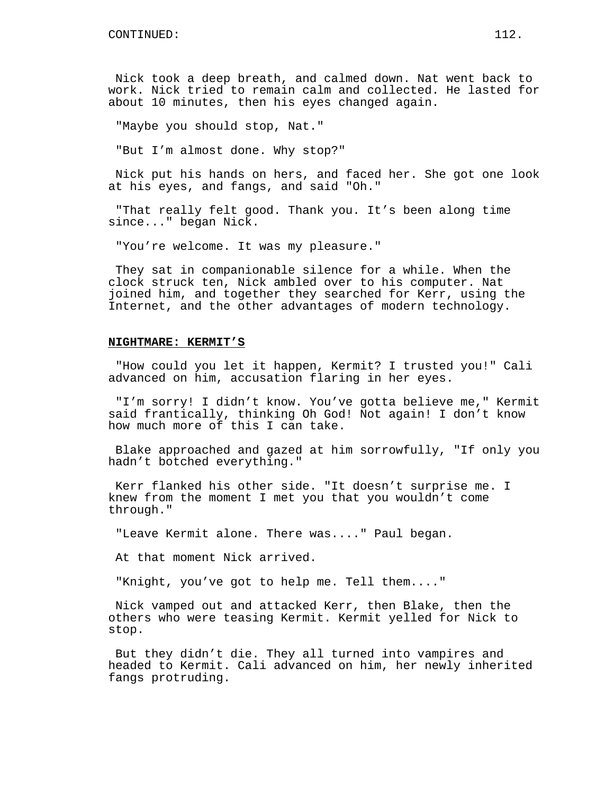Nick took a deep breath, and calmed down. Nat went back to work. Nick tried to remain calm and collected. He lasted for about 10 minutes, then his eyes changed again.

"Maybe you should stop, Nat."

"But I'm almost done. Why stop?"

Nick put his hands on hers, and faced her. She got one look at his eyes, and fangs, and said "Oh."

"That really felt good. Thank you. It's been along time since..." began Nick.

"You're welcome. It was my pleasure."

They sat in companionable silence for a while. When the clock struck ten, Nick ambled over to his computer. Nat joined him, and together they searched for Kerr, using the Internet, and the other advantages of modern technology.

# **NIGHTMARE: KERMIT'S**

"How could you let it happen, Kermit? I trusted you!" Cali advanced on him, accusation flaring in her eyes.

"I'm sorry! I didn't know. You've gotta believe me," Kermit said frantically, thinking Oh God! Not again! I don't know how much more of this I can take.

Blake approached and gazed at him sorrowfully, "If only you hadn't botched everything."

Kerr flanked his other side. "It doesn't surprise me. I knew from the moment I met you that you wouldn't come through."

"Leave Kermit alone. There was...." Paul began.

At that moment Nick arrived.

"Knight, you've got to help me. Tell them...."

Nick vamped out and attacked Kerr, then Blake, then the others who were teasing Kermit. Kermit yelled for Nick to stop.

But they didn't die. They all turned into vampires and headed to Kermit. Cali advanced on him, her newly inherited fangs protruding.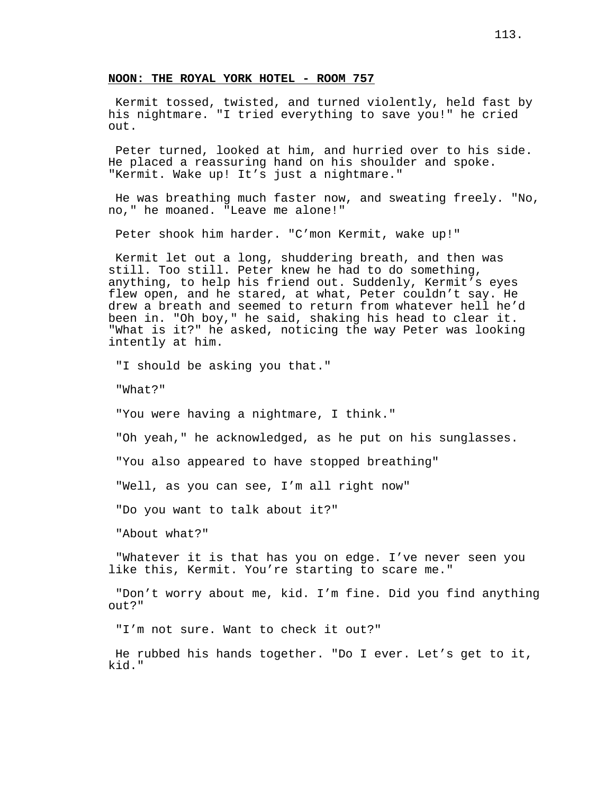# **NOON: THE ROYAL YORK HOTEL - ROOM 757**

Kermit tossed, twisted, and turned violently, held fast by his nightmare. "I tried everything to save you!" he cried out.

Peter turned, looked at him, and hurried over to his side. He placed a reassuring hand on his shoulder and spoke. "Kermit. Wake up! It's just a nightmare."

He was breathing much faster now, and sweating freely. "No, no," he moaned. "Leave me alone!"

Peter shook him harder. "C'mon Kermit, wake up!"

Kermit let out a long, shuddering breath, and then was still. Too still. Peter knew he had to do something, anything, to help his friend out. Suddenly, Kermit's eyes flew open, and he stared, at what, Peter couldn't say. He drew a breath and seemed to return from whatever hell he'd been in. "Oh boy," he said, shaking his head to clear it. "What is it?" he asked, noticing the way Peter was looking intently at him.

"I should be asking you that."

"What?"

"You were having a nightmare, I think."

"Oh yeah," he acknowledged, as he put on his sunglasses.

"You also appeared to have stopped breathing"

"Well, as you can see, I'm all right now"

"Do you want to talk about it?"

"About what?"

"Whatever it is that has you on edge. I've never seen you like this, Kermit. You're starting to scare me."

"Don't worry about me, kid. I'm fine. Did you find anything out?"

"I'm not sure. Want to check it out?"

He rubbed his hands together. "Do I ever. Let's get to it, kid."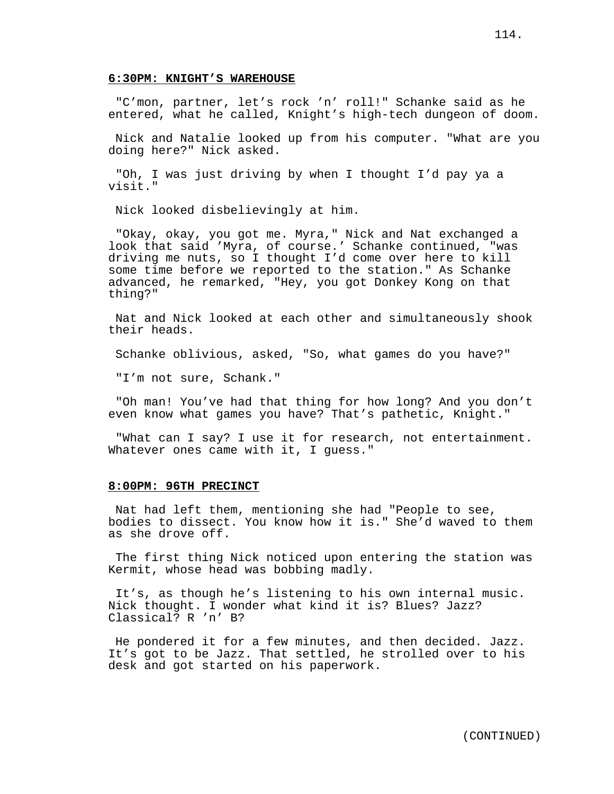"C'mon, partner, let's rock 'n' roll!" Schanke said as he entered, what he called, Knight's high-tech dungeon of doom.

Nick and Natalie looked up from his computer. "What are you doing here?" Nick asked.

"Oh, I was just driving by when I thought I'd pay ya a visit."

Nick looked disbelievingly at him.

"Okay, okay, you got me. Myra," Nick and Nat exchanged a look that said 'Myra, of course.' Schanke continued, "was driving me nuts, so I thought I'd come over here to kill some time before we reported to the station." As Schanke advanced, he remarked, "Hey, you got Donkey Kong on that thing?"

Nat and Nick looked at each other and simultaneously shook their heads.

Schanke oblivious, asked, "So, what games do you have?"

"I'm not sure, Schank."

"Oh man! You've had that thing for how long? And you don't even know what games you have? That's pathetic, Knight."

"What can I say? I use it for research, not entertainment. Whatever ones came with it, I quess."

## **8:00PM: 96TH PRECINCT**

Nat had left them, mentioning she had "People to see, bodies to dissect. You know how it is." She'd waved to them as she drove off.

The first thing Nick noticed upon entering the station was Kermit, whose head was bobbing madly.

It's, as though he's listening to his own internal music. Nick thought. I wonder what kind it is? Blues? Jazz? Classical? R 'n' B?

He pondered it for a few minutes, and then decided. Jazz. It's got to be Jazz. That settled, he strolled over to his desk and got started on his paperwork.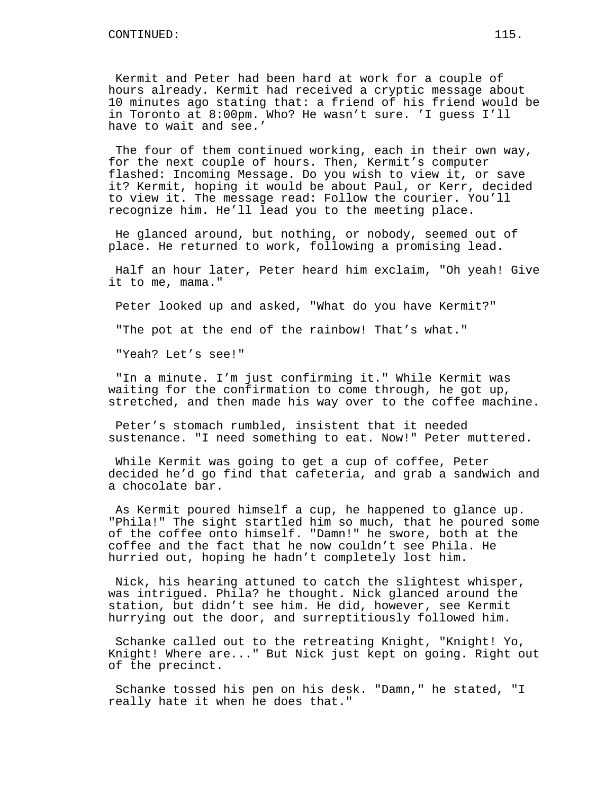Kermit and Peter had been hard at work for a couple of hours already. Kermit had received a cryptic message about 10 minutes ago stating that: a friend of his friend would be in Toronto at 8:00pm. Who? He wasn't sure. 'I guess I'll have to wait and see.'

The four of them continued working, each in their own way, for the next couple of hours. Then, Kermit's computer flashed: Incoming Message. Do you wish to view it, or save it? Kermit, hoping it would be about Paul, or Kerr, decided to view it. The message read: Follow the courier. You'll recognize him. He'll lead you to the meeting place.

He glanced around, but nothing, or nobody, seemed out of place. He returned to work, following a promising lead.

Half an hour later, Peter heard him exclaim, "Oh yeah! Give it to me, mama."

Peter looked up and asked, "What do you have Kermit?"

"The pot at the end of the rainbow! That's what."

"Yeah? Let's see!"

"In a minute. I'm just confirming it." While Kermit was waiting for the confirmation to come through, he got up, stretched, and then made his way over to the coffee machine.

Peter's stomach rumbled, insistent that it needed sustenance. "I need something to eat. Now!" Peter muttered.

While Kermit was going to get a cup of coffee, Peter decided he'd go find that cafeteria, and grab a sandwich and a chocolate bar.

As Kermit poured himself a cup, he happened to glance up. "Phila!" The sight startled him so much, that he poured some of the coffee onto himself. "Damn!" he swore, both at the coffee and the fact that he now couldn't see Phila. He hurried out, hoping he hadn't completely lost him.

Nick, his hearing attuned to catch the slightest whisper, was intrigued. Phila? he thought. Nick glanced around the station, but didn't see him. He did, however, see Kermit hurrying out the door, and surreptitiously followed him.

Schanke called out to the retreating Knight, "Knight! Yo, Knight! Where are..." But Nick just kept on going. Right out of the precinct.

Schanke tossed his pen on his desk. "Damn," he stated, "I really hate it when he does that."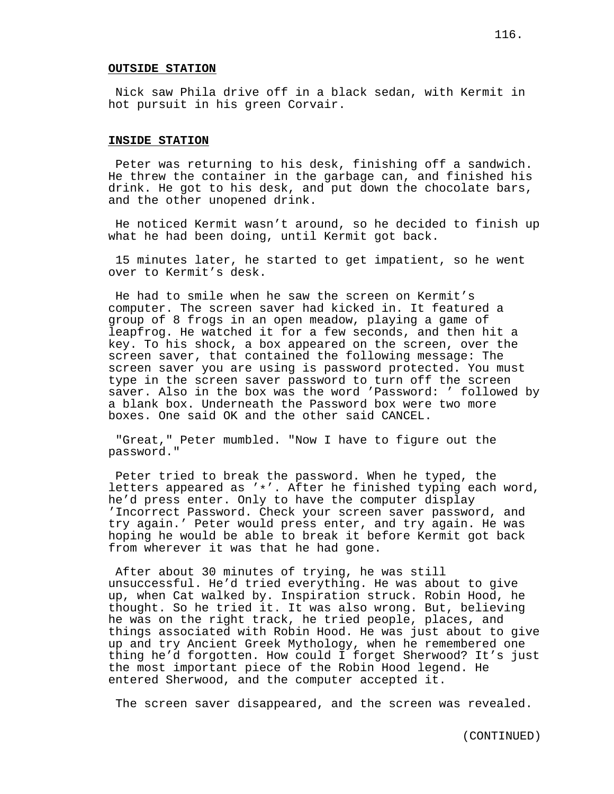#### **OUTSIDE STATION**

Nick saw Phila drive off in a black sedan, with Kermit in hot pursuit in his green Corvair.

#### **INSIDE STATION**

Peter was returning to his desk, finishing off a sandwich. He threw the container in the garbage can, and finished his drink. He got to his desk, and put down the chocolate bars, and the other unopened drink.

He noticed Kermit wasn't around, so he decided to finish up what he had been doing, until Kermit got back.

15 minutes later, he started to get impatient, so he went over to Kermit's desk.

He had to smile when he saw the screen on Kermit's computer. The screen saver had kicked in. It featured a group of 8 frogs in an open meadow, playing a game of leapfrog. He watched it for a few seconds, and then hit a key. To his shock, a box appeared on the screen, over the screen saver, that contained the following message: The screen saver you are using is password protected. You must type in the screen saver password to turn off the screen saver. Also in the box was the word 'Password: ' followed by a blank box. Underneath the Password box were two more boxes. One said OK and the other said CANCEL.

"Great," Peter mumbled. "Now I have to figure out the password."

Peter tried to break the password. When he typed, the letters appeared as '\*'. After he finished typing each word, he'd press enter. Only to have the computer display 'Incorrect Password. Check your screen saver password, and try again.' Peter would press enter, and try again. He was hoping he would be able to break it before Kermit got back from wherever it was that he had gone.

After about 30 minutes of trying, he was still unsuccessful. He'd tried everything. He was about to give up, when Cat walked by. Inspiration struck. Robin Hood, he thought. So he tried it. It was also wrong. But, believing he was on the right track, he tried people, places, and things associated with Robin Hood. He was just about to give up and try Ancient Greek Mythology, when he remembered one thing he'd forgotten. How could I forget Sherwood? It's just the most important piece of the Robin Hood legend. He entered Sherwood, and the computer accepted it.

The screen saver disappeared, and the screen was revealed.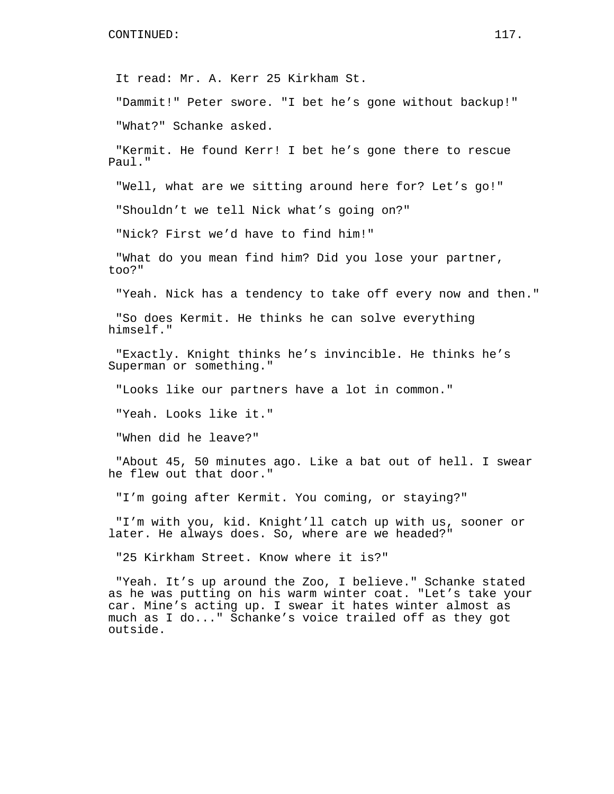It read: Mr. A. Kerr 25 Kirkham St.

"Dammit!" Peter swore. "I bet he's gone without backup!"

"What?" Schanke asked.

"Kermit. He found Kerr! I bet he's gone there to rescue Paul."

"Well, what are we sitting around here for? Let's go!"

"Shouldn't we tell Nick what's going on?"

"Nick? First we'd have to find him!"

"What do you mean find him? Did you lose your partner, too?"

"Yeah. Nick has a tendency to take off every now and then."

"So does Kermit. He thinks he can solve everything himself."

"Exactly. Knight thinks he's invincible. He thinks he's Superman or something."

"Looks like our partners have a lot in common."

"Yeah. Looks like it."

"When did he leave?"

"About 45, 50 minutes ago. Like a bat out of hell. I swear he flew out that door."

"I'm going after Kermit. You coming, or staying?"

"I'm with you, kid. Knight'll catch up with us, sooner or later. He always does. So, where are we headed?"

"25 Kirkham Street. Know where it is?"

"Yeah. It's up around the Zoo, I believe." Schanke stated as he was putting on his warm winter coat. "Let's take your car. Mine's acting up. I swear it hates winter almost as much as I do..." Schanke's voice trailed off as they got outside.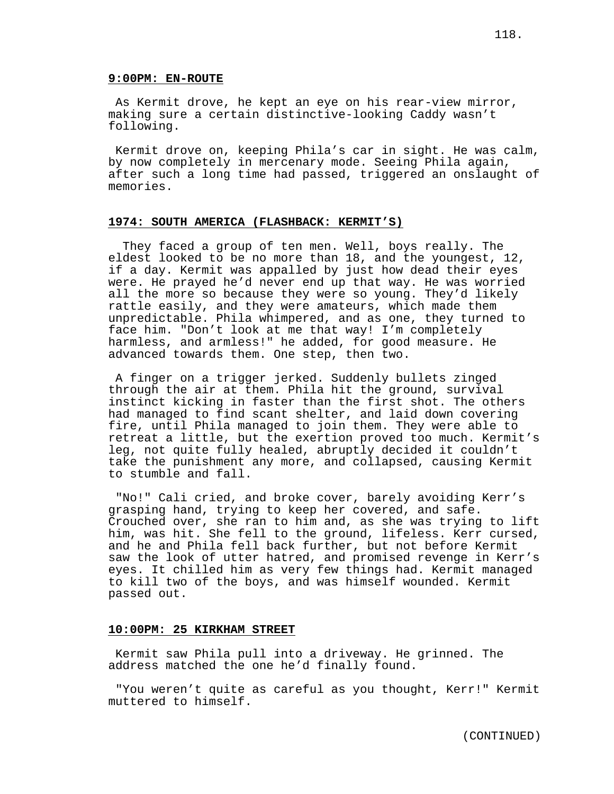### **9:00PM: EN-ROUTE**

As Kermit drove, he kept an eye on his rear-view mirror, making sure a certain distinctive-looking Caddy wasn't following.

Kermit drove on, keeping Phila's car in sight. He was calm, by now completely in mercenary mode. Seeing Phila again, after such a long time had passed, triggered an onslaught of memories.

# **1974: SOUTH AMERICA (FLASHBACK: KERMIT'S)**

They faced a group of ten men. Well, boys really. The eldest looked to be no more than 18, and the youngest, 12, if a day. Kermit was appalled by just how dead their eyes were. He prayed he'd never end up that way. He was worried all the more so because they were so young. They'd likely rattle easily, and they were amateurs, which made them unpredictable. Phila whimpered, and as one, they turned to face him. "Don't look at me that way! I'm completely harmless, and armless!" he added, for good measure. He advanced towards them. One step, then two.

A finger on a trigger jerked. Suddenly bullets zinged through the air at them. Phila hit the ground, survival instinct kicking in faster than the first shot. The others had managed to find scant shelter, and laid down covering fire, until Phila managed to join them. They were able to retreat a little, but the exertion proved too much. Kermit's leg, not quite fully healed, abruptly decided it couldn't take the punishment any more, and collapsed, causing Kermit to stumble and fall.

"No!" Cali cried, and broke cover, barely avoiding Kerr's grasping hand, trying to keep her covered, and safe. Crouched over, she ran to him and, as she was trying to lift him, was hit. She fell to the ground, lifeless. Kerr cursed, and he and Phila fell back further, but not before Kermit saw the look of utter hatred, and promised revenge in Kerr's eyes. It chilled him as very few things had. Kermit managed to kill two of the boys, and was himself wounded. Kermit passed out.

### **10:00PM: 25 KIRKHAM STREET**

Kermit saw Phila pull into a driveway. He grinned. The address matched the one he'd finally found.

"You weren't quite as careful as you thought, Kerr!" Kermit muttered to himself.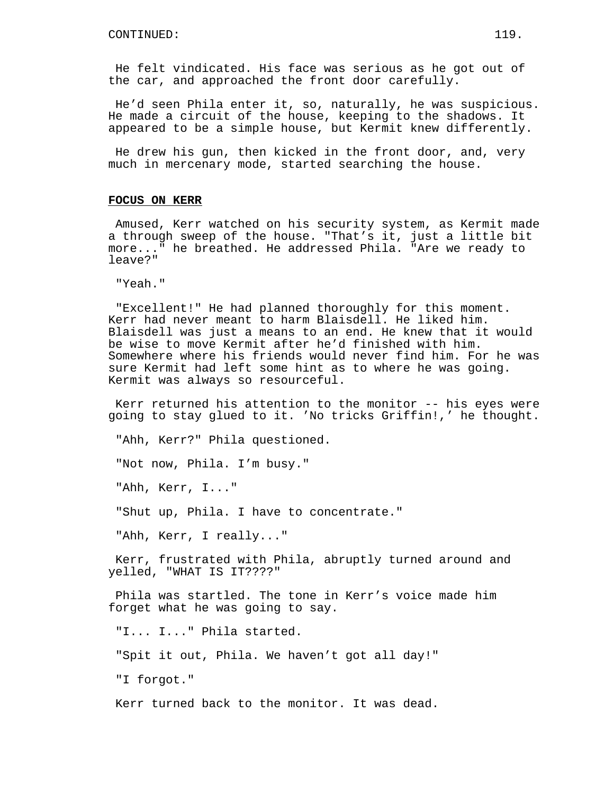He felt vindicated. His face was serious as he got out of the car, and approached the front door carefully.

He'd seen Phila enter it, so, naturally, he was suspicious. He made a circuit of the house, keeping to the shadows. It appeared to be a simple house, but Kermit knew differently.

He drew his gun, then kicked in the front door, and, very much in mercenary mode, started searching the house.

# **FOCUS ON KERR**

Amused, Kerr watched on his security system, as Kermit made a through sweep of the house. "That's it, just a little bit more..." he breathed. He addressed Phila. "Are we ready to leave?"

"Yeah."

"Excellent!" He had planned thoroughly for this moment. Kerr had never meant to harm Blaisdell. He liked him. Blaisdell was just a means to an end. He knew that it would be wise to move Kermit after he'd finished with him. Somewhere where his friends would never find him. For he was sure Kermit had left some hint as to where he was going. Kermit was always so resourceful.

Kerr returned his attention to the monitor -- his eyes were going to stay glued to it. 'No tricks Griffin!,' he thought.

"Ahh, Kerr?" Phila questioned.

"Not now, Phila. I'm busy."

"Ahh, Kerr, I..."

"Shut up, Phila. I have to concentrate."

"Ahh, Kerr, I really..."

Kerr, frustrated with Phila, abruptly turned around and yelled, "WHAT IS IT????"

Phila was startled. The tone in Kerr's voice made him forget what he was going to say.

"I... I..." Phila started.

"Spit it out, Phila. We haven't got all day!"

"I forgot."

Kerr turned back to the monitor. It was dead.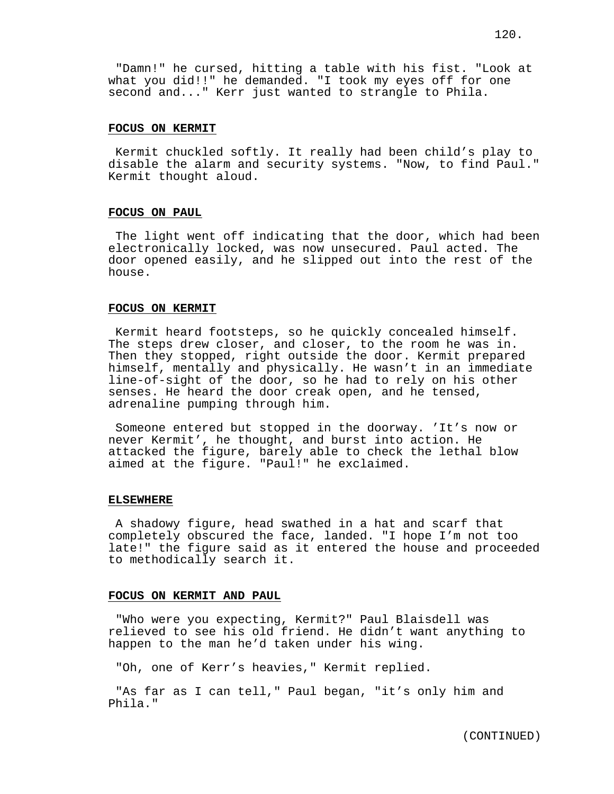"Damn!" he cursed, hitting a table with his fist. "Look at what you did!!" he demanded. "I took my eyes off for one second and..." Kerr just wanted to strangle to Phila.

## **FOCUS ON KERMIT**

Kermit chuckled softly. It really had been child's play to disable the alarm and security systems. "Now, to find Paul." Kermit thought aloud.

## **FOCUS ON PAUL**

The light went off indicating that the door, which had been electronically locked, was now unsecured. Paul acted. The door opened easily, and he slipped out into the rest of the house.

## **FOCUS ON KERMIT**

Kermit heard footsteps, so he quickly concealed himself. The steps drew closer, and closer, to the room he was in. Then they stopped, right outside the door. Kermit prepared himself, mentally and physically. He wasn't in an immediate line-of-sight of the door, so he had to rely on his other senses. He heard the door creak open, and he tensed, adrenaline pumping through him.

Someone entered but stopped in the doorway. 'It's now or never Kermit', he thought, and burst into action. He attacked the figure, barely able to check the lethal blow aimed at the figure. "Paul!" he exclaimed.

#### **ELSEWHERE**

A shadowy figure, head swathed in a hat and scarf that completely obscured the face, landed. "I hope I'm not too late!" the figure said as it entered the house and proceeded to methodically search it.

# **FOCUS ON KERMIT AND PAUL**

"Who were you expecting, Kermit?" Paul Blaisdell was relieved to see his old friend. He didn't want anything to happen to the man he'd taken under his wing.

"Oh, one of Kerr's heavies," Kermit replied.

"As far as I can tell," Paul began, "it's only him and Phila."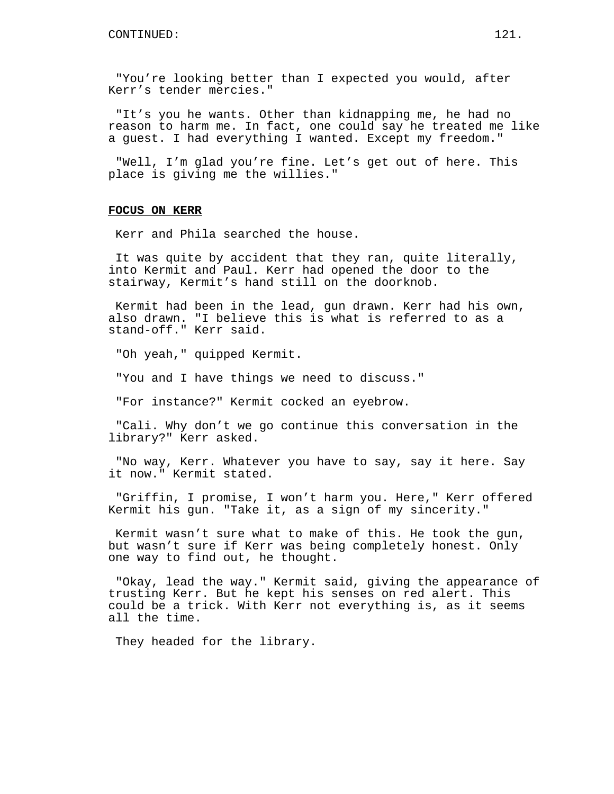"You're looking better than I expected you would, after Kerr's tender mercies."

"It's you he wants. Other than kidnapping me, he had no reason to harm me. In fact, one could say he treated me like a guest. I had everything I wanted. Except my freedom."

"Well, I'm glad you're fine. Let's get out of here. This place is giving me the willies."

## **FOCUS ON KERR**

Kerr and Phila searched the house.

It was quite by accident that they ran, quite literally, into Kermit and Paul. Kerr had opened the door to the stairway, Kermit's hand still on the doorknob.

Kermit had been in the lead, gun drawn. Kerr had his own, also drawn. "I believe this is what is referred to as a stand-off." Kerr said.

"Oh yeah," quipped Kermit.

"You and I have things we need to discuss."

"For instance?" Kermit cocked an eyebrow.

"Cali. Why don't we go continue this conversation in the library?" Kerr asked.

"No way, Kerr. Whatever you have to say, say it here. Say it now." Kermit stated.

"Griffin, I promise, I won't harm you. Here," Kerr offered Kermit his gun. "Take it, as a sign of my sincerity."

Kermit wasn't sure what to make of this. He took the gun, but wasn't sure if Kerr was being completely honest. Only one way to find out, he thought.

"Okay, lead the way." Kermit said, giving the appearance of trusting Kerr. But he kept his senses on red alert. This could be a trick. With Kerr not everything is, as it seems all the time.

They headed for the library.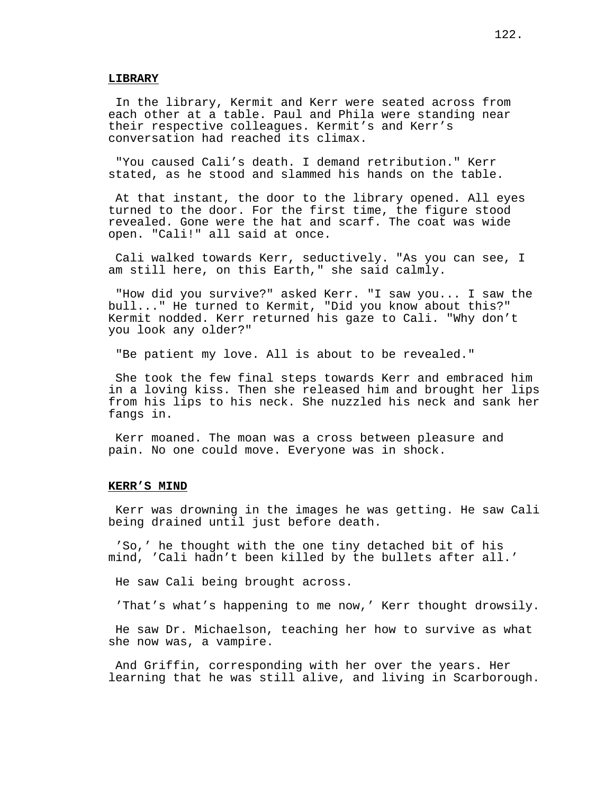### **LIBRARY**

In the library, Kermit and Kerr were seated across from each other at a table. Paul and Phila were standing near their respective colleagues. Kermit's and Kerr's conversation had reached its climax.

"You caused Cali's death. I demand retribution." Kerr stated, as he stood and slammed his hands on the table.

At that instant, the door to the library opened. All eyes turned to the door. For the first time, the figure stood revealed. Gone were the hat and scarf. The coat was wide open. "Cali!" all said at once.

Cali walked towards Kerr, seductively. "As you can see, I am still here, on this Earth," she said calmly.

"How did you survive?" asked Kerr. "I saw you... I saw the bull..." He turned to Kermit, "Did you know about this?" Kermit nodded. Kerr returned his gaze to Cali. "Why don't you look any older?"

"Be patient my love. All is about to be revealed."

She took the few final steps towards Kerr and embraced him in a loving kiss. Then she released him and brought her lips from his lips to his neck. She nuzzled his neck and sank her fangs in.

Kerr moaned. The moan was a cross between pleasure and pain. No one could move. Everyone was in shock.

## **KERR'S MIND**

Kerr was drowning in the images he was getting. He saw Cali being drained until just before death.

'So,' he thought with the one tiny detached bit of his mind, 'Cali hadn't been killed by the bullets after all.'

He saw Cali being brought across.

'That's what's happening to me now,' Kerr thought drowsily.

He saw Dr. Michaelson, teaching her how to survive as what she now was, a vampire.

And Griffin, corresponding with her over the years. Her learning that he was still alive, and living in Scarborough.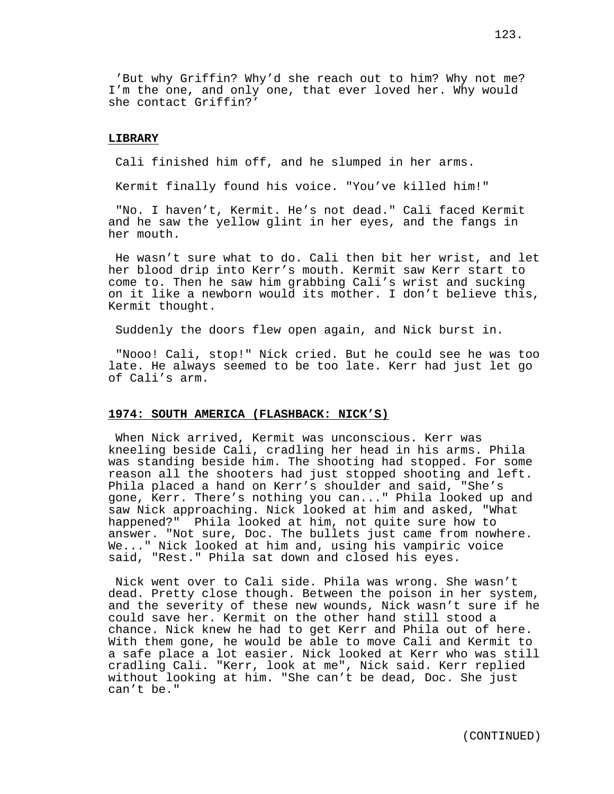'But why Griffin? Why'd she reach out to him? Why not me? I'm the one, and only one, that ever loved her. Why would she contact Griffin?'

## **LIBRARY**

Cali finished him off, and he slumped in her arms.

Kermit finally found his voice. "You've killed him!"

"No. I haven't, Kermit. He's not dead." Cali faced Kermit and he saw the yellow glint in her eyes, and the fangs in her mouth.

He wasn't sure what to do. Cali then bit her wrist, and let her blood drip into Kerr's mouth. Kermit saw Kerr start to come to. Then he saw him grabbing Cali's wrist and sucking on it like a newborn would its mother. I don't believe this, Kermit thought.

Suddenly the doors flew open again, and Nick burst in.

"Nooo! Cali, stop!" Nick cried. But he could see he was too late. He always seemed to be too late. Kerr had just let go of Cali's arm.

## **1974: SOUTH AMERICA (FLASHBACK: NICK'S)**

When Nick arrived, Kermit was unconscious. Kerr was kneeling beside Cali, cradling her head in his arms. Phila was standing beside him. The shooting had stopped. For some reason all the shooters had just stopped shooting and left. Phila placed a hand on Kerr's shoulder and said, "She's gone, Kerr. There's nothing you can..." Phila looked up and saw Nick approaching. Nick looked at him and asked, "What happened?" Phila looked at him, not quite sure how to answer. "Not sure, Doc. The bullets just came from nowhere. We..." Nick looked at him and, using his vampiric voice said, "Rest." Phila sat down and closed his eyes.

Nick went over to Cali side. Phila was wrong. She wasn't dead. Pretty close though. Between the poison in her system, and the severity of these new wounds, Nick wasn't sure if he could save her. Kermit on the other hand still stood a chance. Nick knew he had to get Kerr and Phila out of here. With them gone, he would be able to move Cali and Kermit to a safe place a lot easier. Nick looked at Kerr who was still cradling Cali. "Kerr, look at me", Nick said. Kerr replied without looking at him. "She can't be dead, Doc. She just can't be."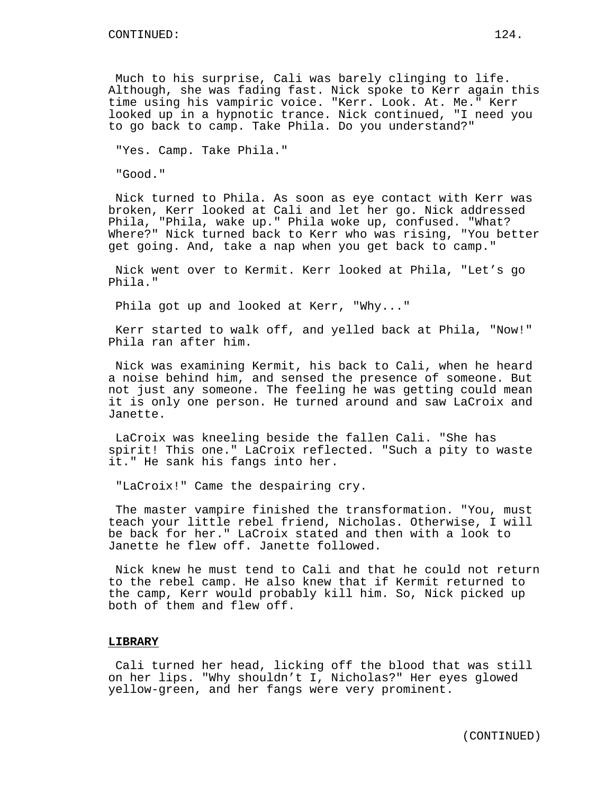Much to his surprise, Cali was barely clinging to life. Although, she was fading fast. Nick spoke to Kerr again this time using his vampiric voice. "Kerr. Look. At. Me." Kerr looked up in a hypnotic trance. Nick continued, "I need you to go back to camp. Take Phila. Do you understand?"

"Yes. Camp. Take Phila."

"Good."

Nick turned to Phila. As soon as eye contact with Kerr was broken, Kerr looked at Cali and let her go. Nick addressed Phila, "Phila, wake up." Phila woke up, confused. "What? Where?" Nick turned back to Kerr who was rising, "You better get going. And, take a nap when you get back to camp."

Nick went over to Kermit. Kerr looked at Phila, "Let's go Phila."

Phila got up and looked at Kerr, "Why..."

Kerr started to walk off, and yelled back at Phila, "Now!" Phila ran after him.

Nick was examining Kermit, his back to Cali, when he heard a noise behind him, and sensed the presence of someone. But not just any someone. The feeling he was getting could mean it is only one person. He turned around and saw LaCroix and Janette.

LaCroix was kneeling beside the fallen Cali. "She has spirit! This one." LaCroix reflected. "Such a pity to waste it." He sank his fangs into her.

"LaCroix!" Came the despairing cry.

The master vampire finished the transformation. "You, must teach your little rebel friend, Nicholas. Otherwise, I will be back for her." LaCroix stated and then with a look to Janette he flew off. Janette followed.

Nick knew he must tend to Cali and that he could not return to the rebel camp. He also knew that if Kermit returned to the camp, Kerr would probably kill him. So, Nick picked up both of them and flew off.

### **LIBRARY**

Cali turned her head, licking off the blood that was still on her lips. "Why shouldn't I, Nicholas?" Her eyes glowed yellow-green, and her fangs were very prominent.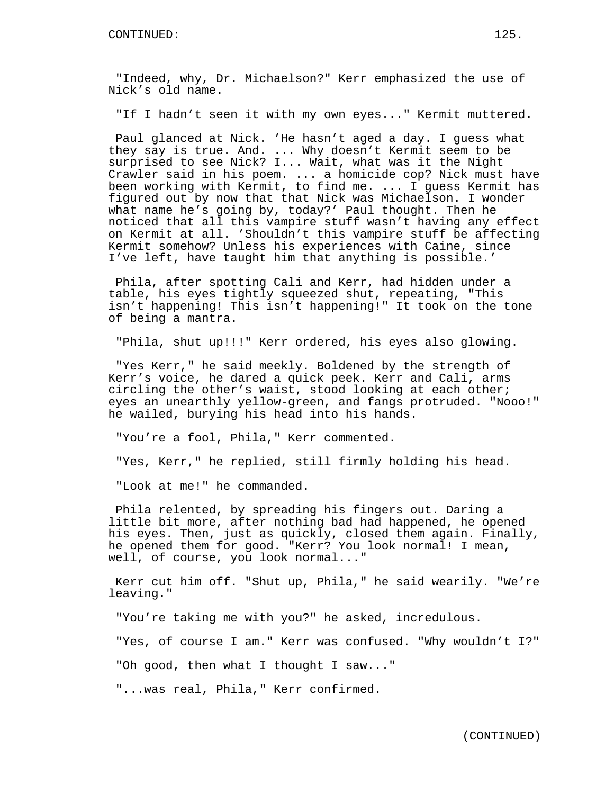"Indeed, why, Dr. Michaelson?" Kerr emphasized the use of Nick's old name.

"If I hadn't seen it with my own eyes..." Kermit muttered.

Paul glanced at Nick. 'He hasn't aged a day. I guess what they say is true. And. ... Why doesn't Kermit seem to be surprised to see Nick? I... Wait, what was it the Night Crawler said in his poem. ... a homicide cop? Nick must have been working with Kermit, to find me. ... I guess Kermit has figured out by now that that Nick was Michaelson. I wonder what name he's going by, today?' Paul thought. Then he noticed that all this vampire stuff wasn't having any effect on Kermit at all. 'Shouldn't this vampire stuff be affecting Kermit somehow? Unless his experiences with Caine, since I've left, have taught him that anything is possible.'

Phila, after spotting Cali and Kerr, had hidden under a table, his eyes tightly squeezed shut, repeating, "This isn't happening! This isn't happening!" It took on the tone of being a mantra.

"Phila, shut up!!!" Kerr ordered, his eyes also glowing.

"Yes Kerr," he said meekly. Boldened by the strength of Kerr's voice, he dared a quick peek. Kerr and Cali, arms circling the other's waist, stood looking at each other; eyes an unearthly yellow-green, and fangs protruded. "Nooo!" he wailed, burying his head into his hands.

"You're a fool, Phila," Kerr commented.

"Yes, Kerr," he replied, still firmly holding his head.

"Look at me!" he commanded.

Phila relented, by spreading his fingers out. Daring a little bit more, after nothing bad had happened, he opened his eyes. Then, just as quickly, closed them again. Finally, he opened them for good. "Kerr? You look normal! I mean, well, of course, you look normal..."

Kerr cut him off. "Shut up, Phila," he said wearily. "We're leaving."

"You're taking me with you?" he asked, incredulous.

"Yes, of course I am." Kerr was confused. "Why wouldn't I?"

"Oh good, then what I thought I saw..."

"...was real, Phila," Kerr confirmed.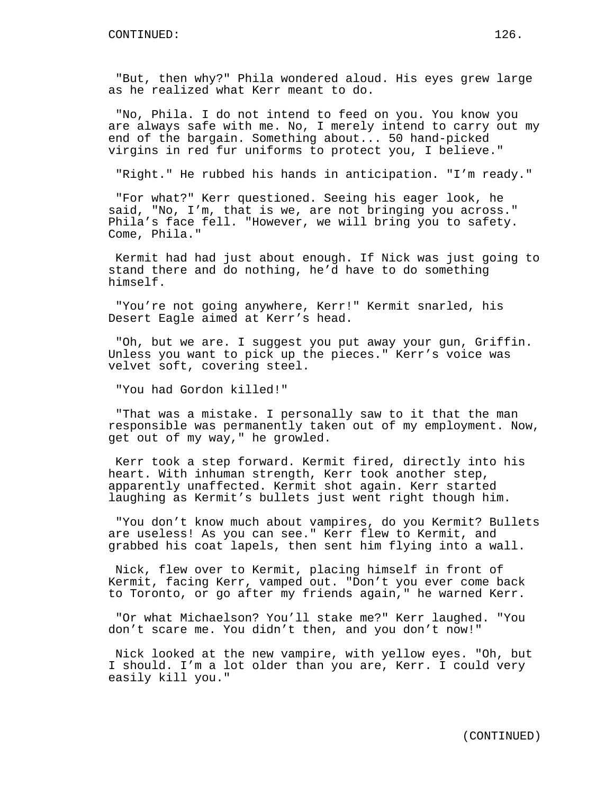"But, then why?" Phila wondered aloud. His eyes grew large as he realized what Kerr meant to do.

"No, Phila. I do not intend to feed on you. You know you are always safe with me. No, I merely intend to carry out my end of the bargain. Something about... 50 hand-picked virgins in red fur uniforms to protect you, I believe."

"Right." He rubbed his hands in anticipation. "I'm ready."

"For what?" Kerr questioned. Seeing his eager look, he said, "No, I'm, that is we, are not bringing you across." Phila's face fell. "However, we will bring you to safety. Come, Phila."

Kermit had had just about enough. If Nick was just going to stand there and do nothing, he'd have to do something himself.

"You're not going anywhere, Kerr!" Kermit snarled, his Desert Eagle aimed at Kerr's head.

"Oh, but we are. I suggest you put away your gun, Griffin. Unless you want to pick up the pieces." Kerr's voice was velvet soft, covering steel.

"You had Gordon killed!"

"That was a mistake. I personally saw to it that the man responsible was permanently taken out of my employment. Now, get out of my way," he growled.

Kerr took a step forward. Kermit fired, directly into his heart. With inhuman strength, Kerr took another step, apparently unaffected. Kermit shot again. Kerr started laughing as Kermit's bullets just went right though him.

"You don't know much about vampires, do you Kermit? Bullets are useless! As you can see." Kerr flew to Kermit, and grabbed his coat lapels, then sent him flying into a wall.

Nick, flew over to Kermit, placing himself in front of Kermit, facing Kerr, vamped out. "Don't you ever come back to Toronto, or go after my friends again," he warned Kerr.

"Or what Michaelson? You'll stake me?" Kerr laughed. "You don't scare me. You didn't then, and you don't now!"

Nick looked at the new vampire, with yellow eyes. "Oh, but I should. I'm a lot older than you are, Kerr. I could very easily kill you."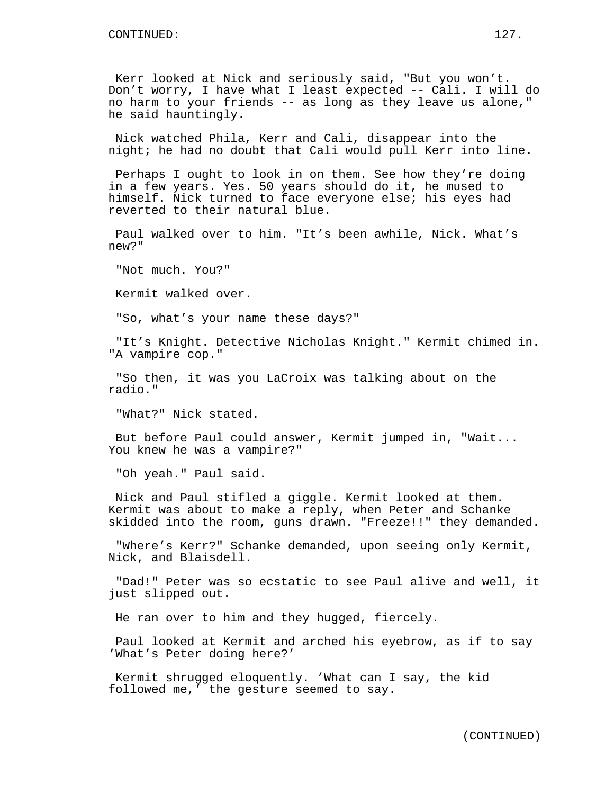Kerr looked at Nick and seriously said, "But you won't. Don't worry, I have what I least expected -- Cali. I will do no harm to your friends -- as long as they leave us alone," he said hauntingly.

Nick watched Phila, Kerr and Cali, disappear into the night; he had no doubt that Cali would pull Kerr into line.

Perhaps I ought to look in on them. See how they're doing in a few years. Yes. 50 years should do it, he mused to himself. Nick turned to face everyone else; his eyes had reverted to their natural blue.

Paul walked over to him. "It's been awhile, Nick. What's new?"

"Not much. You?"

Kermit walked over.

"So, what's your name these days?"

"It's Knight. Detective Nicholas Knight." Kermit chimed in. "A vampire cop."

"So then, it was you LaCroix was talking about on the radio."

"What?" Nick stated.

But before Paul could answer, Kermit jumped in, "Wait... You knew he was a vampire?"

"Oh yeah." Paul said.

Nick and Paul stifled a giggle. Kermit looked at them. Kermit was about to make a reply, when Peter and Schanke skidded into the room, guns drawn. "Freeze!!" they demanded.

"Where's Kerr?" Schanke demanded, upon seeing only Kermit, Nick, and Blaisdell.

"Dad!" Peter was so ecstatic to see Paul alive and well, it just slipped out.

He ran over to him and they hugged, fiercely.

Paul looked at Kermit and arched his eyebrow, as if to say 'What's Peter doing here?'

Kermit shrugged eloquently. 'What can I say, the kid followed me,' the gesture seemed to say.

(CONTINUED)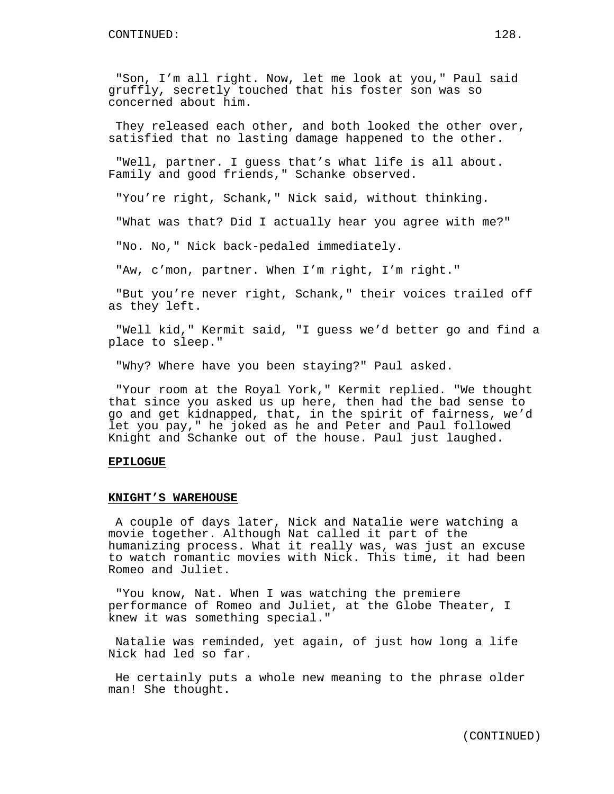"Son, I'm all right. Now, let me look at you," Paul said gruffly, secretly touched that his foster son was so concerned about him.

They released each other, and both looked the other over, satisfied that no lasting damage happened to the other.

"Well, partner. I guess that's what life is all about. Family and good friends," Schanke observed.

"You're right, Schank," Nick said, without thinking.

"What was that? Did I actually hear you agree with me?"

"No. No," Nick back-pedaled immediately.

"Aw, c'mon, partner. When I'm right, I'm right."

"But you're never right, Schank," their voices trailed off as they left.

"Well kid," Kermit said, "I guess we'd better go and find a place to sleep."

"Why? Where have you been staying?" Paul asked.

"Your room at the Royal York," Kermit replied. "We thought that since you asked us up here, then had the bad sense to go and get kidnapped, that, in the spirit of fairness, we'd let you pay," he joked as he and Peter and Paul followed Knight and Schanke out of the house. Paul just laughed.

## **EPILOGUE**

#### **KNIGHT'S WAREHOUSE**

A couple of days later, Nick and Natalie were watching a movie together. Although Nat called it part of the humanizing process. What it really was, was just an excuse to watch romantic movies with Nick. This time, it had been Romeo and Juliet.

"You know, Nat. When I was watching the premiere performance of Romeo and Juliet, at the Globe Theater, I knew it was something special."

Natalie was reminded, yet again, of just how long a life Nick had led so far.

He certainly puts a whole new meaning to the phrase older man! She thought.